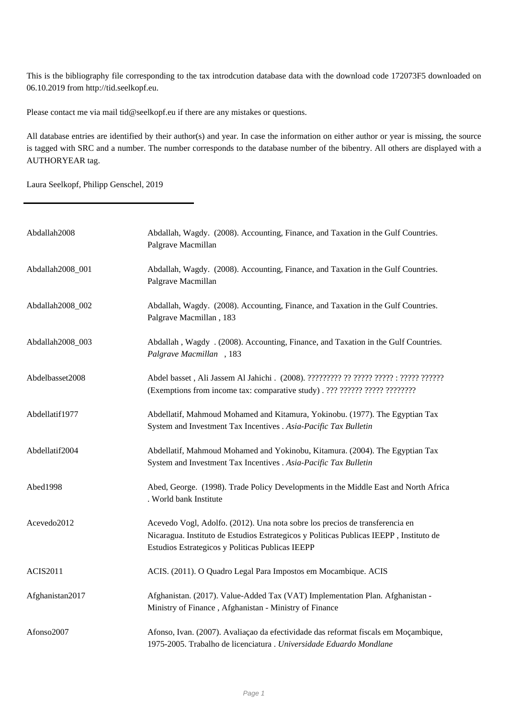This is the bibliography file corresponding to the tax introdcution database data with the download code 172073F5 downloaded on 06.10.2019 from http://tid.seelkopf.eu.

Please contact me via mail tid@seelkopf.eu if there are any mistakes or questions.

All database entries are identified by their author(s) and year. In case the information on either author or year is missing, the source is tagged with SRC and a number. The number corresponds to the database number of the bibentry. All others are displayed with a AUTHORYEAR tag.

Laura Seelkopf, Philipp Genschel, 2019

| Abdallah2008     | Abdallah, Wagdy. (2008). Accounting, Finance, and Taxation in the Gulf Countries.<br>Palgrave Macmillan                                                                                                                    |
|------------------|----------------------------------------------------------------------------------------------------------------------------------------------------------------------------------------------------------------------------|
| Abdallah2008_001 | Abdallah, Wagdy. (2008). Accounting, Finance, and Taxation in the Gulf Countries.<br>Palgrave Macmillan                                                                                                                    |
| Abdallah2008_002 | Abdallah, Wagdy. (2008). Accounting, Finance, and Taxation in the Gulf Countries.<br>Palgrave Macmillan, 183                                                                                                               |
| Abdallah2008_003 | Abdallah, Wagdy . (2008). Accounting, Finance, and Taxation in the Gulf Countries.<br>Palgrave Macmillan, 183                                                                                                              |
| Abdelbasset2008  | (Exemptions from income tax: comparative study). ??? ?????? ?????? ?????????                                                                                                                                               |
| Abdellatif1977   | Abdellatif, Mahmoud Mohamed and Kitamura, Yokinobu. (1977). The Egyptian Tax<br>System and Investment Tax Incentives . Asia-Pacific Tax Bulletin                                                                           |
| Abdellatif2004   | Abdellatif, Mahmoud Mohamed and Yokinobu, Kitamura. (2004). The Egyptian Tax<br>System and Investment Tax Incentives . Asia-Pacific Tax Bulletin                                                                           |
| Abed1998         | Abed, George. (1998). Trade Policy Developments in the Middle East and North Africa<br>. World bank Institute                                                                                                              |
| Acevedo2012      | Acevedo Vogl, Adolfo. (2012). Una nota sobre los precios de transferencia en<br>Nicaragua. Instituto de Estudios Estrategicos y Politicas Publicas IEEPP, Instituto de<br>Estudios Estrategicos y Politicas Publicas IEEPP |
| <b>ACIS2011</b>  | ACIS. (2011). O Quadro Legal Para Impostos em Mocambique. ACIS                                                                                                                                                             |
| Afghanistan2017  | Afghanistan. (2017). Value-Added Tax (VAT) Implementation Plan. Afghanistan -<br>Ministry of Finance, Afghanistan - Ministry of Finance                                                                                    |
| Afonso2007       | Afonso, Ivan. (2007). Avaliação da efectividade das reformat fiscals em Moçambique,<br>1975-2005. Trabalho de licenciatura . Universidade Eduardo Mondlane                                                                 |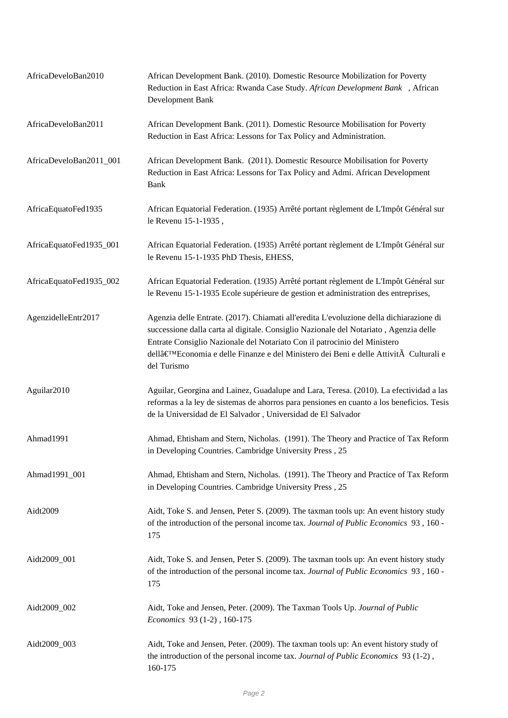| AfricaDeveloBan2010     | African Development Bank. (2010). Domestic Resource Mobilization for Poverty<br>Reduction in East Africa: Rwanda Case Study. African Development Bank, African<br>Development Bank                                                                                                                                                                                 |
|-------------------------|--------------------------------------------------------------------------------------------------------------------------------------------------------------------------------------------------------------------------------------------------------------------------------------------------------------------------------------------------------------------|
| AfricaDeveloBan2011     | African Development Bank. (2011). Domestic Resource Mobilisation for Poverty<br>Reduction in East Africa: Lessons for Tax Policy and Administration.                                                                                                                                                                                                               |
| AfricaDeveloBan2011_001 | African Development Bank. (2011). Domestic Resource Mobilisation for Poverty<br>Reduction in East Africa: Lessons for Tax Policy and Admi. African Development<br><b>Bank</b>                                                                                                                                                                                      |
| AfricaEquatoFed1935     | African Equatorial Federation. (1935) Arrêté portant règlement de L'Impôt Général sur<br>le Revenu 15-1-1935,                                                                                                                                                                                                                                                      |
| AfricaEquatoFed1935_001 | African Equatorial Federation. (1935) Arrêté portant règlement de L'Impôt Général sur<br>le Revenu 15-1-1935 PhD Thesis, EHESS,                                                                                                                                                                                                                                    |
| AfricaEquatoFed1935_002 | African Equatorial Federation. (1935) Arrêté portant règlement de L'Impôt Général sur<br>le Revenu 15-1-1935 Ecole supérieure de gestion et administration des entreprises,                                                                                                                                                                                        |
| AgenzidelleEntr2017     | Agenzia delle Entrate. (2017). Chiamati all'eredita L'evoluzione della dichiarazione di<br>successione dalla carta al digitale. Consiglio Nazionale del Notariato, Agenzia delle<br>Entrate Consiglio Nazionale del Notariato Con il patrocinio del Ministero<br>dell'Economiae delle Finanze e del Ministero dei Beni e delle Attività Culturali e<br>del Turismo |
| Aguilar2010             | Aguilar, Georgina and Lainez, Guadalupe and Lara, Teresa. (2010). La efectividad a las<br>reformas a la ley de sistemas de ahorros para pensiones en cuanto a los beneficios. Tesis<br>de la Universidad de El Salvador, Universidad de El Salvador                                                                                                                |
| Ahmad1991               | Ahmad, Ehtisham and Stern, Nicholas. (1991). The Theory and Practice of Tax Reform<br>in Developing Countries. Cambridge University Press, 25                                                                                                                                                                                                                      |
| Ahmad1991_001           | Ahmad, Ehtisham and Stern, Nicholas. (1991). The Theory and Practice of Tax Reform<br>in Developing Countries. Cambridge University Press, 25                                                                                                                                                                                                                      |
| Aidt2009                | Aidt, Toke S. and Jensen, Peter S. (2009). The taxman tools up: An event history study<br>of the introduction of the personal income tax. Journal of Public Economics 93, 160 -<br>175                                                                                                                                                                             |
| Aidt2009_001            | Aidt, Toke S. and Jensen, Peter S. (2009). The taxman tools up: An event history study<br>of the introduction of the personal income tax. Journal of Public Economics 93, 160 -<br>175                                                                                                                                                                             |
| Aidt2009_002            | Aidt, Toke and Jensen, Peter. (2009). The Taxman Tools Up. Journal of Public<br>Economics 93 (1-2), 160-175                                                                                                                                                                                                                                                        |
| Aidt2009_003            | Aidt, Toke and Jensen, Peter. (2009). The taxman tools up: An event history study of<br>the introduction of the personal income tax. Journal of Public Economics 93 (1-2),<br>160-175                                                                                                                                                                              |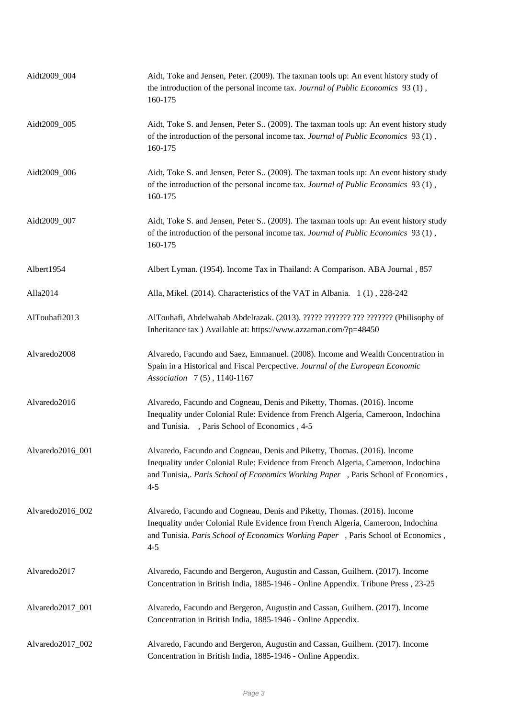| Aidt2009_004     | Aidt, Toke and Jensen, Peter. (2009). The taxman tools up: An event history study of<br>the introduction of the personal income tax. Journal of Public Economics 93 (1),<br>160-175                                                                           |
|------------------|---------------------------------------------------------------------------------------------------------------------------------------------------------------------------------------------------------------------------------------------------------------|
| Aidt2009_005     | Aidt, Toke S. and Jensen, Peter S (2009). The taxman tools up: An event history study<br>of the introduction of the personal income tax. Journal of Public Economics 93 (1),<br>160-175                                                                       |
| Aidt2009_006     | Aidt, Toke S. and Jensen, Peter S (2009). The taxman tools up: An event history study<br>of the introduction of the personal income tax. Journal of Public Economics 93 (1),<br>160-175                                                                       |
| Aidt2009_007     | Aidt, Toke S. and Jensen, Peter S (2009). The taxman tools up: An event history study<br>of the introduction of the personal income tax. Journal of Public Economics 93 (1),<br>160-175                                                                       |
| Albert1954       | Albert Lyman. (1954). Income Tax in Thailand: A Comparison. ABA Journal, 857                                                                                                                                                                                  |
| Alla2014         | Alla, Mikel. (2014). Characteristics of the VAT in Albania. 1(1), 228-242                                                                                                                                                                                     |
| AlTouhafi2013    | AlTouhafi, Abdelwahab Abdelrazak. (2013). ????? ??????? ??? ??????? (Philisophy of<br>Inheritance tax ) Available at: https://www.azzaman.com/?p=48450                                                                                                        |
| Alvaredo2008     | Alvaredo, Facundo and Saez, Emmanuel. (2008). Income and Wealth Concentration in<br>Spain in a Historical and Fiscal Percpective. Journal of the European Economic<br>Association 7(5), 1140-1167                                                             |
| Alvaredo2016     | Alvaredo, Facundo and Cogneau, Denis and Piketty, Thomas. (2016). Income<br>Inequality under Colonial Rule: Evidence from French Algeria, Cameroon, Indochina<br>and Tunisia. , Paris School of Economics , 4-5                                               |
| Alvaredo2016_001 | Alvaredo, Facundo and Cogneau, Denis and Piketty, Thomas. (2016). Income<br>Inequality under Colonial Rule: Evidence from French Algeria, Cameroon, Indochina<br>and Tunisia,. Paris School of Economics Working Paper, Paris School of Economics,<br>$4 - 5$ |
| Alvaredo2016_002 | Alvaredo, Facundo and Cogneau, Denis and Piketty, Thomas. (2016). Income<br>Inequality under Colonial Rule Evidence from French Algeria, Cameroon, Indochina<br>and Tunisia. Paris School of Economics Working Paper, Paris School of Economics,<br>$4 - 5$   |
| Alvaredo2017     | Alvaredo, Facundo and Bergeron, Augustin and Cassan, Guilhem. (2017). Income<br>Concentration in British India, 1885-1946 - Online Appendix. Tribune Press, 23-25                                                                                             |
| Alvaredo2017_001 | Alvaredo, Facundo and Bergeron, Augustin and Cassan, Guilhem. (2017). Income<br>Concentration in British India, 1885-1946 - Online Appendix.                                                                                                                  |
| Alvaredo2017_002 | Alvaredo, Facundo and Bergeron, Augustin and Cassan, Guilhem. (2017). Income<br>Concentration in British India, 1885-1946 - Online Appendix.                                                                                                                  |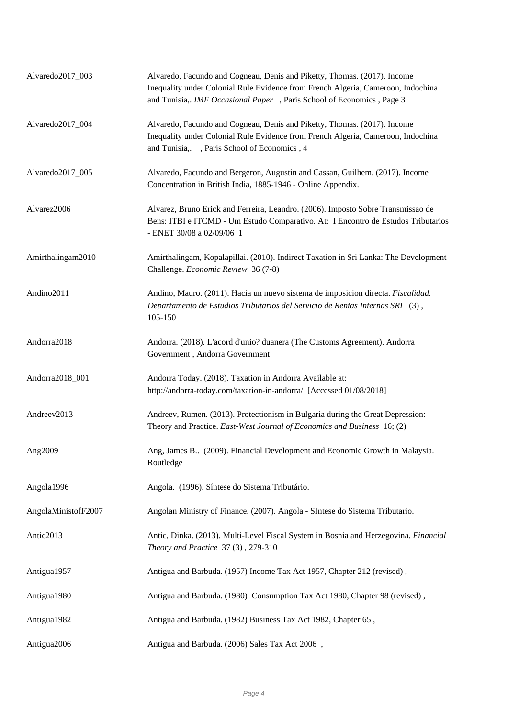| Alvaredo2017_003    | Alvaredo, Facundo and Cogneau, Denis and Piketty, Thomas. (2017). Income<br>Inequality under Colonial Rule Evidence from French Algeria, Cameroon, Indochina<br>and Tunisia,. IMF Occasional Paper, Paris School of Economics, Page 3 |
|---------------------|---------------------------------------------------------------------------------------------------------------------------------------------------------------------------------------------------------------------------------------|
| Alvaredo2017_004    | Alvaredo, Facundo and Cogneau, Denis and Piketty, Thomas. (2017). Income<br>Inequality under Colonial Rule Evidence from French Algeria, Cameroon, Indochina<br>and Tunisia, , Paris School of Economics, 4                           |
| Alvaredo2017_005    | Alvaredo, Facundo and Bergeron, Augustin and Cassan, Guilhem. (2017). Income<br>Concentration in British India, 1885-1946 - Online Appendix.                                                                                          |
| Alvarez2006         | Alvarez, Bruno Erick and Ferreira, Leandro. (2006). Imposto Sobre Transmissao de<br>Bens: ITBI e ITCMD - Um Estudo Comparativo. At: I Encontro de Estudos Tributarios<br>- ENET 30/08 a 02/09/06 1                                    |
| Amirthalingam2010   | Amirthalingam, Kopalapillai. (2010). Indirect Taxation in Sri Lanka: The Development<br>Challenge. Economic Review 36 (7-8)                                                                                                           |
| Andino2011          | Andino, Mauro. (2011). Hacia un nuevo sistema de imposicion directa. Fiscalidad.<br>Departamento de Estudios Tributarios del Servicio de Rentas Internas SRI (3),<br>105-150                                                          |
| Andorra2018         | Andorra. (2018). L'acord d'unio? duanera (The Customs Agreement). Andorra<br>Government, Andorra Government                                                                                                                           |
| Andorra2018_001     | Andorra Today. (2018). Taxation in Andorra Available at:<br>http://andorra-today.com/taxation-in-andorra/ [Accessed 01/08/2018]                                                                                                       |
| Andreev2013         | Andreev, Rumen. (2013). Protectionism in Bulgaria during the Great Depression:<br>Theory and Practice. East-West Journal of Economics and Business 16; (2)                                                                            |
| Ang2009             | Ang, James B. (2009). Financial Development and Economic Growth in Malaysia.<br>Routledge                                                                                                                                             |
| Angola1996          | Angola. (1996). Síntese do Sistema Tributário.                                                                                                                                                                                        |
| AngolaMinistofF2007 | Angolan Ministry of Finance. (2007). Angola - SIntese do Sistema Tributario.                                                                                                                                                          |
| Antic2013           | Antic, Dinka. (2013). Multi-Level Fiscal System in Bosnia and Herzegovina. Financial<br>Theory and Practice 37 (3), 279-310                                                                                                           |
| Antigua1957         | Antigua and Barbuda. (1957) Income Tax Act 1957, Chapter 212 (revised),                                                                                                                                                               |
| Antigua1980         | Antigua and Barbuda. (1980) Consumption Tax Act 1980, Chapter 98 (revised),                                                                                                                                                           |
| Antigua1982         | Antigua and Barbuda. (1982) Business Tax Act 1982, Chapter 65,                                                                                                                                                                        |
| Antigua2006         | Antigua and Barbuda. (2006) Sales Tax Act 2006,                                                                                                                                                                                       |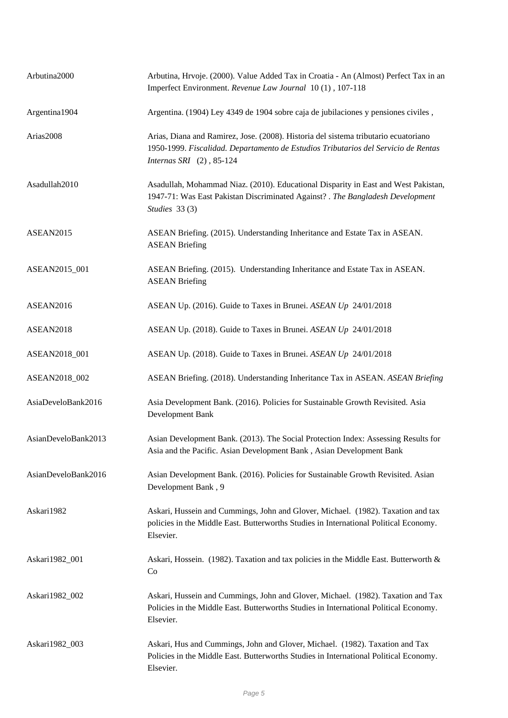| Arbutina2000        | Arbutina, Hrvoje. (2000). Value Added Tax in Croatia - An (Almost) Perfect Tax in an<br>Imperfect Environment. Revenue Law Journal 10(1), 107-118                                                        |
|---------------------|----------------------------------------------------------------------------------------------------------------------------------------------------------------------------------------------------------|
| Argentina1904       | Argentina. (1904) Ley 4349 de 1904 sobre caja de jubilaciones y pensiones civiles,                                                                                                                       |
| Arias2008           | Arias, Diana and Ramirez, Jose. (2008). Historia del sistema tributario ecuatoriano<br>1950-1999. Fiscalidad. Departamento de Estudios Tributarios del Servicio de Rentas<br>Internas SRI $(2)$ , 85-124 |
| Asadullah2010       | Asadullah, Mohammad Niaz. (2010). Educational Disparity in East and West Pakistan,<br>1947-71: Was East Pakistan Discriminated Against? . The Bangladesh Development<br>Studies 33 (3)                   |
| ASEAN2015           | ASEAN Briefing. (2015). Understanding Inheritance and Estate Tax in ASEAN.<br><b>ASEAN Briefing</b>                                                                                                      |
| ASEAN2015_001       | ASEAN Briefing. (2015). Understanding Inheritance and Estate Tax in ASEAN.<br><b>ASEAN Briefing</b>                                                                                                      |
| ASEAN2016           | ASEAN Up. (2016). Guide to Taxes in Brunei. ASEAN Up 24/01/2018                                                                                                                                          |
| ASEAN2018           | ASEAN Up. (2018). Guide to Taxes in Brunei. ASEAN Up 24/01/2018                                                                                                                                          |
| ASEAN2018_001       | ASEAN Up. (2018). Guide to Taxes in Brunei. ASEAN Up 24/01/2018                                                                                                                                          |
| ASEAN2018_002       | ASEAN Briefing. (2018). Understanding Inheritance Tax in ASEAN. ASEAN Briefing                                                                                                                           |
| AsiaDeveloBank2016  | Asia Development Bank. (2016). Policies for Sustainable Growth Revisited. Asia<br>Development Bank                                                                                                       |
| AsianDeveloBank2013 | Asian Development Bank. (2013). The Social Protection Index: Assessing Results for<br>Asia and the Pacific. Asian Development Bank, Asian Development Bank                                               |
| AsianDeveloBank2016 | Asian Development Bank. (2016). Policies for Sustainable Growth Revisited. Asian<br>Development Bank, 9                                                                                                  |
| Askari1982          | Askari, Hussein and Cummings, John and Glover, Michael. (1982). Taxation and tax<br>policies in the Middle East. Butterworths Studies in International Political Economy.<br>Elsevier.                   |
| Askari1982_001      | Askari, Hossein. (1982). Taxation and tax policies in the Middle East. Butterworth $\&$<br>Co                                                                                                            |
| Askari1982_002      | Askari, Hussein and Cummings, John and Glover, Michael. (1982). Taxation and Tax<br>Policies in the Middle East. Butterworths Studies in International Political Economy.<br>Elsevier.                   |
| Askari1982_003      | Askari, Hus and Cummings, John and Glover, Michael. (1982). Taxation and Tax<br>Policies in the Middle East. Butterworths Studies in International Political Economy.<br>Elsevier.                       |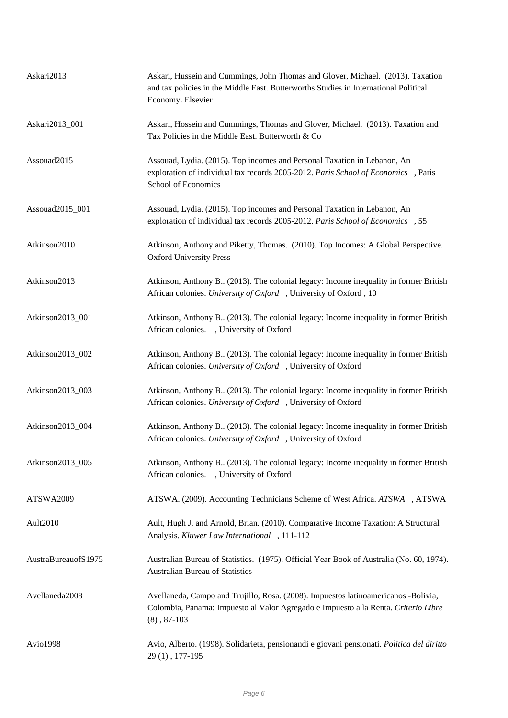| Askari2013          | Askari, Hussein and Cummings, John Thomas and Glover, Michael. (2013). Taxation<br>and tax policies in the Middle East. Butterworths Studies in International Political<br>Economy. Elsevier |
|---------------------|----------------------------------------------------------------------------------------------------------------------------------------------------------------------------------------------|
| Askari2013_001      | Askari, Hossein and Cummings, Thomas and Glover, Michael. (2013). Taxation and<br>Tax Policies in the Middle East. Butterworth & Co                                                          |
| Assouad2015         | Assouad, Lydia. (2015). Top incomes and Personal Taxation in Lebanon, An<br>exploration of individual tax records 2005-2012. Paris School of Economics , Paris<br>School of Economics        |
| Assouad2015_001     | Assouad, Lydia. (2015). Top incomes and Personal Taxation in Lebanon, An<br>exploration of individual tax records 2005-2012. Paris School of Economics , 55                                  |
| Atkinson2010        | Atkinson, Anthony and Piketty, Thomas. (2010). Top Incomes: A Global Perspective.<br><b>Oxford University Press</b>                                                                          |
| Atkinson2013        | Atkinson, Anthony B., (2013). The colonial legacy: Income inequality in former British<br>African colonies. University of Oxford, University of Oxford, 10                                   |
| Atkinson2013_001    | Atkinson, Anthony B., (2013). The colonial legacy: Income inequality in former British<br>African colonies. , University of Oxford                                                           |
| Atkinson2013_002    | Atkinson, Anthony B., (2013). The colonial legacy: Income inequality in former British<br>African colonies. University of Oxford , University of Oxford                                      |
| Atkinson2013_003    | Atkinson, Anthony B., (2013). The colonial legacy: Income inequality in former British<br>African colonies. University of Oxford , University of Oxford                                      |
| Atkinson2013_004    | Atkinson, Anthony B (2013). The colonial legacy: Income inequality in former British<br>African colonies. University of Oxford , University of Oxford                                        |
| Atkinson2013_005    | Atkinson, Anthony B. (2013). The colonial legacy: Income inequality in former British<br>African colonies. , University of Oxford                                                            |
| ATSWA2009           | ATSWA. (2009). Accounting Technicians Scheme of West Africa. ATSWA , ATSWA                                                                                                                   |
| Ault2010            | Ault, Hugh J. and Arnold, Brian. (2010). Comparative Income Taxation: A Structural<br>Analysis. Kluwer Law International , 111-112                                                           |
| AustraBureauofS1975 | Australian Bureau of Statistics. (1975). Official Year Book of Australia (No. 60, 1974).<br><b>Australian Bureau of Statistics</b>                                                           |
| Avellaneda2008      | Avellaneda, Campo and Trujillo, Rosa. (2008). Impuestos latinoamericanos -Bolivia,<br>Colombia, Panama: Impuesto al Valor Agregado e Impuesto a la Renta. Criterio Libre<br>$(8), 87-103$    |
| Avio1998            | Avio, Alberto. (1998). Solidarieta, pensionandi e giovani pensionati. Politica del diritto<br>29(1), 177-195                                                                                 |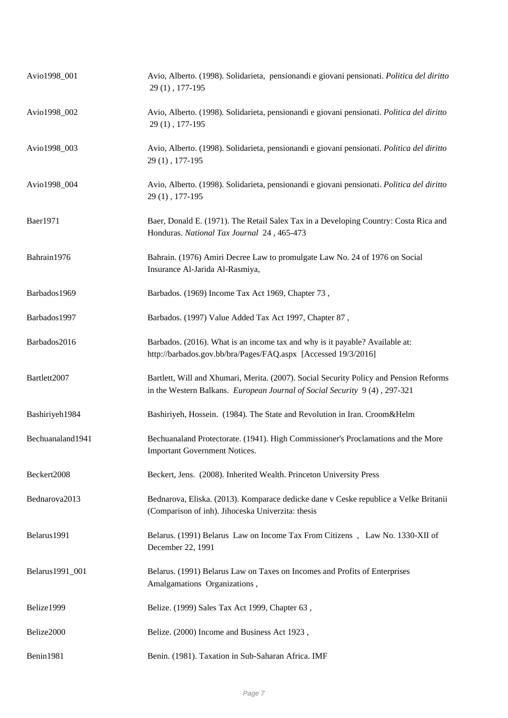| Avio1998 001     | Avio, Alberto. (1998). Solidariet a, pensionandi e giovani pensionati. Politica del diritto<br>29(1), 177-195                                                       |
|------------------|---------------------------------------------------------------------------------------------------------------------------------------------------------------------|
| Avio1998_002     | Avio, Alberto. (1998). Solidarieta, pensionandi e giovani pensionati. Politica del diritto<br>29(1), 177-195                                                        |
| Avio1998_003     | Avio, Alberto. (1998). Solidarieta, pensionandi e giovani pensionati. Politica del diritto<br>29(1), 177-195                                                        |
| Avio1998_004     | Avio, Alberto. (1998). Solidarieta, pensionandi e giovani pensionati. Politica del diritto<br>29(1), 177-195                                                        |
| Baer1971         | Baer, Donald E. (1971). The Retail Salex Tax in a Developing Country: Costa Rica and<br>Honduras. National Tax Journal 24, 465-473                                  |
| Bahrain1976      | Bahrain. (1976) Amiri Decree Law to promulgate Law No. 24 of 1976 on Social<br>Insurance Al-Jarida Al-Rasmiya,                                                      |
| Barbados1969     | Barbados. (1969) Income Tax Act 1969, Chapter 73,                                                                                                                   |
| Barbados1997     | Barbados. (1997) Value Added Tax Act 1997, Chapter 87,                                                                                                              |
| Barbados2016     | Barbados. (2016). What is an income tax and why is it payable? Available at:<br>http://barbados.gov.bb/bra/Pages/FAQ.aspx [Accessed 19/3/2016]                      |
| Bartlett2007     | Bartlett, Will and Xhumari, Merita. (2007). Social Security Policy and Pension Reforms<br>in the Western Balkans. European Journal of Social Security 9(4), 297-321 |
| Bashiriyeh1984   | Bashiriyeh, Hossein. (1984). The State and Revolution in Iran. Croom&Helm                                                                                           |
| Bechuanaland1941 | Bechuanaland Protectorate. (1941). High Commissioner's Proclamations and the More<br><b>Important Government Notices.</b>                                           |
| Beckert2008      | Beckert, Jens. (2008). Inherited Wealth. Princeton University Press                                                                                                 |
| Bednarova2013    | Bednarova, Eliska. (2013). Komparace dedicke dane v Ceske republice a Velke Britanii<br>(Comparison of inh). Jihoceska Univerzita: thesis                           |
| Belarus1991      | Belarus. (1991) Belarus Law on Income Tax From Citizens, Law No. 1330-XII of<br>December 22, 1991                                                                   |
| Belarus1991_001  | Belarus. (1991) Belarus Law on Taxes on Incomes and Profits of Enterprises<br>Amalgamations Organizations,                                                          |
| Belize1999       | Belize. (1999) Sales Tax Act 1999, Chapter 63,                                                                                                                      |
| Belize2000       | Belize. (2000) Income and Business Act 1923,                                                                                                                        |
| Benin1981        | Benin. (1981). Taxation in Sub-Saharan Africa. IMF                                                                                                                  |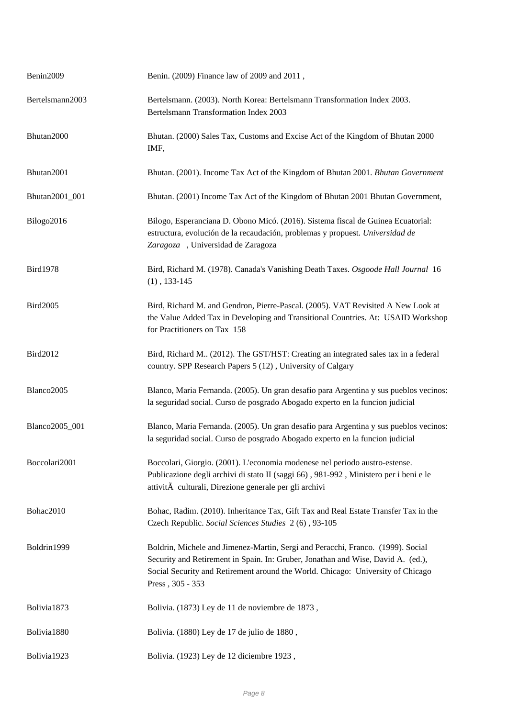| Benin2009       | Benin. (2009) Finance law of 2009 and 2011,                                                                                                                                                                                                                                |
|-----------------|----------------------------------------------------------------------------------------------------------------------------------------------------------------------------------------------------------------------------------------------------------------------------|
| Bertelsmann2003 | Bertelsmann. (2003). North Korea: Bertelsmann Transformation Index 2003.<br>Bertelsmann Transformation Index 2003                                                                                                                                                          |
| Bhutan2000      | Bhutan. (2000) Sales Tax, Customs and Excise Act of the Kingdom of Bhutan 2000<br>IMF,                                                                                                                                                                                     |
| Bhutan2001      | Bhutan. (2001). Income Tax Act of the Kingdom of Bhutan 2001. Bhutan Government                                                                                                                                                                                            |
| Bhutan2001_001  | Bhutan. (2001) Income Tax Act of the Kingdom of Bhutan 2001 Bhutan Government,                                                                                                                                                                                             |
| Bilogo2016      | Bilogo, Esperanciana D. Obono Micó. (2016). Sistema fiscal de Guinea Ecuatorial:<br>estructura, evolución de la recaudación, problemas y propuest. Universidad de<br>Zaragoza, Universidad de Zaragoza                                                                     |
| <b>Bird1978</b> | Bird, Richard M. (1978). Canada's Vanishing Death Taxes. Osgoode Hall Journal 16<br>$(1), 133-145$                                                                                                                                                                         |
| <b>Bird2005</b> | Bird, Richard M. and Gendron, Pierre-Pascal. (2005). VAT Revisited A New Look at<br>the Value Added Tax in Developing and Transitional Countries. At: USAID Workshop<br>for Practitioners on Tax 158                                                                       |
| Bird2012        | Bird, Richard M., (2012). The GST/HST: Creating an integrated sales tax in a federal<br>country. SPP Research Papers 5 (12), University of Calgary                                                                                                                         |
| Blanco2005      | Blanco, Maria Fernanda. (2005). Un gran desafio para Argentina y sus pueblos vecinos:<br>la seguridad social. Curso de posgrado Abogado experto en la funcion judicial                                                                                                     |
| Blanco2005_001  | Blanco, Maria Fernanda. (2005). Un gran desafio para Argentina y sus pueblos vecinos:<br>la seguridad social. Curso de posgrado Abogado experto en la funcion judicial                                                                                                     |
| Boccolari2001   | Boccolari, Giorgio. (2001). L'economia modenese nel periodo austro-estense.<br>Publicazione degli archivi di stato II (saggi 66), 981-992, Ministero per i beni e le<br>attività culturali, Direzione generale per gli archivi                                             |
| Bohac2010       | Bohac, Radim. (2010). Inheritance Tax, Gift Tax and Real Estate Transfer Tax in the<br>Czech Republic. Social Sciences Studies 2(6), 93-105                                                                                                                                |
| Boldrin1999     | Boldrin, Michele and Jimenez-Martin, Sergi and Peracchi, Franco. (1999). Social<br>Security and Retirement in Spain. In: Gruber, Jonathan and Wise, David A. (ed.),<br>Social Security and Retirement around the World. Chicago: University of Chicago<br>Press, 305 - 353 |
| Bolivia1873     | Bolivia. (1873) Ley de 11 de noviembre de 1873,                                                                                                                                                                                                                            |
| Bolivia1880     | Bolivia. (1880) Ley de 17 de julio de 1880,                                                                                                                                                                                                                                |
| Bolivia1923     | Bolivia. (1923) Ley de 12 diciembre 1923,                                                                                                                                                                                                                                  |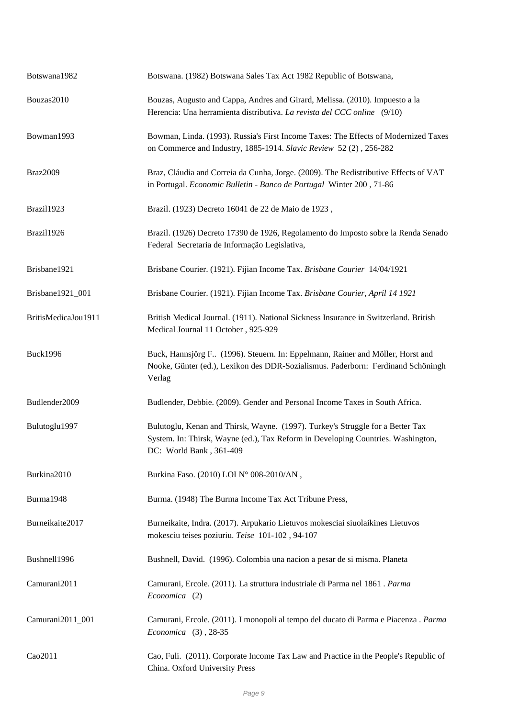| Botswana1982        | Botswana. (1982) Botswana Sales Tax Act 1982 Republic of Botswana,                                                                                                                            |
|---------------------|-----------------------------------------------------------------------------------------------------------------------------------------------------------------------------------------------|
| Bouzas2010          | Bouzas, Augusto and Cappa, Andres and Girard, Melissa. (2010). Impuesto a la<br>Herencia: Una herramienta distributiva. La revista del CCC online (9/10)                                      |
| Bowman1993          | Bowman, Linda. (1993). Russia's First Income Taxes: The Effects of Modernized Taxes<br>on Commerce and Industry, 1885-1914. Slavic Review 52 (2), 256-282                                     |
| Braz2009            | Braz, Cláudia and Correia da Cunha, Jorge. (2009). The Redistributive Effects of VAT<br>in Portugal. Economic Bulletin - Banco de Portugal Winter 200, 71-86                                  |
| Brazil1923          | Brazil. (1923) Decreto 16041 de 22 de Maio de 1923,                                                                                                                                           |
| Brazil1926          | Brazil. (1926) Decreto 17390 de 1926, Regolamento do Imposto sobre la Renda Senado<br>Federal Secretaria de Informação Legislativa,                                                           |
| Brisbane1921        | Brisbane Courier. (1921). Fijian Income Tax. Brisbane Courier 14/04/1921                                                                                                                      |
| Brisbane1921_001    | Brisbane Courier. (1921). Fijian Income Tax. Brisbane Courier, April 14 1921                                                                                                                  |
| BritisMedicaJou1911 | British Medical Journal. (1911). National Sickness Insurance in Switzerland. British<br>Medical Journal 11 October, 925-929                                                                   |
| <b>Buck1996</b>     | Buck, Hannsjörg F (1996). Steuern. In: Eppelmann, Rainer and Möller, Horst and<br>Nooke, Günter (ed.), Lexikon des DDR-Sozialismus. Paderborn: Ferdinand Schöningh<br>Verlag                  |
| Budlender2009       | Budlender, Debbie. (2009). Gender and Personal Income Taxes in South Africa.                                                                                                                  |
| Bulutoglu1997       | Bulutoglu, Kenan and Thirsk, Wayne. (1997). Turkey's Struggle for a Better Tax<br>System. In: Thirsk, Wayne (ed.), Tax Reform in Developing Countries. Washington,<br>DC: World Bank, 361-409 |
| Burkina2010         | Burkina Faso. (2010) LOI N° 008-2010/AN,                                                                                                                                                      |
| Burma1948           | Burma. (1948) The Burma Income Tax Act Tribune Press,                                                                                                                                         |
| Burneikaite2017     | Burneikaite, Indra. (2017). Arpukario Lietuvos mokesciai siuolaikines Lietuvos<br>mokesciu teises poziuriu. Teise 101-102, 94-107                                                             |
| Bushnell1996        | Bushnell, David. (1996). Colombia una nacion a pesar de si misma. Planeta                                                                                                                     |
| Camurani2011        | Camurani, Ercole. (2011). La struttura industriale di Parma nel 1861. Parma<br>Economica (2)                                                                                                  |
| Camurani2011_001    | Camurani, Ercole. (2011). I monopoli al tempo del ducato di Parma e Piacenza. Parma<br>Economica (3), 28-35                                                                                   |
| Cao2011             | Cao, Fuli. (2011). Corporate Income Tax Law and Practice in the People's Republic of<br>China. Oxford University Press                                                                        |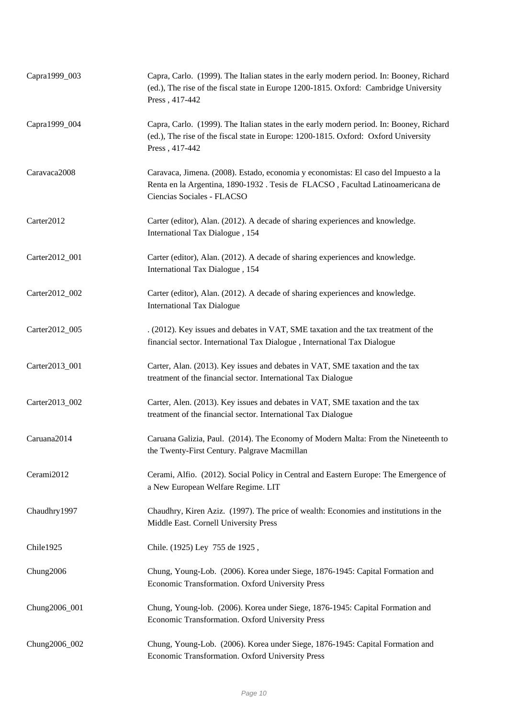| Capra1999_003  | Capra, Carlo. (1999). The Italian states in the early modern period. In: Booney, Richard<br>(ed.), The rise of the fiscal state in Europe 1200-1815. Oxford: Cambridge University<br>Press, 417-442  |
|----------------|------------------------------------------------------------------------------------------------------------------------------------------------------------------------------------------------------|
| Capra1999_004  | Capra, Carlo. (1999). The Italian states in the early modern period. In: Booney, Richard<br>(ed.), The rise of the fiscal state in Europe: 1200-1815. Oxford: Oxford University<br>Press, 417-442    |
| Caravaca2008   | Caravaca, Jimena. (2008). Estado, economia y economistas: El caso del Impuesto a la<br>Renta en la Argentina, 1890-1932 . Tesis de FLACSO, Facultad Latinoamericana de<br>Ciencias Sociales - FLACSO |
| Carter2012     | Carter (editor), Alan. (2012). A decade of sharing experiences and knowledge.<br>International Tax Dialogue, 154                                                                                     |
| Carter2012_001 | Carter (editor), Alan. (2012). A decade of sharing experiences and knowledge.<br>International Tax Dialogue, 154                                                                                     |
| Carter2012_002 | Carter (editor), Alan. (2012). A decade of sharing experiences and knowledge.<br><b>International Tax Dialogue</b>                                                                                   |
| Carter2012_005 | . (2012). Key issues and debates in VAT, SME taxation and the tax treatment of the<br>financial sector. International Tax Dialogue, International Tax Dialogue                                       |
| Carter2013_001 | Carter, Alan. (2013). Key issues and debates in VAT, SME taxation and the tax<br>treatment of the financial sector. International Tax Dialogue                                                       |
| Carter2013_002 | Carter, Alen. (2013). Key issues and debates in VAT, SME taxation and the tax<br>treatment of the financial sector. International Tax Dialogue                                                       |
| Caruana2014    | Caruana Galizia, Paul. (2014). The Economy of Modern Malta: From the Nineteenth to<br>the Twenty-First Century. Palgrave Macmillan                                                                   |
| Cerami2012     | Cerami, Alfio. (2012). Social Policy in Central and Eastern Europe: The Emergence of<br>a New European Welfare Regime. LIT                                                                           |
| Chaudhry1997   | Chaudhry, Kiren Aziz. (1997). The price of wealth: Economies and institutions in the<br>Middle East. Cornell University Press                                                                        |
| Chile1925      | Chile. (1925) Ley 755 de 1925,                                                                                                                                                                       |
| Chung2006      | Chung, Young-Lob. (2006). Korea under Siege, 1876-1945: Capital Formation and<br>Economic Transformation. Oxford University Press                                                                    |
| Chung2006_001  | Chung, Young-lob. (2006). Korea under Siege, 1876-1945: Capital Formation and<br>Economic Transformation. Oxford University Press                                                                    |
| Chung2006_002  | Chung, Young-Lob. (2006). Korea under Siege, 1876-1945: Capital Formation and<br>Economic Transformation. Oxford University Press                                                                    |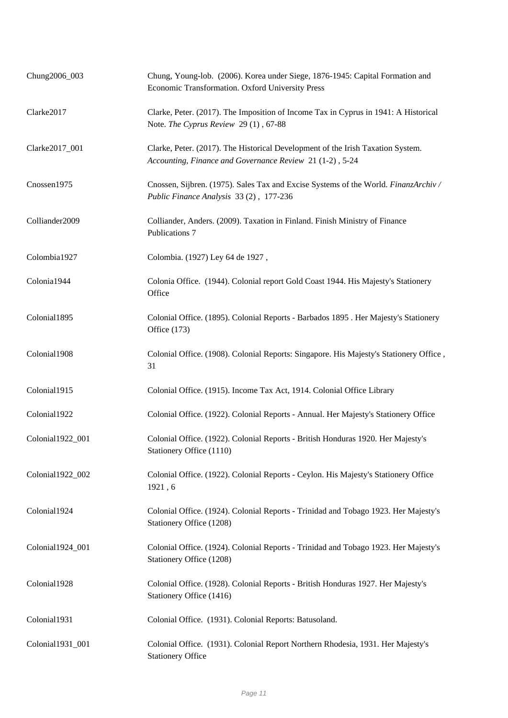| Chung2006_003    | Chung, Young-lob. (2006). Korea under Siege, 1876-1945: Capital Formation and<br>Economic Transformation. Oxford University Press           |
|------------------|---------------------------------------------------------------------------------------------------------------------------------------------|
| Clarke2017       | Clarke, Peter. (2017). The Imposition of Income Tax in Cyprus in 1941: A Historical<br>Note. The Cyprus Review 29 (1), 67-88                |
| Clarke2017_001   | Clarke, Peter. (2017). The Historical Development of the Irish Taxation System.<br>Accounting, Finance and Governance Review 21 (1-2), 5-24 |
| Cnossen1975      | Cnossen, Sijbren. (1975). Sales Tax and Excise Systems of the World. FinanzArchiv/<br>Public Finance Analysis 33 (2), 177-236               |
| Colliander2009   | Colliander, Anders. (2009). Taxation in Finland. Finish Ministry of Finance<br>Publications 7                                               |
| Colombia1927     | Colombia. (1927) Ley 64 de 1927,                                                                                                            |
| Colonia1944      | Colonia Office. (1944). Colonial report Gold Coast 1944. His Majesty's Stationery<br>Office                                                 |
| Colonial1895     | Colonial Office. (1895). Colonial Reports - Barbados 1895. Her Majesty's Stationery<br>Office (173)                                         |
| Colonial1908     | Colonial Office. (1908). Colonial Reports: Singapore. His Majesty's Stationery Office,<br>31                                                |
| Colonial1915     | Colonial Office. (1915). Income Tax Act, 1914. Colonial Office Library                                                                      |
| Colonial1922     | Colonial Office. (1922). Colonial Reports - Annual. Her Majesty's Stationery Office                                                         |
| Colonial1922_001 | Colonial Office. (1922). Colonial Reports - British Honduras 1920. Her Majesty's<br>Stationery Office (1110)                                |
| Colonial1922_002 | Colonial Office. (1922). Colonial Reports - Ceylon. His Majesty's Stationery Office<br>1921,6                                               |
| Colonial1924     | Colonial Office. (1924). Colonial Reports - Trinidad and Tobago 1923. Her Majesty's<br>Stationery Office (1208)                             |
| Colonial1924_001 | Colonial Office. (1924). Colonial Reports - Trinidad and Tobago 1923. Her Majesty's<br>Stationery Office (1208)                             |
| Colonial1928     | Colonial Office. (1928). Colonial Reports - British Honduras 1927. Her Majesty's<br>Stationery Office (1416)                                |
| Colonial1931     | Colonial Office. (1931). Colonial Reports: Batusoland.                                                                                      |
| Colonial1931_001 | Colonial Office. (1931). Colonial Report Northern Rhodesia, 1931. Her Majesty's<br><b>Stationery Office</b>                                 |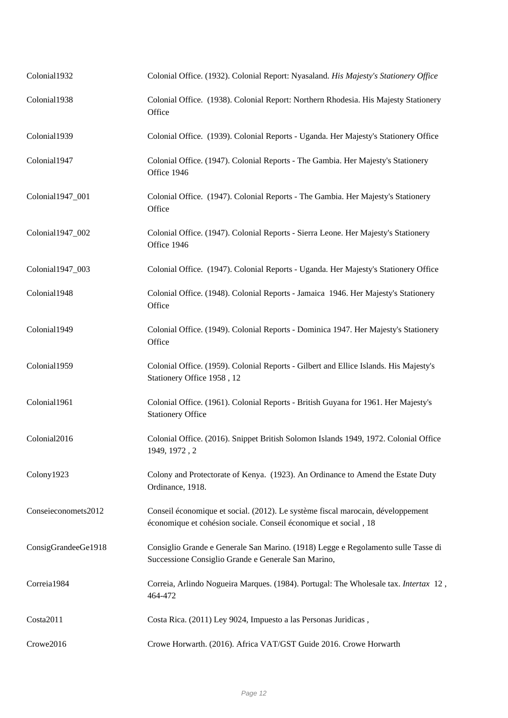| Colonial1932        | Colonial Office. (1932). Colonial Report: Nyasaland. His Majesty's Stationery Office                                                                |
|---------------------|-----------------------------------------------------------------------------------------------------------------------------------------------------|
| Colonial1938        | Colonial Office. (1938). Colonial Report: Northern Rhodesia. His Majesty Stationery<br>Office                                                       |
| Colonial1939        | Colonial Office. (1939). Colonial Reports - Uganda. Her Majesty's Stationery Office                                                                 |
| Colonial1947        | Colonial Office. (1947). Colonial Reports - The Gambia. Her Majesty's Stationery<br>Office 1946                                                     |
| Colonial1947_001    | Colonial Office. (1947). Colonial Reports - The Gambia. Her Majesty's Stationery<br>Office                                                          |
| Colonial1947_002    | Colonial Office. (1947). Colonial Reports - Sierra Leone. Her Majesty's Stationery<br>Office 1946                                                   |
| Colonial1947_003    | Colonial Office. (1947). Colonial Reports - Uganda. Her Majesty's Stationery Office                                                                 |
| Colonial1948        | Colonial Office. (1948). Colonial Reports - Jamaica 1946. Her Majesty's Stationery<br>Office                                                        |
| Colonial1949        | Colonial Office. (1949). Colonial Reports - Dominica 1947. Her Majesty's Stationery<br>Office                                                       |
| Colonial1959        | Colonial Office. (1959). Colonial Reports - Gilbert and Ellice Islands. His Majesty's<br>Stationery Office 1958, 12                                 |
| Colonial1961        | Colonial Office. (1961). Colonial Reports - British Guyana for 1961. Her Majesty's<br><b>Stationery Office</b>                                      |
| Colonial2016        | Colonial Office. (2016). Snippet British Solomon Islands 1949, 1972. Colonial Office<br>1949, 1972, 2                                               |
| Colony1923          | Colony and Protectorate of Kenya. (1923). An Ordinance to Amend the Estate Duty<br>Ordinance, 1918.                                                 |
| Conseieconomets2012 | Conseil économique et social. (2012). Le système fiscal marocain, développement<br>économique et cohésion sociale. Conseil économique et social, 18 |
| ConsigGrandeeGe1918 | Consiglio Grande e Generale San Marino. (1918) Legge e Regolamento sulle Tasse di<br>Successione Consiglio Grande e Generale San Marino,            |
| Correia1984         | Correia, Arlindo Nogueira Marques. (1984). Portugal: The Wholesale tax. Intertax 12,<br>464-472                                                     |
| Costa2011           | Costa Rica. (2011) Ley 9024, Impuesto a las Personas Juridicas,                                                                                     |
| Crowe2016           | Crowe Horwarth. (2016). Africa VAT/GST Guide 2016. Crowe Horwarth                                                                                   |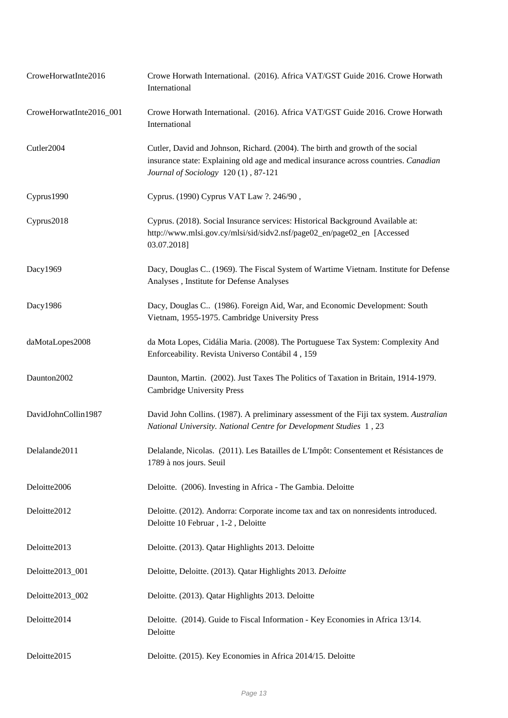| CroweHorwatInte2016     | Crowe Horwath International. (2016). Africa VAT/GST Guide 2016. Crowe Horwath<br>International                                                                                                                |
|-------------------------|---------------------------------------------------------------------------------------------------------------------------------------------------------------------------------------------------------------|
| CroweHorwatInte2016_001 | Crowe Horwath International. (2016). Africa VAT/GST Guide 2016. Crowe Horwath<br>International                                                                                                                |
| Cutler2004              | Cutler, David and Johnson, Richard. (2004). The birth and growth of the social<br>insurance state: Explaining old age and medical insurance across countries. Canadian<br>Journal of Sociology 120(1), 87-121 |
| Cyprus1990              | Cyprus. (1990) Cyprus VAT Law ?. 246/90,                                                                                                                                                                      |
| Cyprus2018              | Cyprus. (2018). Social Insurance services: Historical Background Available at:<br>http://www.mlsi.gov.cy/mlsi/sid/sidv2.nsf/page02_en/page02_en [Accessed<br>03.07.2018]                                      |
| Dacy1969                | Dacy, Douglas C (1969). The Fiscal System of Wartime Vietnam. Institute for Defense<br>Analyses, Institute for Defense Analyses                                                                               |
| Dacy1986                | Dacy, Douglas C (1986). Foreign Aid, War, and Economic Development: South<br>Vietnam, 1955-1975. Cambridge University Press                                                                                   |
| daMotaLopes2008         | da Mota Lopes, Cidália Maria. (2008). The Portuguese Tax System: Complexity And<br>Enforceability. Revista Universo Contábil 4, 159                                                                           |
| Daunton2002             | Daunton, Martin. (2002). Just Taxes The Politics of Taxation in Britain, 1914-1979.<br><b>Cambridge University Press</b>                                                                                      |
| DavidJohnCollin1987     | David John Collins. (1987). A preliminary assessment of the Fiji tax system. Australian<br>National University. National Centre for Development Studies 1, 23                                                 |
| Delalande2011           | Delalande, Nicolas. (2011). Les Batailles de L'Impôt: Consentement et Résistances de<br>1789 à nos jours. Seuil                                                                                               |
| Deloitte2006            | Deloitte. (2006). Investing in Africa - The Gambia. Deloitte                                                                                                                                                  |
| Deloitte2012            | Deloitte. (2012). Andorra: Corporate income tax and tax on nonresidents introduced.<br>Deloitte 10 Februar, 1-2, Deloitte                                                                                     |
| Deloitte2013            | Deloitte. (2013). Qatar Highlights 2013. Deloitte                                                                                                                                                             |
| Deloitte2013_001        | Deloitte, Deloitte. (2013). Qatar Highlights 2013. Deloitte                                                                                                                                                   |
| Deloitte2013_002        | Deloitte. (2013). Qatar Highlights 2013. Deloitte                                                                                                                                                             |
| Deloitte2014            | Deloitte. (2014). Guide to Fiscal Information - Key Economies in Africa 13/14.<br>Deloitte                                                                                                                    |
| Deloitte2015            | Deloitte. (2015). Key Economies in Africa 2014/15. Deloitte                                                                                                                                                   |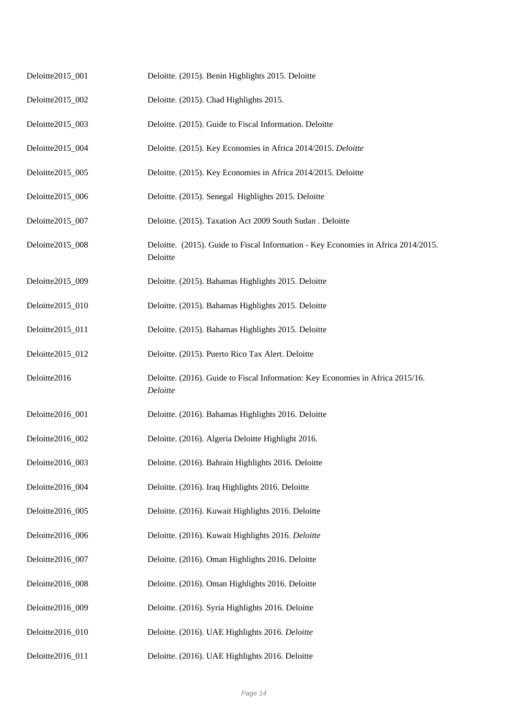| Deloitte2015_001 | Deloitte. (2015). Benin Highlights 2015. Deloitte                                              |
|------------------|------------------------------------------------------------------------------------------------|
| Deloitte2015_002 | Deloitte. (2015). Chad Highlights 2015.                                                        |
| Deloitte2015_003 | Deloitte. (2015). Guide to Fiscal Information. Deloitte                                        |
| Deloitte2015_004 | Deloitte. (2015). Key Economies in Africa 2014/2015. Deloitte                                  |
| Deloitte2015_005 | Deloitte. (2015). Key Economies in Africa 2014/2015. Deloitte                                  |
| Deloitte2015_006 | Deloitte. (2015). Senegal Highlights 2015. Deloitte                                            |
| Deloitte2015_007 | Deloitte. (2015). Taxation Act 2009 South Sudan . Deloitte                                     |
| Deloitte2015_008 | Deloitte. (2015). Guide to Fiscal Information - Key Economies in Africa 2014/2015.<br>Deloitte |
| Deloitte2015_009 | Deloitte. (2015). Bahamas Highlights 2015. Deloitte                                            |
| Deloitte2015_010 | Deloitte. (2015). Bahamas Highlights 2015. Deloitte                                            |
| Deloitte2015_011 | Deloitte. (2015). Bahamas Highlights 2015. Deloitte                                            |
| Deloitte2015_012 | Deloitte. (2015). Puerto Rico Tax Alert. Deloitte                                              |
| Deloitte2016     | Deloitte. (2016). Guide to Fiscal Information: Key Economies in Africa 2015/16.<br>Deloitte    |
| Deloitte2016_001 | Deloitte. (2016). Bahamas Highlights 2016. Deloitte                                            |
| Deloitte2016_002 | Deloitte. (2016). Algeria Deloitte Highlight 2016.                                             |
| Deloitte2016_003 | Deloitte. (2016). Bahrain Highlights 2016. Deloitte                                            |
| Deloitte2016_004 | Deloitte. (2016). Iraq Highlights 2016. Deloitte                                               |
| Deloitte2016_005 | Deloitte. (2016). Kuwait Highlights 2016. Deloitte                                             |
| Deloitte2016_006 | Deloitte. (2016). Kuwait Highlights 2016. Deloitte                                             |
| Deloitte2016_007 | Deloitte. (2016). Oman Highlights 2016. Deloitte                                               |
| Deloitte2016_008 | Deloitte. (2016). Oman Highlights 2016. Deloitte                                               |
| Deloitte2016_009 | Deloitte. (2016). Syria Highlights 2016. Deloitte                                              |
| Deloitte2016_010 |                                                                                                |
|                  | Deloitte. (2016). UAE Highlights 2016. Deloitte                                                |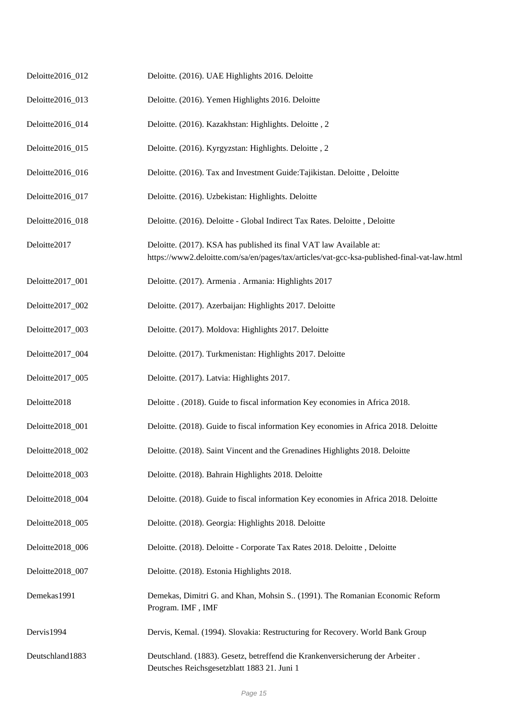| Deloitte2016_012 | Deloitte. (2016). UAE Highlights 2016. Deloitte                                                                                                                    |
|------------------|--------------------------------------------------------------------------------------------------------------------------------------------------------------------|
| Deloitte2016_013 | Deloitte. (2016). Yemen Highlights 2016. Deloitte                                                                                                                  |
| Deloitte2016_014 | Deloitte. (2016). Kazakhstan: Highlights. Deloitte, 2                                                                                                              |
| Deloitte2016_015 | Deloitte. (2016). Kyrgyzstan: Highlights. Deloitte, 2                                                                                                              |
| Deloitte2016_016 | Deloitte. (2016). Tax and Investment Guide: Tajikistan. Deloitte, Deloitte                                                                                         |
| Deloitte2016_017 | Deloitte. (2016). Uzbekistan: Highlights. Deloitte                                                                                                                 |
| Deloitte2016_018 | Deloitte. (2016). Deloitte - Global Indirect Tax Rates. Deloitte, Deloitte                                                                                         |
| Deloitte2017     | Deloitte. (2017). KSA has published its final VAT law Available at:<br>https://www2.deloitte.com/sa/en/pages/tax/articles/vat-gcc-ksa-published-final-vat-law.html |
| Deloitte2017_001 | Deloitte. (2017). Armenia . Armania: Highlights 2017                                                                                                               |
| Deloitte2017_002 | Deloitte. (2017). Azerbaijan: Highlights 2017. Deloitte                                                                                                            |
| Deloitte2017_003 | Deloitte. (2017). Moldova: Highlights 2017. Deloitte                                                                                                               |
| Deloitte2017_004 | Deloitte. (2017). Turkmenistan: Highlights 2017. Deloitte                                                                                                          |
| Deloitte2017_005 | Deloitte. (2017). Latvia: Highlights 2017.                                                                                                                         |
| Deloitte2018     | Deloitte . (2018). Guide to fiscal information Key economies in Africa 2018.                                                                                       |
| Deloitte2018_001 | Deloitte. (2018). Guide to fiscal information Key economies in Africa 2018. Deloitte                                                                               |
| Deloitte2018_002 | Deloitte. (2018). Saint Vincent and the Grenadines Highlights 2018. Deloitte                                                                                       |
| Deloitte2018_003 | Deloitte. (2018). Bahrain Highlights 2018. Deloitte                                                                                                                |
| Deloitte2018_004 | Deloitte. (2018). Guide to fiscal information Key economies in Africa 2018. Deloitte                                                                               |
| Deloitte2018_005 | Deloitte. (2018). Georgia: Highlights 2018. Deloitte                                                                                                               |
| Deloitte2018_006 | Deloitte. (2018). Deloitte - Corporate Tax Rates 2018. Deloitte, Deloitte                                                                                          |
| Deloitte2018_007 | Deloitte. (2018). Estonia Highlights 2018.                                                                                                                         |
| Demekas1991      | Demekas, Dimitri G. and Khan, Mohsin S (1991). The Romanian Economic Reform<br>Program. IMF, IMF                                                                   |
| Dervis1994       | Dervis, Kemal. (1994). Slovakia: Restructuring for Recovery. World Bank Group                                                                                      |
| Deutschland1883  | Deutschland. (1883). Gesetz, betreffend die Krankenversicherung der Arbeiter.<br>Deutsches Reichsgesetzblatt 1883 21. Juni 1                                       |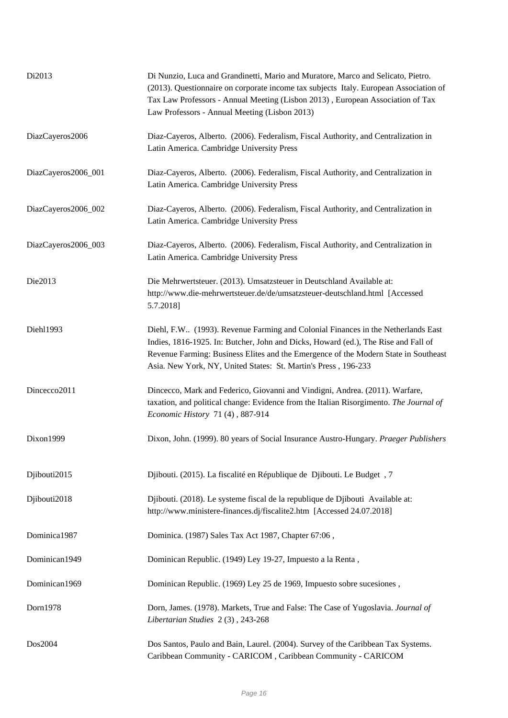| Di2013              | Di Nunzio, Luca and Grandinetti, Mario and Muratore, Marco and Selicato, Pietro.<br>(2013). Questionnaire on corporate income tax subjects Italy. European Association of<br>Tax Law Professors - Annual Meeting (Lisbon 2013), European Association of Tax<br>Law Professors - Annual Meeting (Lisbon 2013)                    |
|---------------------|---------------------------------------------------------------------------------------------------------------------------------------------------------------------------------------------------------------------------------------------------------------------------------------------------------------------------------|
| DiazCayeros2006     | Diaz-Cayeros, Alberto. (2006). Federalism, Fiscal Authority, and Centralization in<br>Latin America. Cambridge University Press                                                                                                                                                                                                 |
| DiazCayeros2006_001 | Diaz-Cayeros, Alberto. (2006). Federalism, Fiscal Authority, and Centralization in<br>Latin America. Cambridge University Press                                                                                                                                                                                                 |
| DiazCayeros2006_002 | Diaz-Cayeros, Alberto. (2006). Federalism, Fiscal Authority, and Centralization in<br>Latin America. Cambridge University Press                                                                                                                                                                                                 |
| DiazCayeros2006_003 | Diaz-Cayeros, Alberto. (2006). Federalism, Fiscal Authority, and Centralization in<br>Latin America. Cambridge University Press                                                                                                                                                                                                 |
| Die2013             | Die Mehrwertsteuer. (2013). Umsatzsteuer in Deutschland Available at:<br>http://www.die-mehrwertsteuer.de/de/umsatzsteuer-deutschland.html [Accessed<br>5.7.2018]                                                                                                                                                               |
| Diehl1993           | Diehl, F.W (1993). Revenue Farming and Colonial Finances in the Netherlands East<br>Indies, 1816-1925. In: Butcher, John and Dicks, Howard (ed.), The Rise and Fall of<br>Revenue Farming: Business Elites and the Emergence of the Modern State in Southeast<br>Asia. New York, NY, United States: St. Martin's Press, 196-233 |
| Dincecco2011        | Dincecco, Mark and Federico, Giovanni and Vindigni, Andrea. (2011). Warfare,<br>taxation, and political change: Evidence from the Italian Risorgimento. The Journal of<br>Economic History 71 (4), 887-914                                                                                                                      |
| Dixon1999           | Dixon, John. (1999). 80 years of Social Insurance Austro-Hungary. Praeger Publishers                                                                                                                                                                                                                                            |
| Djibouti2015        | Djibouti. (2015). La fiscalité en République de Djibouti. Le Budget, 7                                                                                                                                                                                                                                                          |
| Djibouti2018        | Djibouti. (2018). Le systeme fiscal de la republique de Djibouti Available at:<br>http://www.ministere-finances.dj/fiscalite2.htm [Accessed 24.07.2018]                                                                                                                                                                         |
| Dominica1987        | Dominica. (1987) Sales Tax Act 1987, Chapter 67:06,                                                                                                                                                                                                                                                                             |
| Dominican1949       | Dominican Republic. (1949) Ley 19-27, Impuesto a la Renta,                                                                                                                                                                                                                                                                      |
| Dominican1969       | Dominican Republic. (1969) Ley 25 de 1969, Impuesto sobre sucesiones,                                                                                                                                                                                                                                                           |
| Dorn1978            | Dorn, James. (1978). Markets, True and False: The Case of Yugoslavia. Journal of<br>Libertarian Studies 2(3), 243-268                                                                                                                                                                                                           |
| Dos2004             | Dos Santos, Paulo and Bain, Laurel. (2004). Survey of the Caribbean Tax Systems.<br>Caribbean Community - CARICOM, Caribbean Community - CARICOM                                                                                                                                                                                |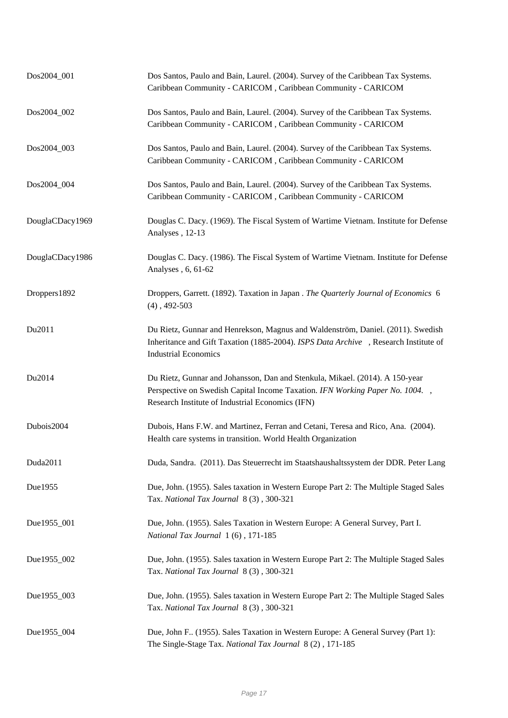| Dos2004_001     | Dos Santos, Paulo and Bain, Laurel. (2004). Survey of the Caribbean Tax Systems.<br>Caribbean Community - CARICOM, Caribbean Community - CARICOM                                                                 |
|-----------------|------------------------------------------------------------------------------------------------------------------------------------------------------------------------------------------------------------------|
| Dos2004_002     | Dos Santos, Paulo and Bain, Laurel. (2004). Survey of the Caribbean Tax Systems.<br>Caribbean Community - CARICOM, Caribbean Community - CARICOM                                                                 |
| Dos2004_003     | Dos Santos, Paulo and Bain, Laurel. (2004). Survey of the Caribbean Tax Systems.<br>Caribbean Community - CARICOM, Caribbean Community - CARICOM                                                                 |
| Dos2004_004     | Dos Santos, Paulo and Bain, Laurel. (2004). Survey of the Caribbean Tax Systems.<br>Caribbean Community - CARICOM, Caribbean Community - CARICOM                                                                 |
| DouglaCDacy1969 | Douglas C. Dacy. (1969). The Fiscal System of Wartime Vietnam. Institute for Defense<br>Analyses, 12-13                                                                                                          |
| DouglaCDacy1986 | Douglas C. Dacy. (1986). The Fiscal System of Wartime Vietnam. Institute for Defense<br>Analyses, 6, 61-62                                                                                                       |
| Droppers1892    | Droppers, Garrett. (1892). Taxation in Japan . The Quarterly Journal of Economics 6<br>$(4)$ , 492-503                                                                                                           |
| Du2011          | Du Rietz, Gunnar and Henrekson, Magnus and Waldenström, Daniel. (2011). Swedish<br>Inheritance and Gift Taxation (1885-2004). ISPS Data Archive , Research Institute of<br><b>Industrial Economics</b>           |
| Du2014          | Du Rietz, Gunnar and Johansson, Dan and Stenkula, Mikael. (2014). A 150-year<br>Perspective on Swedish Capital Income Taxation. IFN Working Paper No. 1004.,<br>Research Institute of Industrial Economics (IFN) |
| Dubois2004      | Dubois, Hans F.W. and Martinez, Ferran and Cetani, Teresa and Rico, Ana. (2004).<br>Health care systems in transition. World Health Organization                                                                 |
| Duda2011        | Duda, Sandra. (2011). Das Steuerrecht im Staatshaushaltssystem der DDR. Peter Lang                                                                                                                               |
| Due1955         | Due, John. (1955). Sales taxation in Western Europe Part 2: The Multiple Staged Sales<br>Tax. National Tax Journal 8(3), 300-321                                                                                 |
| Due1955_001     | Due, John. (1955). Sales Taxation in Western Europe: A General Survey, Part I.<br>National Tax Journal 1(6), 171-185                                                                                             |
| Due1955_002     | Due, John. (1955). Sales taxation in Western Europe Part 2: The Multiple Staged Sales<br>Tax. National Tax Journal 8(3), 300-321                                                                                 |
| Due1955_003     | Due, John. (1955). Sales taxation in Western Europe Part 2: The Multiple Staged Sales<br>Tax. National Tax Journal 8(3), 300-321                                                                                 |
| Due1955_004     | Due, John F (1955). Sales Taxation in Western Europe: A General Survey (Part 1):<br>The Single-Stage Tax. National Tax Journal 8(2), 171-185                                                                     |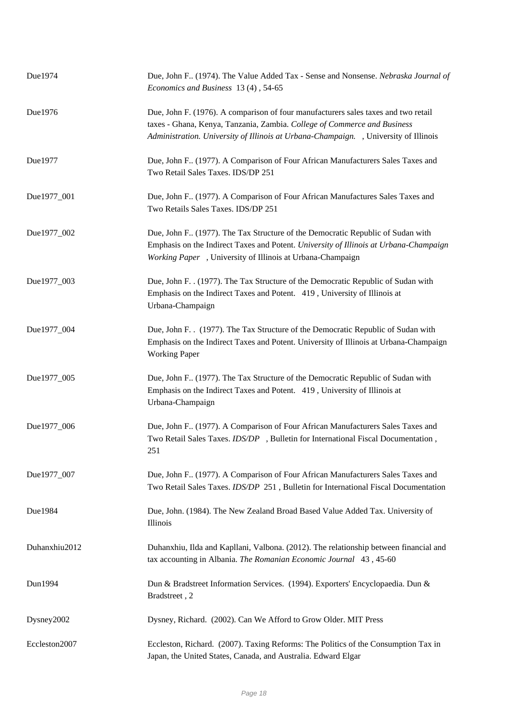| Due1974       | Due, John F (1974). The Value Added Tax - Sense and Nonsense. Nebraska Journal of<br>Economics and Business 13(4), 54-65                                                                                                                               |
|---------------|--------------------------------------------------------------------------------------------------------------------------------------------------------------------------------------------------------------------------------------------------------|
| Due1976       | Due, John F. (1976). A comparison of four manufacturers sales taxes and two retail<br>taxes - Ghana, Kenya, Tanzania, Zambia. College of Commerce and Business<br>Administration. University of Illinois at Urbana-Champaign. , University of Illinois |
| Due1977       | Due, John F. (1977). A Comparison of Four African Manufacturers Sales Taxes and<br>Two Retail Sales Taxes. IDS/DP 251                                                                                                                                  |
| Due1977_001   | Due, John F (1977). A Comparison of Four African Manufactures Sales Taxes and<br>Two Retails Sales Taxes. IDS/DP 251                                                                                                                                   |
| Due1977_002   | Due, John F. (1977). The Tax Structure of the Democratic Republic of Sudan with<br>Emphasis on the Indirect Taxes and Potent. University of Illinois at Urbana-Champaign<br>Working Paper, University of Illinois at Urbana-Champaign                  |
| Due1977_003   | Due, John F. . (1977). The Tax Structure of the Democratic Republic of Sudan with<br>Emphasis on the Indirect Taxes and Potent. 419, University of Illinois at<br>Urbana-Champaign                                                                     |
| Due1977_004   | Due, John F. . (1977). The Tax Structure of the Democratic Republic of Sudan with<br>Emphasis on the Indirect Taxes and Potent. University of Illinois at Urbana-Champaign<br><b>Working Paper</b>                                                     |
| Due1977_005   | Due, John F. (1977). The Tax Structure of the Democratic Republic of Sudan with<br>Emphasis on the Indirect Taxes and Potent. 419, University of Illinois at<br>Urbana-Champaign                                                                       |
| Due1977_006   | Due, John F. (1977). A Comparison of Four African Manufacturers Sales Taxes and<br>Two Retail Sales Taxes. IDS/DP , Bulletin for International Fiscal Documentation,<br>251                                                                            |
| Due1977_007   | Due, John F. (1977). A Comparison of Four African Manufacturers Sales Taxes and<br>Two Retail Sales Taxes. IDS/DP 251, Bulletin for International Fiscal Documentation                                                                                 |
| Due1984       | Due, John. (1984). The New Zealand Broad Based Value Added Tax. University of<br>Illinois                                                                                                                                                              |
| Duhanxhiu2012 | Duhanxhiu, Ilda and Kapllani, Valbona. (2012). The relationship between financial and<br>tax accounting in Albania. The Romanian Economic Journal 43, 45-60                                                                                            |
| Dun1994       | Dun & Bradstreet Information Services. (1994). Exporters' Encyclopaedia. Dun &<br>Bradstreet, 2                                                                                                                                                        |
| Dysney2002    | Dysney, Richard. (2002). Can We Afford to Grow Older. MIT Press                                                                                                                                                                                        |
| Eccleston2007 | Eccleston, Richard. (2007). Taxing Reforms: The Politics of the Consumption Tax in<br>Japan, the United States, Canada, and Australia. Edward Elgar                                                                                                    |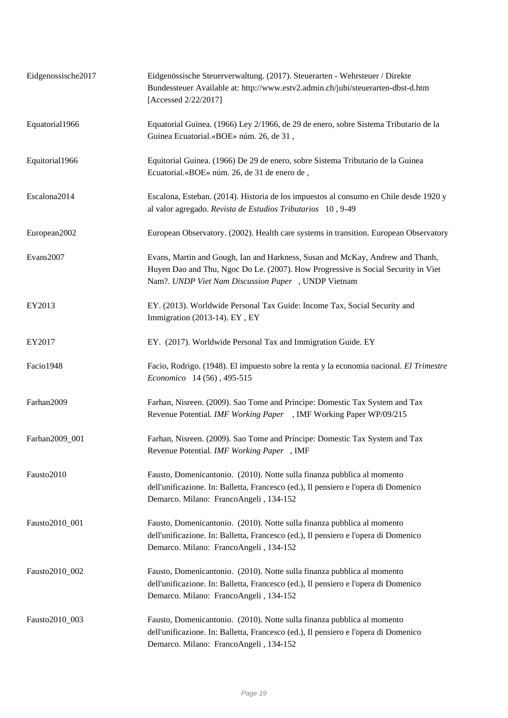| Eidgenossische2017 | Eidgenössische Steuerverwaltung. (2017). Steuerarten - Wehrsteuer / Direkte<br>Bundessteuer Available at: http://www.estv2.admin.ch/jubi/steuerarten-dbst-d.htm<br>[Accessed 2/22/2017]                                  |
|--------------------|--------------------------------------------------------------------------------------------------------------------------------------------------------------------------------------------------------------------------|
| Equatorial1966     | Equatorial Guinea. (1966) Ley 2/1966, de 29 de enero, sobre Sistema Tributario de la<br>Guinea Ecuatorial.«BOE» núm. 26, de 31,                                                                                          |
| Equitorial1966     | Equitorial Guinea. (1966) De 29 de enero, sobre Sistema Tributario de la Guinea<br>Ecuatorial.«BOE» núm. 26, de 31 de enero de,                                                                                          |
| Escalona2014       | Escalona, Esteban. (2014). Historia de los impuestos al consumo en Chile desde 1920 y<br>al valor agregado. Revista de Estudios Tributarios 10, 9-49                                                                     |
| European2002       | European Observatory. (2002). Health care systems in transition. European Observatory                                                                                                                                    |
| Evans2007          | Evans, Martin and Gough, Ian and Harkness, Susan and McKay, Andrew and Thanh,<br>Huyen Dao and Thu, Ngoc Do Le. (2007). How Progressive is Social Security in Viet<br>Nam?. UNDP Viet Nam Discussion Paper, UNDP Vietnam |
| EY2013             | EY. (2013). Worldwide Personal Tax Guide: Income Tax, Social Security and<br>Immigration (2013-14). EY, EY                                                                                                               |
| EY2017             | EY. (2017). Worldwide Personal Tax and Immigration Guide. EY                                                                                                                                                             |
| Facio1948          | Facio, Rodrigo. (1948). El impuesto sobre la renta y la economia nacional. El Trimestre<br>Economico 14 (56), 495-515                                                                                                    |
| Farhan2009         | Farhan, Nisreen. (2009). Sao Tome and Principe: Domestic Tax System and Tax<br>Revenue Potential. IMF Working Paper , IMF Working Paper WP/09/215                                                                        |
| Farhan2009_001     | Farhan, Nisreen. (2009). Sao Tome and Príncipe: Domestic Tax System and Tax<br>Revenue Potential. IMF Working Paper, IMF                                                                                                 |
| Fausto2010         | Fausto, Domenicantonio. (2010). Notte sulla finanza pubblica al momento<br>dell'unificazione. In: Balletta, Francesco (ed.), Il pensiero e l'opera di Domenico<br>Demarco. Milano: FrancoAngeli, 134-152                 |
| Fausto2010_001     | Fausto, Domenicantonio. (2010). Notte sulla finanza pubblica al momento<br>dell'unificazione. In: Balletta, Francesco (ed.), Il pensiero e l'opera di Domenico<br>Demarco. Milano: FrancoAngeli, 134-152                 |
| Fausto2010_002     | Fausto, Domenicantonio. (2010). Notte sulla finanza pubblica al momento<br>dell'unificazione. In: Balletta, Francesco (ed.), Il pensiero e l'opera di Domenico<br>Demarco. Milano: FrancoAngeli, 134-152                 |
| Fausto2010_003     | Fausto, Domenicantonio. (2010). Notte sulla finanza pubblica al momento<br>dell'unificazione. In: Balletta, Francesco (ed.), Il pensiero e l'opera di Domenico<br>Demarco. Milano: FrancoAngeli, 134-152                 |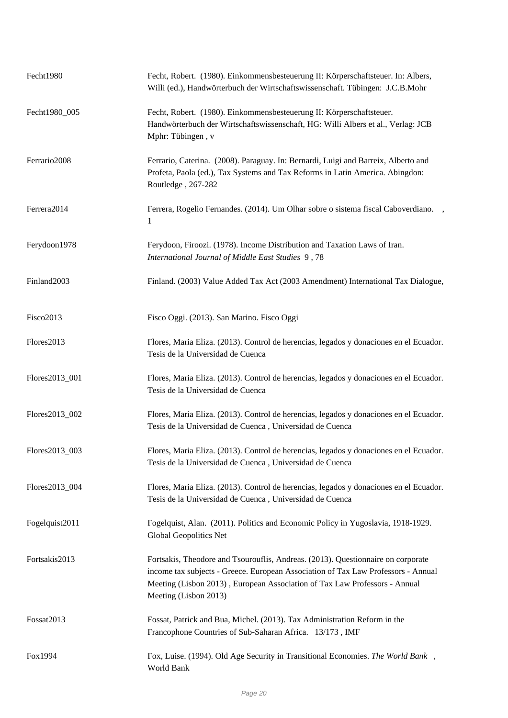| Fecht1980      | Fecht, Robert. (1980). Einkommensbesteuerung II: Körperschaftsteuer. In: Albers,<br>Willi (ed.), Handwörterbuch der Wirtschaftswissenschaft. Tübingen: J.C.B.Mohr                                                                                                            |
|----------------|------------------------------------------------------------------------------------------------------------------------------------------------------------------------------------------------------------------------------------------------------------------------------|
| Fecht1980 005  | Fecht, Robert. (1980). Einkommensbesteuerung II: Körperschaftsteuer.<br>Handwörterbuch der Wirtschaftswissenschaft, HG: Willi Albers et al., Verlag: JCB<br>Mphr: Tübingen, v                                                                                                |
| Ferrario2008   | Ferrario, Caterina. (2008). Paraguay. In: Bernardi, Luigi and Barreix, Alberto and<br>Profeta, Paola (ed.), Tax Systems and Tax Reforms in Latin America. Abingdon:<br>Routledge, 267-282                                                                                    |
| Ferrera2014    | Ferrera, Rogelio Fernandes. (2014). Um Olhar sobre o sistema fiscal Caboverdiano. ,<br>$\mathbf{1}$                                                                                                                                                                          |
| Ferydoon1978   | Ferydoon, Firoozi. (1978). Income Distribution and Taxation Laws of Iran.<br>International Journal of Middle East Studies 9, 78                                                                                                                                              |
| Finland2003    | Finland. (2003) Value Added Tax Act (2003 Amendment) International Tax Dialogue,                                                                                                                                                                                             |
| Fisco2013      | Fisco Oggi. (2013). San Marino. Fisco Oggi                                                                                                                                                                                                                                   |
| Flores2013     | Flores, Maria Eliza. (2013). Control de herencias, legados y donaciones en el Ecuador.<br>Tesis de la Universidad de Cuenca                                                                                                                                                  |
| Flores2013_001 | Flores, Maria Eliza. (2013). Control de herencias, legados y donaciones en el Ecuador.<br>Tesis de la Universidad de Cuenca                                                                                                                                                  |
| Flores2013_002 | Flores, Maria Eliza. (2013). Control de herencias, legados y donaciones en el Ecuador.<br>Tesis de la Universidad de Cuenca, Universidad de Cuenca                                                                                                                           |
| Flores2013_003 | Flores, Maria Eliza. (2013). Control de herencias, legados y donaciones en el Ecuador.<br>Tesis de la Universidad de Cuenca, Universidad de Cuenca                                                                                                                           |
| Flores2013_004 | Flores, Maria Eliza. (2013). Control de herencias, legados y donaciones en el Ecuador.<br>Tesis de la Universidad de Cuenca, Universidad de Cuenca                                                                                                                           |
| Fogelquist2011 | Fogelquist, Alan. (2011). Politics and Economic Policy in Yugoslavia, 1918-1929.<br>Global Geopolitics Net                                                                                                                                                                   |
| Fortsakis2013  | Fortsakis, Theodore and Tsourouflis, Andreas. (2013). Questionnaire on corporate<br>income tax subjects - Greece. European Association of Tax Law Professors - Annual<br>Meeting (Lisbon 2013), European Association of Tax Law Professors - Annual<br>Meeting (Lisbon 2013) |
| Fossat2013     | Fossat, Patrick and Bua, Michel. (2013). Tax Administration Reform in the<br>Francophone Countries of Sub-Saharan Africa. 13/173, IMF                                                                                                                                        |
| Fox1994        | Fox, Luise. (1994). Old Age Security in Transitional Economies. The World Bank,<br>World Bank                                                                                                                                                                                |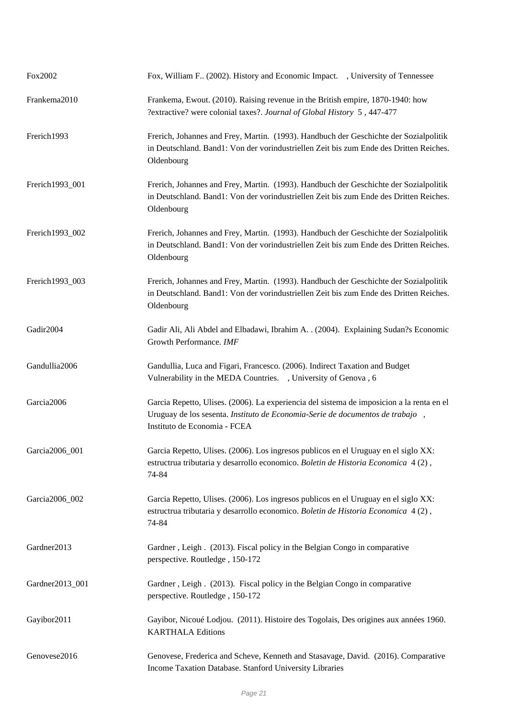| Fox2002         | Fox, William F (2002). History and Economic Impact. , University of Tennessee                                                                                                                              |
|-----------------|------------------------------------------------------------------------------------------------------------------------------------------------------------------------------------------------------------|
| Frankema2010    | Frankema, Ewout. (2010). Raising revenue in the British empire, 1870-1940: how<br>?extractive? were colonial taxes?. Journal of Global History 5, 447-477                                                  |
| Frerich1993     | Frerich, Johannes and Frey, Martin. (1993). Handbuch der Geschichte der Sozialpolitik<br>in Deutschland. Band1: Von der vorindustriellen Zeit bis zum Ende des Dritten Reiches.<br>Oldenbourg              |
| Frerich1993_001 | Frerich, Johannes and Frey, Martin. (1993). Handbuch der Geschichte der Sozialpolitik<br>in Deutschland. Band1: Von der vorindustriellen Zeit bis zum Ende des Dritten Reiches.<br>Oldenbourg              |
| Frerich1993_002 | Frerich, Johannes and Frey, Martin. (1993). Handbuch der Geschichte der Sozialpolitik<br>in Deutschland. Band1: Von der vorindustriellen Zeit bis zum Ende des Dritten Reiches.<br>Oldenbourg              |
| Frerich1993_003 | Frerich, Johannes and Frey, Martin. (1993). Handbuch der Geschichte der Sozialpolitik<br>in Deutschland. Band1: Von der vorindustriellen Zeit bis zum Ende des Dritten Reiches.<br>Oldenbourg              |
| Gadir2004       | Gadir Ali, Ali Abdel and Elbadawi, Ibrahim A. . (2004). Explaining Sudan?s Economic<br>Growth Performance. IMF                                                                                             |
| Gandullia2006   | Gandullia, Luca and Figari, Francesco. (2006). Indirect Taxation and Budget<br>Vulnerability in the MEDA Countries. , University of Genova, 6                                                              |
| Garcia2006      | Garcia Repetto, Ulises. (2006). La experiencia del sistema de imposicion a la renta en el<br>Uruguay de los sesenta. Instituto de Economia-Serie de documentos de trabajo,<br>Instituto de Economia - FCEA |
| Garcia2006_001  | Garcia Repetto, Ulises. (2006). Los ingresos publicos en el Uruguay en el siglo XX:<br>estructrua tributaria y desarrollo economico. Boletin de Historia Economica 4(2),<br>74-84                          |
| Garcia2006_002  | Garcia Repetto, Ulises. (2006). Los ingresos publicos en el Uruguay en el siglo XX:<br>estructrua tributaria y desarrollo economico. Boletin de Historia Economica 4(2),<br>74-84                          |
| Gardner2013     | Gardner, Leigh. (2013). Fiscal policy in the Belgian Congo in comparative<br>perspective. Routledge, 150-172                                                                                               |
| Gardner2013_001 | Gardner, Leigh. (2013). Fiscal policy in the Belgian Congo in comparative<br>perspective. Routledge, 150-172                                                                                               |
| Gayibor2011     | Gayibor, Nicoué Lodjou. (2011). Histoire des Togolais, Des origines aux années 1960.<br><b>KARTHALA Editions</b>                                                                                           |
| Genovese2016    | Genovese, Frederica and Scheve, Kenneth and Stasavage, David. (2016). Comparative<br>Income Taxation Database. Stanford University Libraries                                                               |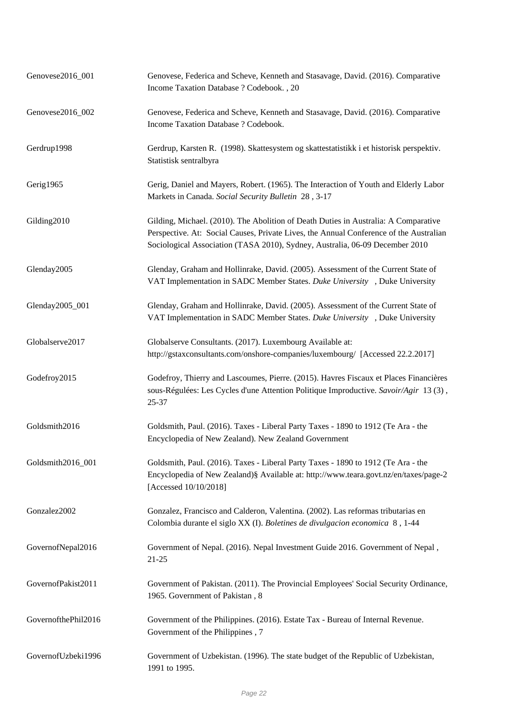| Genovese2016_001    | Genovese, Federica and Scheve, Kenneth and Stasavage, David. (2016). Comparative<br>Income Taxation Database ? Codebook., 20                                                                                                                                  |
|---------------------|---------------------------------------------------------------------------------------------------------------------------------------------------------------------------------------------------------------------------------------------------------------|
| Genovese2016_002    | Genovese, Federica and Scheve, Kenneth and Stasavage, David. (2016). Comparative<br>Income Taxation Database ? Codebook.                                                                                                                                      |
| Gerdrup1998         | Gerdrup, Karsten R. (1998). Skattesystem og skattestatistikk i et historisk perspektiv.<br>Statistisk sentralbyra                                                                                                                                             |
| Gerig1965           | Gerig, Daniel and Mayers, Robert. (1965). The Interaction of Youth and Elderly Labor<br>Markets in Canada. Social Security Bulletin 28, 3-17                                                                                                                  |
| Gilding2010         | Gilding, Michael. (2010). The Abolition of Death Duties in Australia: A Comparative<br>Perspective. At: Social Causes, Private Lives, the Annual Conference of the Australian<br>Sociological Association (TASA 2010), Sydney, Australia, 06-09 December 2010 |
| Glenday2005         | Glenday, Graham and Hollinrake, David. (2005). Assessment of the Current State of<br>VAT Implementation in SADC Member States. Duke University , Duke University                                                                                              |
| Glenday2005_001     | Glenday, Graham and Hollinrake, David. (2005). Assessment of the Current State of<br>VAT Implementation in SADC Member States. Duke University , Duke University                                                                                              |
| Globalserve2017     | Globalserve Consultants. (2017). Luxembourg Available at:<br>http://gstaxconsultants.com/onshore-companies/luxembourg/ [Accessed 22.2.2017]                                                                                                                   |
| Godefroy2015        | Godefroy, Thierry and Lascoumes, Pierre. (2015). Havres Fiscaux et Places Financières<br>sous-Régulées: Les Cycles d'une Attention Politique Improductive. Savoir/Agir 13 (3),<br>25-37                                                                       |
| Goldsmith2016       | Goldsmith, Paul. (2016). Taxes - Liberal Party Taxes - 1890 to 1912 (Te Ara - the<br>Encyclopedia of New Zealand). New Zealand Government                                                                                                                     |
| Goldsmith2016_001   | Goldsmith, Paul. (2016). Taxes - Liberal Party Taxes - 1890 to 1912 (Te Ara - the<br>Encyclopedia of New Zealand)§ Available at: http://www.teara.govt.nz/en/taxes/page-2<br>[Accessed 10/10/2018]                                                            |
| Gonzalez2002        | Gonzalez, Francisco and Calderon, Valentina. (2002). Las reformas tributarias en<br>Colombia durante el siglo XX (I). Boletines de divulgacion economica 8, 1-44                                                                                              |
| GovernofNepal2016   | Government of Nepal. (2016). Nepal Investment Guide 2016. Government of Nepal,<br>$21 - 25$                                                                                                                                                                   |
| GovernofPakist2011  | Government of Pakistan. (2011). The Provincial Employees' Social Security Ordinance,<br>1965. Government of Pakistan, 8                                                                                                                                       |
| GovernofthePhil2016 | Government of the Philippines. (2016). Estate Tax - Bureau of Internal Revenue.<br>Government of the Philippines, 7                                                                                                                                           |
| GovernofUzbeki1996  | Government of Uzbekistan. (1996). The state budget of the Republic of Uzbekistan,<br>1991 to 1995.                                                                                                                                                            |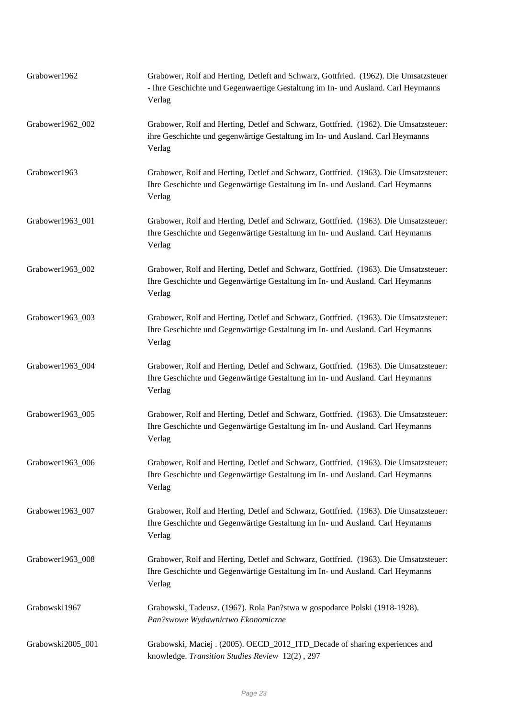| Grabower1962      | Grabower, Rolf and Herting, Detleft and Schwarz, Gottfried. (1962). Die Umsatzsteuer<br>- Ihre Geschichte und Gegenwaertige Gestaltung im In- und Ausland. Carl Heymanns<br>Verlag |
|-------------------|------------------------------------------------------------------------------------------------------------------------------------------------------------------------------------|
| Grabower1962_002  | Grabower, Rolf and Herting, Detlef and Schwarz, Gottfried. (1962). Die Umsatzsteuer:<br>ihre Geschichte und gegenwärtige Gestaltung im In- und Ausland. Carl Heymanns<br>Verlag    |
| Grabower1963      | Grabower, Rolf and Herting, Detlef and Schwarz, Gottfried. (1963). Die Umsatzsteuer:<br>Ihre Geschichte und Gegenwärtige Gestaltung im In- und Ausland. Carl Heymanns<br>Verlag    |
| Grabower1963_001  | Grabower, Rolf and Herting, Detlef and Schwarz, Gottfried. (1963). Die Umsatzsteuer:<br>Ihre Geschichte und Gegenwärtige Gestaltung im In- und Ausland. Carl Heymanns<br>Verlag    |
| Grabower1963_002  | Grabower, Rolf and Herting, Detlef and Schwarz, Gottfried. (1963). Die Umsatzsteuer:<br>Ihre Geschichte und Gegenwärtige Gestaltung im In- und Ausland. Carl Heymanns<br>Verlag    |
| Grabower1963_003  | Grabower, Rolf and Herting, Detlef and Schwarz, Gottfried. (1963). Die Umsatzsteuer:<br>Ihre Geschichte und Gegenwärtige Gestaltung im In- und Ausland. Carl Heymanns<br>Verlag    |
| Grabower1963_004  | Grabower, Rolf and Herting, Detlef and Schwarz, Gottfried. (1963). Die Umsatzsteuer:<br>Ihre Geschichte und Gegenwärtige Gestaltung im In- und Ausland. Carl Heymanns<br>Verlag    |
| Grabower1963_005  | Grabower, Rolf and Herting, Detlef and Schwarz, Gottfried. (1963). Die Umsatzsteuer:<br>Ihre Geschichte und Gegenwärtige Gestaltung im In- und Ausland. Carl Heymanns<br>Verlag    |
| Grabower1963_006  | Grabower, Rolf and Herting, Detlef and Schwarz, Gottfried. (1963). Die Umsatzsteuer:<br>Ihre Geschichte und Gegenwärtige Gestaltung im In- und Ausland. Carl Heymanns<br>Verlag    |
| Grabower1963_007  | Grabower, Rolf and Herting, Detlef and Schwarz, Gottfried. (1963). Die Umsatzsteuer:<br>Ihre Geschichte und Gegenwärtige Gestaltung im In- und Ausland. Carl Heymanns<br>Verlag    |
| Grabower1963_008  | Grabower, Rolf and Herting, Detlef and Schwarz, Gottfried. (1963). Die Umsatzsteuer:<br>Ihre Geschichte und Gegenwärtige Gestaltung im In- und Ausland. Carl Heymanns<br>Verlag    |
| Grabowski1967     | Grabowski, Tadeusz. (1967). Rola Pan?stwa w gospodarce Polski (1918-1928).<br>Pan?swowe Wydawnictwo Ekonomiczne                                                                    |
| Grabowski2005_001 | Grabowski, Maciej . (2005). OECD_2012_ITD_Decade of sharing experiences and<br>knowledge. Transition Studies Review 12(2), 297                                                     |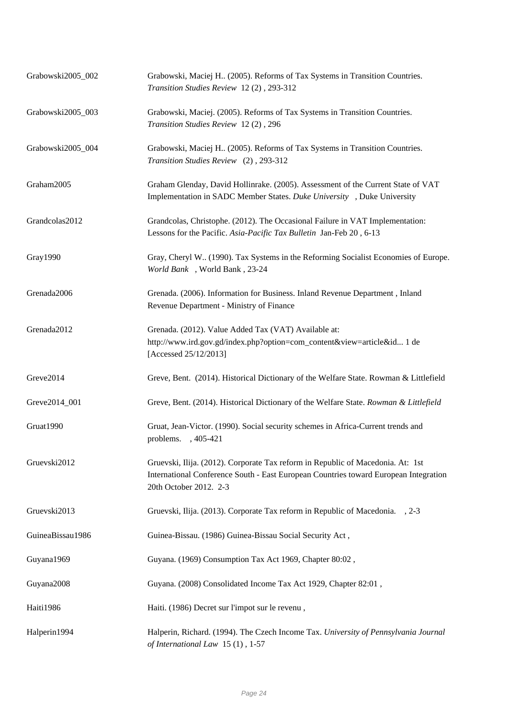| Grabowski2005_002 | Grabowski, Maciej H (2005). Reforms of Tax Systems in Transition Countries.<br>Transition Studies Review 12(2), 293-312                                                                           |
|-------------------|---------------------------------------------------------------------------------------------------------------------------------------------------------------------------------------------------|
| Grabowski2005_003 | Grabowski, Maciej. (2005). Reforms of Tax Systems in Transition Countries.<br>Transition Studies Review 12(2), 296                                                                                |
| Grabowski2005_004 | Grabowski, Maciej H (2005). Reforms of Tax Systems in Transition Countries.<br>Transition Studies Review (2), 293-312                                                                             |
| Graham2005        | Graham Glenday, David Hollinrake. (2005). Assessment of the Current State of VAT<br>Implementation in SADC Member States. Duke University, Duke University                                        |
| Grandcolas2012    | Grandcolas, Christophe. (2012). The Occasional Failure in VAT Implementation:<br>Lessons for the Pacific. Asia-Pacific Tax Bulletin Jan-Feb 20, 6-13                                              |
| Gray1990          | Gray, Cheryl W (1990). Tax Systems in the Reforming Socialist Economies of Europe.<br>World Bank, World Bank, 23-24                                                                               |
| Grenada2006       | Grenada. (2006). Information for Business. Inland Revenue Department, Inland<br>Revenue Department - Ministry of Finance                                                                          |
| Grenada2012       | Grenada. (2012). Value Added Tax (VAT) Available at:<br>http://www.ird.gov.gd/index.php?option=com_content&view=article&id 1 de<br>[Accessed 25/12/2013]                                          |
| Greve2014         | Greve, Bent. (2014). Historical Dictionary of the Welfare State. Rowman & Littlefield                                                                                                             |
| Greve2014_001     | Greve, Bent. (2014). Historical Dictionary of the Welfare State. Rowman & Littlefield                                                                                                             |
| Gruat1990         | Gruat, Jean-Victor. (1990). Social security schemes in Africa-Current trends and<br>problems., 405-421                                                                                            |
| Gruevski2012      | Gruevski, Ilija. (2012). Corporate Tax reform in Republic of Macedonia. At: 1st<br>International Conference South - East European Countries toward European Integration<br>20th October 2012. 2-3 |
| Gruevski2013      | Gruevski, Ilija. (2013). Corporate Tax reform in Republic of Macedonia. , 2-3                                                                                                                     |
| GuineaBissau1986  | Guinea-Bissau. (1986) Guinea-Bissau Social Security Act,                                                                                                                                          |
| Guyana1969        | Guyana. (1969) Consumption Tax Act 1969, Chapter 80:02,                                                                                                                                           |
| Guyana2008        | Guyana. (2008) Consolidated Income Tax Act 1929, Chapter 82:01,                                                                                                                                   |
| Haiti1986         | Haiti. (1986) Decret sur l'impot sur le revenu,                                                                                                                                                   |
| Halperin1994      | Halperin, Richard. (1994). The Czech Income Tax. University of Pennsylvania Journal<br>of International Law 15(1), 1-57                                                                           |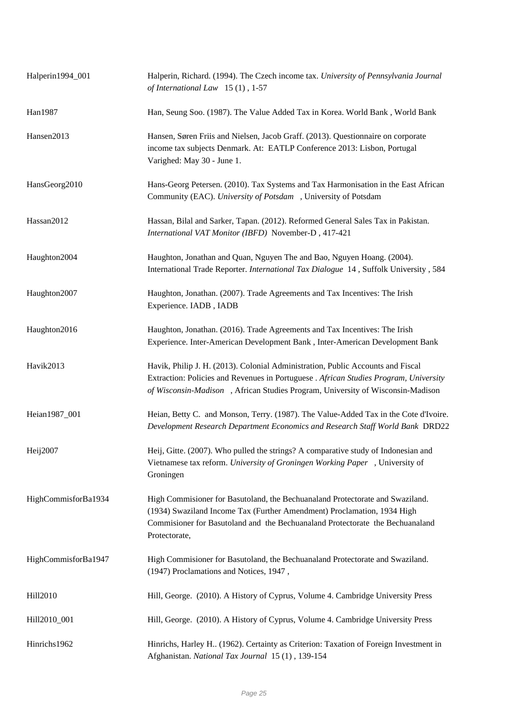| Halperin1994_001    | Halperin, Richard. (1994). The Czech income tax. University of Pennsylvania Journal<br>of International Law $15(1)$ , 1-57                                                                                                                                 |
|---------------------|------------------------------------------------------------------------------------------------------------------------------------------------------------------------------------------------------------------------------------------------------------|
| Han1987             | Han, Seung Soo. (1987). The Value Added Tax in Korea. World Bank, World Bank                                                                                                                                                                               |
| Hansen2013          | Hansen, Søren Friis and Nielsen, Jacob Graff. (2013). Questionnaire on corporate<br>income tax subjects Denmark. At: EATLP Conference 2013: Lisbon, Portugal<br>Varighed: May 30 - June 1.                                                                 |
| HansGeorg2010       | Hans-Georg Petersen. (2010). Tax Systems and Tax Harmonisation in the East African<br>Community (EAC). University of Potsdam , University of Potsdam                                                                                                       |
| Hassan2012          | Hassan, Bilal and Sarker, Tapan. (2012). Reformed General Sales Tax in Pakistan.<br>International VAT Monitor (IBFD) November-D, 417-421                                                                                                                   |
| Haughton2004        | Haughton, Jonathan and Quan, Nguyen The and Bao, Nguyen Hoang. (2004).<br>International Trade Reporter. International Tax Dialogue 14, Suffolk University, 584                                                                                             |
| Haughton2007        | Haughton, Jonathan. (2007). Trade Agreements and Tax Incentives: The Irish<br>Experience. IADB, IADB                                                                                                                                                       |
| Haughton2016        | Haughton, Jonathan. (2016). Trade Agreements and Tax Incentives: The Irish<br>Experience. Inter-American Development Bank, Inter-American Development Bank                                                                                                 |
| Havik2013           | Havik, Philip J. H. (2013). Colonial Administration, Public Accounts and Fiscal<br>Extraction: Policies and Revenues in Portuguese . African Studies Program, University<br>of Wisconsin-Madison, African Studies Program, University of Wisconsin-Madison |
| Heian1987_001       | Heian, Betty C. and Monson, Terry. (1987). The Value-Added Tax in the Cote d'Ivoire.<br>Development Research Department Economics and Research Staff World Bank DRD22                                                                                      |
| Heij2007            | Heij, Gitte. (2007). Who pulled the strings? A comparative study of Indonesian and<br>Vietnamese tax reform. University of Groningen Working Paper, University of<br>Groningen                                                                             |
| HighCommisforBa1934 | High Commisioner for Basutoland, the Bechuanaland Protectorate and Swaziland.<br>(1934) Swaziland Income Tax (Further Amendment) Proclamation, 1934 High<br>Commisioner for Basutoland and the Bechuanaland Protectorate the Bechuanaland<br>Protectorate, |
| HighCommisforBa1947 | High Commisioner for Basutoland, the Bechuanaland Protectorate and Swaziland.<br>(1947) Proclamations and Notices, 1947,                                                                                                                                   |
| Hill2010            | Hill, George. (2010). A History of Cyprus, Volume 4. Cambridge University Press                                                                                                                                                                            |
| Hill2010_001        | Hill, George. (2010). A History of Cyprus, Volume 4. Cambridge University Press                                                                                                                                                                            |
| Hinrichs1962        | Hinrichs, Harley H., (1962). Certainty as Criterion: Taxation of Foreign Investment in<br>Afghanistan. National Tax Journal 15 (1), 139-154                                                                                                                |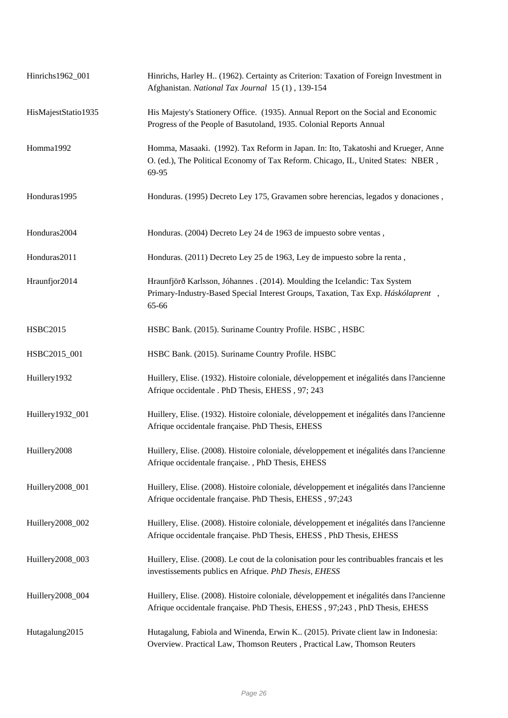| Hinrichs1962_001    | Hinrichs, Harley H., (1962). Certainty as Criterion: Taxation of Foreign Investment in<br>Afghanistan. National Tax Journal 15 (1), 139-154                                    |
|---------------------|--------------------------------------------------------------------------------------------------------------------------------------------------------------------------------|
| HisMajestStatio1935 | His Majesty's Stationery Office. (1935). Annual Report on the Social and Economic<br>Progress of the People of Basutoland, 1935. Colonial Reports Annual                       |
| Homma1992           | Homma, Masaaki. (1992). Tax Reform in Japan. In: Ito, Takatoshi and Krueger, Anne<br>O. (ed.), The Political Economy of Tax Reform. Chicago, IL, United States: NBER,<br>69-95 |
| Honduras1995        | Honduras. (1995) Decreto Ley 175, Gravamen sobre herencias, legados y donaciones,                                                                                              |
| Honduras2004        | Honduras. (2004) Decreto Ley 24 de 1963 de impuesto sobre ventas,                                                                                                              |
| Honduras2011        | Honduras. (2011) Decreto Ley 25 de 1963, Ley de impuesto sobre la renta,                                                                                                       |
| Hraunfjor2014       | Hraunfjörð Karlsson, Jóhannes . (2014). Moulding the Icelandic: Tax System<br>Primary-Industry-Based Special Interest Groups, Taxation, Tax Exp. Háskólaprent,<br>65-66        |
| <b>HSBC2015</b>     | HSBC Bank. (2015). Suriname Country Profile. HSBC, HSBC                                                                                                                        |
| HSBC2015_001        | HSBC Bank. (2015). Suriname Country Profile. HSBC                                                                                                                              |
| Huillery1932        | Huillery, Elise. (1932). Histoire coloniale, développement et inégalités dans l'ancienne<br>Afrique occidentale . PhD Thesis, EHESS, 97; 243                                   |
| Huillery1932_001    | Huillery, Elise. (1932). Histoire coloniale, développement et inégalités dans l'ancienne<br>Afrique occidentale française. PhD Thesis, EHESS                                   |
| Huillery2008        | Huillery, Elise. (2008). Histoire coloniale, développement et inégalités dans l'ancienne<br>Afrique occidentale française., PhD Thesis, EHESS                                  |
| Huillery2008_001    | Huillery, Elise. (2008). Histoire coloniale, développement et inégalités dans l'ancienne<br>Afrique occidentale française. PhD Thesis, EHESS, 97;243                           |
| Huillery2008_002    | Huillery, Elise. (2008). Histoire coloniale, développement et inégalités dans l'ancienne<br>Afrique occidentale française. PhD Thesis, EHESS, PhD Thesis, EHESS                |
| Huillery2008_003    | Huillery, Elise. (2008). Le cout de la colonisation pour les contribuables francais et les<br>investissements publics en Afrique. PhD Thesis, EHESS                            |
| Huillery2008_004    | Huillery, Elise. (2008). Histoire coloniale, développement et inégalités dans l'ancienne<br>Afrique occidentale française. PhD Thesis, EHESS, 97;243, PhD Thesis, EHESS        |
| Hutagalung2015      | Hutagalung, Fabiola and Winenda, Erwin K (2015). Private client law in Indonesia:<br>Overview. Practical Law, Thomson Reuters, Practical Law, Thomson Reuters                  |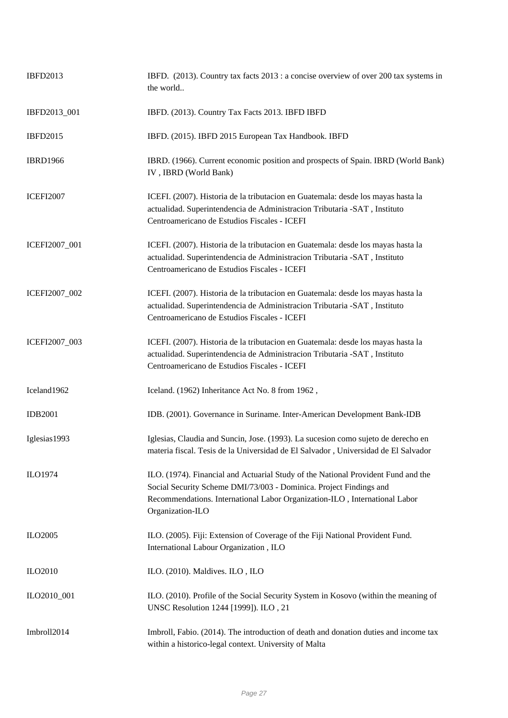| <b>IBFD2013</b>  | IBFD. (2013). Country tax facts 2013 : a concise overview of over 200 tax systems in<br>the world                                                                                                                                                         |
|------------------|-----------------------------------------------------------------------------------------------------------------------------------------------------------------------------------------------------------------------------------------------------------|
| IBFD2013_001     | IBFD. (2013). Country Tax Facts 2013. IBFD IBFD                                                                                                                                                                                                           |
| <b>IBFD2015</b>  | IBFD. (2015). IBFD 2015 European Tax Handbook. IBFD                                                                                                                                                                                                       |
| <b>IBRD1966</b>  | IBRD. (1966). Current economic position and prospects of Spain. IBRD (World Bank)<br>IV, IBRD (World Bank)                                                                                                                                                |
| <b>ICEFI2007</b> | ICEFI. (2007). Historia de la tributacion en Guatemala: desde los mayas hasta la<br>actualidad. Superintendencia de Administracion Tributaria -SAT, Instituto<br>Centroamericano de Estudios Fiscales - ICEFI                                             |
| ICEFI2007_001    | ICEFI. (2007). Historia de la tributacion en Guatemala: desde los mayas hasta la<br>actualidad. Superintendencia de Administracion Tributaria -SAT, Instituto<br>Centroamericano de Estudios Fiscales - ICEFI                                             |
| ICEFI2007_002    | ICEFI. (2007). Historia de la tributacion en Guatemala: desde los mayas hasta la<br>actualidad. Superintendencia de Administracion Tributaria -SAT, Instituto<br>Centroamericano de Estudios Fiscales - ICEFI                                             |
| ICEFI2007_003    | ICEFI. (2007). Historia de la tributacion en Guatemala: desde los mayas hasta la<br>actualidad. Superintendencia de Administracion Tributaria -SAT, Instituto<br>Centroamericano de Estudios Fiscales - ICEFI                                             |
| Iceland1962      | Iceland. (1962) Inheritance Act No. 8 from 1962,                                                                                                                                                                                                          |
| <b>IDB2001</b>   | IDB. (2001). Governance in Suriname. Inter-American Development Bank-IDB                                                                                                                                                                                  |
| Iglesias1993     | Iglesias, Claudia and Suncin, Jose. (1993). La sucesion como sujeto de derecho en<br>materia fiscal. Tesis de la Universidad de El Salvador, Universidad de El Salvador                                                                                   |
| ILO1974          | ILO. (1974). Financial and Actuarial Study of the National Provident Fund and the<br>Social Security Scheme DMI/73/003 - Dominica. Project Findings and<br>Recommendations. International Labor Organization-ILO, International Labor<br>Organization-ILO |
| ILO2005          | ILO. (2005). Fiji: Extension of Coverage of the Fiji National Provident Fund.<br>International Labour Organization, ILO                                                                                                                                   |
| <b>ILO2010</b>   | ILO. (2010). Maldives. ILO, ILO                                                                                                                                                                                                                           |
| ILO2010_001      | ILO. (2010). Profile of the Social Security System in Kosovo (within the meaning of<br>UNSC Resolution 1244 [1999]). ILO, 21                                                                                                                              |
| Imbroll2014      | Imbroll, Fabio. (2014). The introduction of death and donation duties and income tax<br>within a historico-legal context. University of Malta                                                                                                             |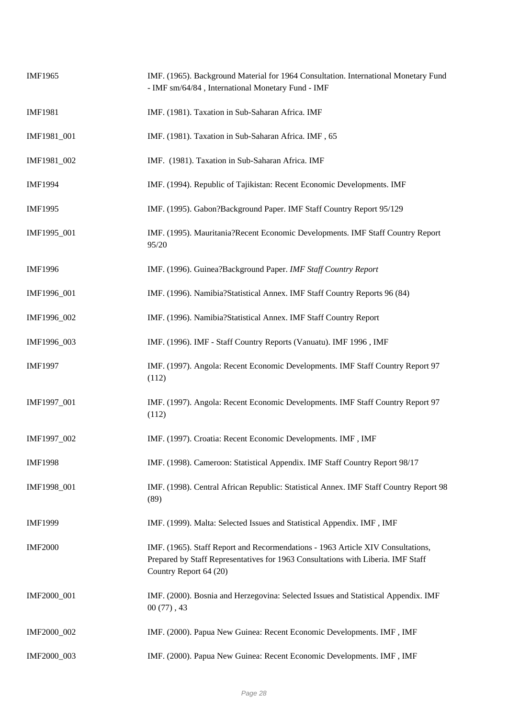| <b>IMF1965</b> | IMF. (1965). Background Material for 1964 Consultation. International Monetary Fund<br>- IMF sm/64/84, International Monetary Fund - IMF                                                      |
|----------------|-----------------------------------------------------------------------------------------------------------------------------------------------------------------------------------------------|
| <b>IMF1981</b> | IMF. (1981). Taxation in Sub-Saharan Africa. IMF                                                                                                                                              |
| IMF1981_001    | IMF. (1981). Taxation in Sub-Saharan Africa. IMF, 65                                                                                                                                          |
| IMF1981_002    | IMF. (1981). Taxation in Sub-Saharan Africa. IMF                                                                                                                                              |
| <b>IMF1994</b> | IMF. (1994). Republic of Tajikistan: Recent Economic Developments. IMF                                                                                                                        |
| <b>IMF1995</b> | IMF. (1995). Gabon?Background Paper. IMF Staff Country Report 95/129                                                                                                                          |
| IMF1995_001    | IMF. (1995). Mauritania?Recent Economic Developments. IMF Staff Country Report<br>95/20                                                                                                       |
| <b>IMF1996</b> | IMF. (1996). Guinea?Background Paper. IMF Staff Country Report                                                                                                                                |
| IMF1996_001    | IMF. (1996). Namibia?Statistical Annex. IMF Staff Country Reports 96 (84)                                                                                                                     |
| IMF1996_002    | IMF. (1996). Namibia?Statistical Annex. IMF Staff Country Report                                                                                                                              |
| IMF1996_003    | IMF. (1996). IMF - Staff Country Reports (Vanuatu). IMF 1996, IMF                                                                                                                             |
| <b>IMF1997</b> | IMF. (1997). Angola: Recent Economic Developments. IMF Staff Country Report 97<br>(112)                                                                                                       |
| IMF1997_001    | IMF. (1997). Angola: Recent Economic Developments. IMF Staff Country Report 97<br>(112)                                                                                                       |
| IMF1997_002    | IMF. (1997). Croatia: Recent Economic Developments. IMF, IMF                                                                                                                                  |
| <b>IMF1998</b> | IMF. (1998). Cameroon: Statistical Appendix. IMF Staff Country Report 98/17                                                                                                                   |
| IMF1998_001    | IMF. (1998). Central African Republic: Statistical Annex. IMF Staff Country Report 98<br>(89)                                                                                                 |
| <b>IMF1999</b> | IMF. (1999). Malta: Selected Issues and Statistical Appendix. IMF, IMF                                                                                                                        |
| <b>IMF2000</b> | IMF. (1965). Staff Report and Recormendations - 1963 Article XIV Consultations,<br>Prepared by Staff Representatives for 1963 Consultations with Liberia. IMF Staff<br>Country Report 64 (20) |
| IMF2000_001    | IMF. (2000). Bosnia and Herzegovina: Selected Issues and Statistical Appendix. IMF<br>$00(77)$ , 43                                                                                           |
| IMF2000_002    | IMF. (2000). Papua New Guinea: Recent Economic Developments. IMF, IMF                                                                                                                         |
| IMF2000_003    | IMF. (2000). Papua New Guinea: Recent Economic Developments. IMF, IMF                                                                                                                         |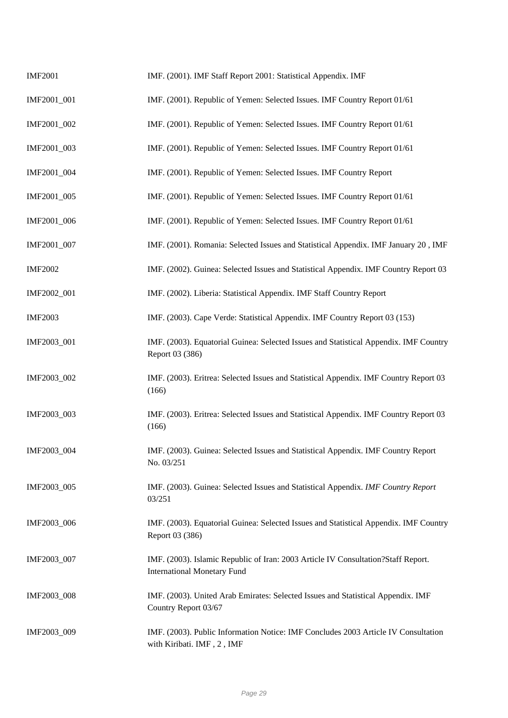| <b>IMF2001</b> | IMF. (2001). IMF Staff Report 2001: Statistical Appendix. IMF                                                           |
|----------------|-------------------------------------------------------------------------------------------------------------------------|
| IMF2001_001    | IMF. (2001). Republic of Yemen: Selected Issues. IMF Country Report 01/61                                               |
| IMF2001_002    | IMF. (2001). Republic of Yemen: Selected Issues. IMF Country Report 01/61                                               |
| IMF2001_003    | IMF. (2001). Republic of Yemen: Selected Issues. IMF Country Report 01/61                                               |
| IMF2001_004    | IMF. (2001). Republic of Yemen: Selected Issues. IMF Country Report                                                     |
| IMF2001_005    | IMF. (2001). Republic of Yemen: Selected Issues. IMF Country Report 01/61                                               |
| IMF2001_006    | IMF. (2001). Republic of Yemen: Selected Issues. IMF Country Report 01/61                                               |
| IMF2001_007    | IMF. (2001). Romania: Selected Issues and Statistical Appendix. IMF January 20, IMF                                     |
| <b>IMF2002</b> | IMF. (2002). Guinea: Selected Issues and Statistical Appendix. IMF Country Report 03                                    |
| IMF2002_001    | IMF. (2002). Liberia: Statistical Appendix. IMF Staff Country Report                                                    |
| <b>IMF2003</b> | IMF. (2003). Cape Verde: Statistical Appendix. IMF Country Report 03 (153)                                              |
| IMF2003_001    | IMF. (2003). Equatorial Guinea: Selected Issues and Statistical Appendix. IMF Country<br>Report 03 (386)                |
| IMF2003_002    | IMF. (2003). Eritrea: Selected Issues and Statistical Appendix. IMF Country Report 03<br>(166)                          |
| IMF2003_003    | IMF. (2003). Eritrea: Selected Issues and Statistical Appendix. IMF Country Report 03<br>(166)                          |
| IMF2003_004    | IMF. (2003). Guinea: Selected Issues and Statistical Appendix. IMF Country Report<br>No. 03/251                         |
| IMF2003_005    | IMF. (2003). Guinea: Selected Issues and Statistical Appendix. IMF Country Report<br>03/251                             |
| IMF2003_006    | IMF. (2003). Equatorial Guinea: Selected Issues and Statistical Appendix. IMF Country<br>Report 03 (386)                |
| IMF2003_007    | IMF. (2003). Islamic Republic of Iran: 2003 Article IV Consultation?Staff Report.<br><b>International Monetary Fund</b> |
| IMF2003_008    | IMF. (2003). United Arab Emirates: Selected Issues and Statistical Appendix. IMF<br>Country Report 03/67                |
| IMF2003_009    | IMF. (2003). Public Information Notice: IMF Concludes 2003 Article IV Consultation<br>with Kiribati. IMF, 2, IMF        |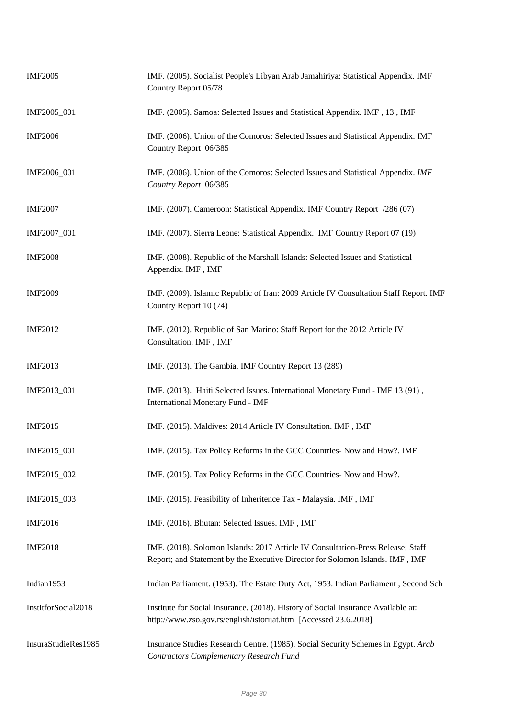| <b>IMF2005</b>      | IMF. (2005). Socialist People's Libyan Arab Jamahiriya: Statistical Appendix. IMF<br>Country Report 05/78                                                        |
|---------------------|------------------------------------------------------------------------------------------------------------------------------------------------------------------|
| IMF2005_001         | IMF. (2005). Samoa: Selected Issues and Statistical Appendix. IMF, 13, IMF                                                                                       |
| <b>IMF2006</b>      | IMF. (2006). Union of the Comoros: Selected Issues and Statistical Appendix. IMF<br>Country Report 06/385                                                        |
| IMF2006_001         | IMF. (2006). Union of the Comoros: Selected Issues and Statistical Appendix. IMF<br>Country Report 06/385                                                        |
| <b>IMF2007</b>      | IMF. (2007). Cameroon: Statistical Appendix. IMF Country Report /286 (07)                                                                                        |
| IMF2007_001         | IMF. (2007). Sierra Leone: Statistical Appendix. IMF Country Report 07 (19)                                                                                      |
| <b>IMF2008</b>      | IMF. (2008). Republic of the Marshall Islands: Selected Issues and Statistical<br>Appendix. IMF, IMF                                                             |
| <b>IMF2009</b>      | IMF. (2009). Islamic Republic of Iran: 2009 Article IV Consultation Staff Report. IMF<br>Country Report 10 (74)                                                  |
| <b>IMF2012</b>      | IMF. (2012). Republic of San Marino: Staff Report for the 2012 Article IV<br>Consultation. IMF, IMF                                                              |
| <b>IMF2013</b>      | IMF. (2013). The Gambia. IMF Country Report 13 (289)                                                                                                             |
| IMF2013_001         | IMF. (2013). Haiti Selected Issues. International Monetary Fund - IMF 13 (91),<br><b>International Monetary Fund - IMF</b>                                       |
| <b>IMF2015</b>      | IMF. (2015). Maldives: 2014 Article IV Consultation. IMF, IMF                                                                                                    |
| IMF2015_001         | IMF. (2015). Tax Policy Reforms in the GCC Countries- Now and How?. IMF                                                                                          |
| IMF2015_002         | IMF. (2015). Tax Policy Reforms in the GCC Countries- Now and How?.                                                                                              |
| IMF2015_003         | IMF. (2015). Feasibility of Inheritence Tax - Malaysia. IMF, IMF                                                                                                 |
| <b>IMF2016</b>      | IMF. (2016). Bhutan: Selected Issues. IMF, IMF                                                                                                                   |
| <b>IMF2018</b>      | IMF. (2018). Solomon Islands: 2017 Article IV Consultation-Press Release; Staff<br>Report; and Statement by the Executive Director for Solomon Islands. IMF, IMF |
| Indian1953          | Indian Parliament. (1953). The Estate Duty Act, 1953. Indian Parliament, Second Sch                                                                              |
| InstitforSocial2018 | Institute for Social Insurance. (2018). History of Social Insurance Available at:<br>http://www.zso.gov.rs/english/istorijat.htm [Accessed 23.6.2018]            |
| InsuraStudieRes1985 | Insurance Studies Research Centre. (1985). Social Security Schemes in Egypt. Arab<br><b>Contractors Complementary Research Fund</b>                              |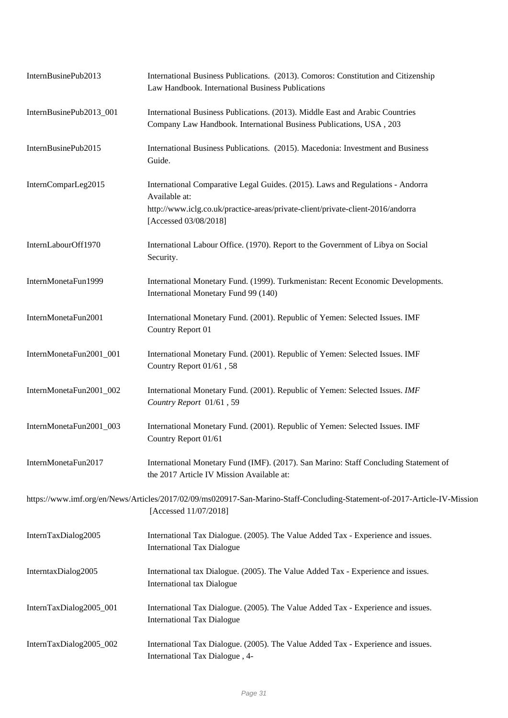| InternBusinePub2013     | International Business Publications. (2013). Comoros: Constitution and Citizenship<br>Law Handbook. International Business Publications                                                                     |
|-------------------------|-------------------------------------------------------------------------------------------------------------------------------------------------------------------------------------------------------------|
| InternBusinePub2013_001 | International Business Publications. (2013). Middle East and Arabic Countries<br>Company Law Handbook. International Business Publications, USA, 203                                                        |
| InternBusinePub2015     | International Business Publications. (2015). Macedonia: Investment and Business<br>Guide.                                                                                                                   |
| InternComparLeg2015     | International Comparative Legal Guides. (2015). Laws and Regulations - Andorra<br>Available at:<br>http://www.iclg.co.uk/practice-areas/private-client/private-client-2016/andorra<br>[Accessed 03/08/2018] |
| InternLabourOff1970     | International Labour Office. (1970). Report to the Government of Libya on Social<br>Security.                                                                                                               |
| InternMonetaFun1999     | International Monetary Fund. (1999). Turkmenistan: Recent Economic Developments.<br>International Monetary Fund 99 (140)                                                                                    |
| InternMonetaFun2001     | International Monetary Fund. (2001). Republic of Yemen: Selected Issues. IMF<br>Country Report 01                                                                                                           |
| InternMonetaFun2001_001 | International Monetary Fund. (2001). Republic of Yemen: Selected Issues. IMF<br>Country Report 01/61, 58                                                                                                    |
| InternMonetaFun2001_002 | International Monetary Fund. (2001). Republic of Yemen: Selected Issues. IMF<br>Country Report 01/61, 59                                                                                                    |
| InternMonetaFun2001_003 | International Monetary Fund. (2001). Republic of Yemen: Selected Issues. IMF<br>Country Report 01/61                                                                                                        |
| InternMonetaFun2017     | International Monetary Fund (IMF). (2017). San Marino: Staff Concluding Statement of<br>the 2017 Article IV Mission Available at:                                                                           |
|                         | https://www.imf.org/en/News/Articles/2017/02/09/ms020917-San-Marino-Staff-Concluding-Statement-of-2017-Article-IV-Mission<br>[Accessed 11/07/2018]                                                          |
| InternTaxDialog2005     | International Tax Dialogue. (2005). The Value Added Tax - Experience and issues.<br><b>International Tax Dialogue</b>                                                                                       |
| InterntaxDialog2005     | International tax Dialogue. (2005). The Value Added Tax - Experience and issues.<br>International tax Dialogue                                                                                              |
| InternTaxDialog2005_001 | International Tax Dialogue. (2005). The Value Added Tax - Experience and issues.<br><b>International Tax Dialogue</b>                                                                                       |
| InternTaxDialog2005_002 | International Tax Dialogue. (2005). The Value Added Tax - Experience and issues.<br>International Tax Dialogue, 4-                                                                                          |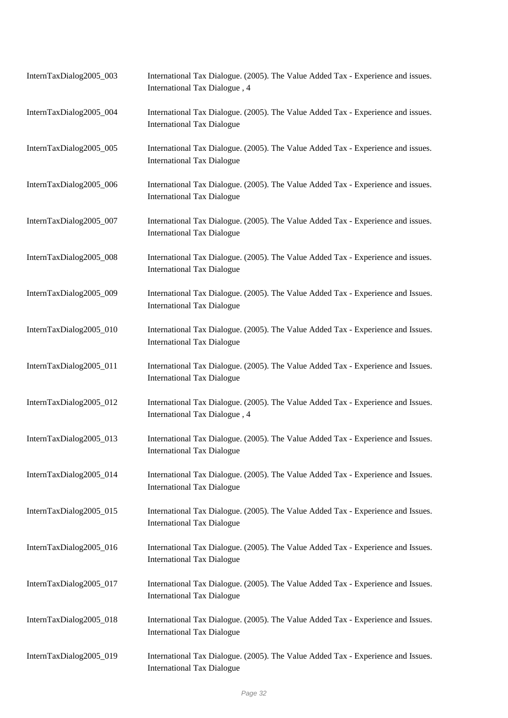| InternTaxDialog2005_003 | International Tax Dialogue. (2005). The Value Added Tax - Experience and issues.<br>International Tax Dialogue, 4     |
|-------------------------|-----------------------------------------------------------------------------------------------------------------------|
| InternTaxDialog2005_004 | International Tax Dialogue. (2005). The Value Added Tax - Experience and issues.<br><b>International Tax Dialogue</b> |
| InternTaxDialog2005_005 | International Tax Dialogue. (2005). The Value Added Tax - Experience and issues.<br><b>International Tax Dialogue</b> |
| InternTaxDialog2005_006 | International Tax Dialogue. (2005). The Value Added Tax - Experience and issues.<br><b>International Tax Dialogue</b> |
| InternTaxDialog2005_007 | International Tax Dialogue. (2005). The Value Added Tax - Experience and issues.<br><b>International Tax Dialogue</b> |
| InternTaxDialog2005_008 | International Tax Dialogue. (2005). The Value Added Tax - Experience and issues.<br><b>International Tax Dialogue</b> |
| InternTaxDialog2005_009 | International Tax Dialogue. (2005). The Value Added Tax - Experience and Issues.<br><b>International Tax Dialogue</b> |
| InternTaxDialog2005_010 | International Tax Dialogue. (2005). The Value Added Tax - Experience and Issues.<br><b>International Tax Dialogue</b> |
| InternTaxDialog2005_011 | International Tax Dialogue. (2005). The Value Added Tax - Experience and Issues.<br><b>International Tax Dialogue</b> |
| InternTaxDialog2005_012 | International Tax Dialogue. (2005). The Value Added Tax - Experience and Issues.<br>International Tax Dialogue, 4     |
| InternTaxDialog2005_013 | International Tax Dialogue. (2005). The Value Added Tax - Experience and Issues.<br><b>International Tax Dialogue</b> |
| InternTaxDialog2005_014 | International Tax Dialogue. (2005). The Value Added Tax - Experience and Issues.<br><b>International Tax Dialogue</b> |
| InternTaxDialog2005_015 | International Tax Dialogue. (2005). The Value Added Tax - Experience and Issues.<br><b>International Tax Dialogue</b> |
| InternTaxDialog2005_016 | International Tax Dialogue. (2005). The Value Added Tax - Experience and Issues.<br><b>International Tax Dialogue</b> |
| InternTaxDialog2005_017 | International Tax Dialogue. (2005). The Value Added Tax - Experience and Issues.<br><b>International Tax Dialogue</b> |
| InternTaxDialog2005_018 | International Tax Dialogue. (2005). The Value Added Tax - Experience and Issues.<br><b>International Tax Dialogue</b> |
| InternTaxDialog2005_019 | International Tax Dialogue. (2005). The Value Added Tax - Experience and Issues.<br><b>International Tax Dialogue</b> |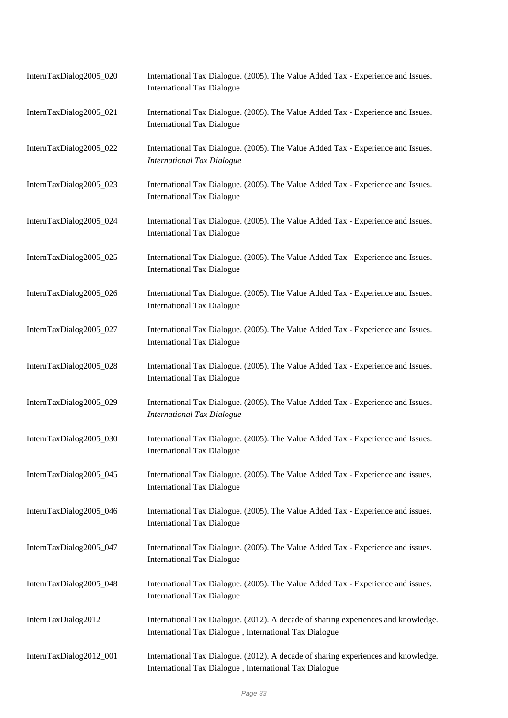| InternTaxDialog2005_020 | International Tax Dialogue. (2005). The Value Added Tax - Experience and Issues.<br><b>International Tax Dialogue</b>                        |
|-------------------------|----------------------------------------------------------------------------------------------------------------------------------------------|
| InternTaxDialog2005_021 | International Tax Dialogue. (2005). The Value Added Tax - Experience and Issues.<br><b>International Tax Dialogue</b>                        |
| InternTaxDialog2005_022 | International Tax Dialogue. (2005). The Value Added Tax - Experience and Issues.<br><b>International Tax Dialogue</b>                        |
| InternTaxDialog2005_023 | International Tax Dialogue. (2005). The Value Added Tax - Experience and Issues.<br><b>International Tax Dialogue</b>                        |
| InternTaxDialog2005_024 | International Tax Dialogue. (2005). The Value Added Tax - Experience and Issues.<br><b>International Tax Dialogue</b>                        |
| InternTaxDialog2005_025 | International Tax Dialogue. (2005). The Value Added Tax - Experience and Issues.<br><b>International Tax Dialogue</b>                        |
| InternTaxDialog2005_026 | International Tax Dialogue. (2005). The Value Added Tax - Experience and Issues.<br><b>International Tax Dialogue</b>                        |
| InternTaxDialog2005_027 | International Tax Dialogue. (2005). The Value Added Tax - Experience and Issues.<br><b>International Tax Dialogue</b>                        |
| InternTaxDialog2005_028 | International Tax Dialogue. (2005). The Value Added Tax - Experience and Issues.<br><b>International Tax Dialogue</b>                        |
| InternTaxDialog2005_029 | International Tax Dialogue. (2005). The Value Added Tax - Experience and Issues.<br><b>International Tax Dialogue</b>                        |
| InternTaxDialog2005_030 | International Tax Dialogue. (2005). The Value Added Tax - Experience and Issues.<br><b>International Tax Dialogue</b>                        |
| InternTaxDialog2005_045 | International Tax Dialogue. (2005). The Value Added Tax - Experience and issues.<br><b>International Tax Dialogue</b>                        |
| InternTaxDialog2005_046 | International Tax Dialogue. (2005). The Value Added Tax - Experience and issues.<br><b>International Tax Dialogue</b>                        |
| InternTaxDialog2005_047 | International Tax Dialogue. (2005). The Value Added Tax - Experience and issues.<br><b>International Tax Dialogue</b>                        |
| InternTaxDialog2005_048 | International Tax Dialogue. (2005). The Value Added Tax - Experience and issues.<br><b>International Tax Dialogue</b>                        |
| InternTaxDialog2012     | International Tax Dialogue. (2012). A decade of sharing experiences and knowledge.<br>International Tax Dialogue, International Tax Dialogue |
| InternTaxDialog2012_001 | International Tax Dialogue. (2012). A decade of sharing experiences and knowledge.<br>International Tax Dialogue, International Tax Dialogue |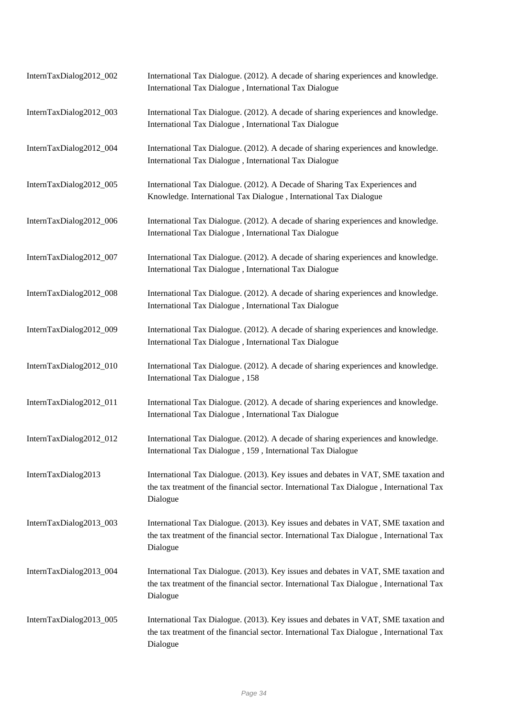| InternTaxDialog2012_002 | International Tax Dialogue. (2012). A decade of sharing experiences and knowledge.<br>International Tax Dialogue, International Tax Dialogue                                                |
|-------------------------|---------------------------------------------------------------------------------------------------------------------------------------------------------------------------------------------|
| InternTaxDialog2012_003 | International Tax Dialogue. (2012). A decade of sharing experiences and knowledge.<br>International Tax Dialogue, International Tax Dialogue                                                |
| InternTaxDialog2012_004 | International Tax Dialogue. (2012). A decade of sharing experiences and knowledge.<br>International Tax Dialogue, International Tax Dialogue                                                |
| InternTaxDialog2012_005 | International Tax Dialogue. (2012). A Decade of Sharing Tax Experiences and<br>Knowledge. International Tax Dialogue, International Tax Dialogue                                            |
| InternTaxDialog2012_006 | International Tax Dialogue. (2012). A decade of sharing experiences and knowledge.<br>International Tax Dialogue, International Tax Dialogue                                                |
| InternTaxDialog2012_007 | International Tax Dialogue. (2012). A decade of sharing experiences and knowledge.<br>International Tax Dialogue, International Tax Dialogue                                                |
| InternTaxDialog2012_008 | International Tax Dialogue. (2012). A decade of sharing experiences and knowledge.<br>International Tax Dialogue, International Tax Dialogue                                                |
| InternTaxDialog2012_009 | International Tax Dialogue. (2012). A decade of sharing experiences and knowledge.<br>International Tax Dialogue, International Tax Dialogue                                                |
| InternTaxDialog2012_010 | International Tax Dialogue. (2012). A decade of sharing experiences and knowledge.<br>International Tax Dialogue, 158                                                                       |
| InternTaxDialog2012_011 | International Tax Dialogue. (2012). A decade of sharing experiences and knowledge.<br>International Tax Dialogue, International Tax Dialogue                                                |
| InternTaxDialog2012_012 | International Tax Dialogue. (2012). A decade of sharing experiences and knowledge.<br>International Tax Dialogue, 159, International Tax Dialogue                                           |
| InternTaxDialog2013     | International Tax Dialogue. (2013). Key issues and debates in VAT, SME taxation and<br>the tax treatment of the financial sector. International Tax Dialogue, International Tax<br>Dialogue |
| InternTaxDialog2013_003 | International Tax Dialogue. (2013). Key issues and debates in VAT, SME taxation and<br>the tax treatment of the financial sector. International Tax Dialogue, International Tax<br>Dialogue |
| InternTaxDialog2013_004 | International Tax Dialogue. (2013). Key issues and debates in VAT, SME taxation and<br>the tax treatment of the financial sector. International Tax Dialogue, International Tax<br>Dialogue |
| InternTaxDialog2013_005 | International Tax Dialogue. (2013). Key issues and debates in VAT, SME taxation and<br>the tax treatment of the financial sector. International Tax Dialogue, International Tax<br>Dialogue |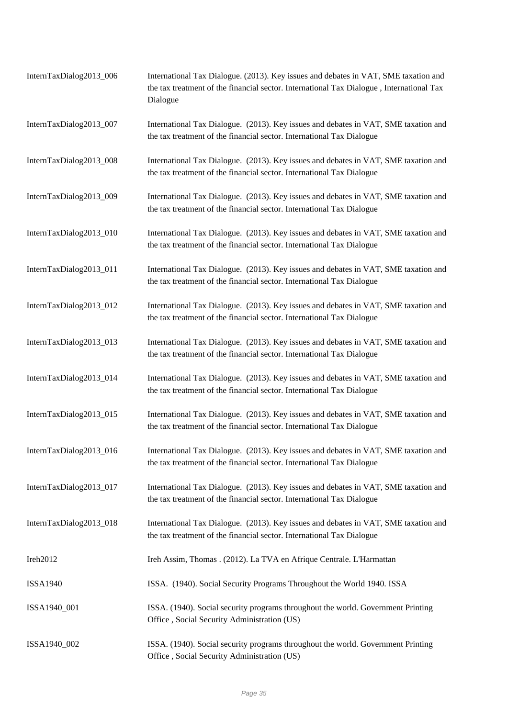| InternTaxDialog2013_006 | International Tax Dialogue. (2013). Key issues and debates in VAT, SME taxation and<br>the tax treatment of the financial sector. International Tax Dialogue, International Tax<br>Dialogue |
|-------------------------|---------------------------------------------------------------------------------------------------------------------------------------------------------------------------------------------|
| InternTaxDialog2013_007 | International Tax Dialogue. (2013). Key issues and debates in VAT, SME taxation and<br>the tax treatment of the financial sector. International Tax Dialogue                                |
| InternTaxDialog2013_008 | International Tax Dialogue. (2013). Key issues and debates in VAT, SME taxation and<br>the tax treatment of the financial sector. International Tax Dialogue                                |
| InternTaxDialog2013_009 | International Tax Dialogue. (2013). Key issues and debates in VAT, SME taxation and<br>the tax treatment of the financial sector. International Tax Dialogue                                |
| InternTaxDialog2013_010 | International Tax Dialogue. (2013). Key issues and debates in VAT, SME taxation and<br>the tax treatment of the financial sector. International Tax Dialogue                                |
| InternTaxDialog2013_011 | International Tax Dialogue. (2013). Key issues and debates in VAT, SME taxation and<br>the tax treatment of the financial sector. International Tax Dialogue                                |
| InternTaxDialog2013_012 | International Tax Dialogue. (2013). Key issues and debates in VAT, SME taxation and<br>the tax treatment of the financial sector. International Tax Dialogue                                |
| InternTaxDialog2013_013 | International Tax Dialogue. (2013). Key issues and debates in VAT, SME taxation and<br>the tax treatment of the financial sector. International Tax Dialogue                                |
| InternTaxDialog2013_014 | International Tax Dialogue. (2013). Key issues and debates in VAT, SME taxation and<br>the tax treatment of the financial sector. International Tax Dialogue                                |
| InternTaxDialog2013_015 | International Tax Dialogue. (2013). Key issues and debates in VAT, SME taxation and<br>the tax treatment of the financial sector. International Tax Dialogue                                |
| InternTaxDialog2013_016 | International Tax Dialogue. (2013). Key issues and debates in VAT, SME taxation and<br>the tax treatment of the financial sector. International Tax Dialogue                                |
| InternTaxDialog2013_017 | International Tax Dialogue. (2013). Key issues and debates in VAT, SME taxation and<br>the tax treatment of the financial sector. International Tax Dialogue                                |
| InternTaxDialog2013_018 | International Tax Dialogue. (2013). Key issues and debates in VAT, SME taxation and<br>the tax treatment of the financial sector. International Tax Dialogue                                |
| Ireh2012                | Ireh Assim, Thomas . (2012). La TVA en Afrique Centrale. L'Harmattan                                                                                                                        |
| <b>ISSA1940</b>         | ISSA. (1940). Social Security Programs Throughout the World 1940. ISSA                                                                                                                      |
| ISSA1940_001            | ISSA. (1940). Social security programs throughout the world. Government Printing<br>Office, Social Security Administration (US)                                                             |
| ISSA1940_002            | ISSA. (1940). Social security programs throughout the world. Government Printing<br>Office, Social Security Administration (US)                                                             |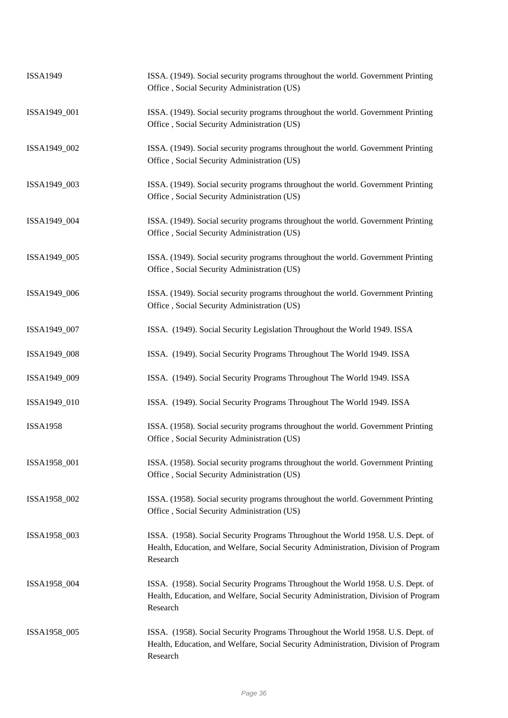| <b>ISSA1949</b> | ISSA. (1949). Social security programs throughout the world. Government Printing<br>Office, Social Security Administration (US)                                                    |
|-----------------|------------------------------------------------------------------------------------------------------------------------------------------------------------------------------------|
| ISSA1949_001    | ISSA. (1949). Social security programs throughout the world. Government Printing<br>Office, Social Security Administration (US)                                                    |
| ISSA1949_002    | ISSA. (1949). Social security programs throughout the world. Government Printing<br>Office, Social Security Administration (US)                                                    |
| ISSA1949_003    | ISSA. (1949). Social security programs throughout the world. Government Printing<br>Office, Social Security Administration (US)                                                    |
| ISSA1949_004    | ISSA. (1949). Social security programs throughout the world. Government Printing<br>Office, Social Security Administration (US)                                                    |
| ISSA1949_005    | ISSA. (1949). Social security programs throughout the world. Government Printing<br>Office, Social Security Administration (US)                                                    |
| ISSA1949_006    | ISSA. (1949). Social security programs throughout the world. Government Printing<br>Office, Social Security Administration (US)                                                    |
| ISSA1949_007    | ISSA. (1949). Social Security Legislation Throughout the World 1949. ISSA                                                                                                          |
| ISSA1949_008    | ISSA. (1949). Social Security Programs Throughout The World 1949. ISSA                                                                                                             |
| ISSA1949_009    | ISSA. (1949). Social Security Programs Throughout The World 1949. ISSA                                                                                                             |
| ISSA1949_010    | ISSA. (1949). Social Security Programs Throughout The World 1949. ISSA                                                                                                             |
| <b>ISSA1958</b> | ISSA. (1958). Social security programs throughout the world. Government Printing<br>Office, Social Security Administration (US)                                                    |
| ISSA1958_001    | ISSA. (1958). Social security programs throughout the world. Government Printing<br>Office, Social Security Administration (US)                                                    |
| ISSA1958_002    | ISSA. (1958). Social security programs throughout the world. Government Printing<br>Office, Social Security Administration (US)                                                    |
| ISSA1958_003    | ISSA. (1958). Social Security Programs Throughout the World 1958. U.S. Dept. of<br>Health, Education, and Welfare, Social Security Administration, Division of Program<br>Research |
| ISSA1958_004    | ISSA. (1958). Social Security Programs Throughout the World 1958. U.S. Dept. of<br>Health, Education, and Welfare, Social Security Administration, Division of Program<br>Research |
| ISSA1958_005    | ISSA. (1958). Social Security Programs Throughout the World 1958. U.S. Dept. of<br>Health, Education, and Welfare, Social Security Administration, Division of Program<br>Research |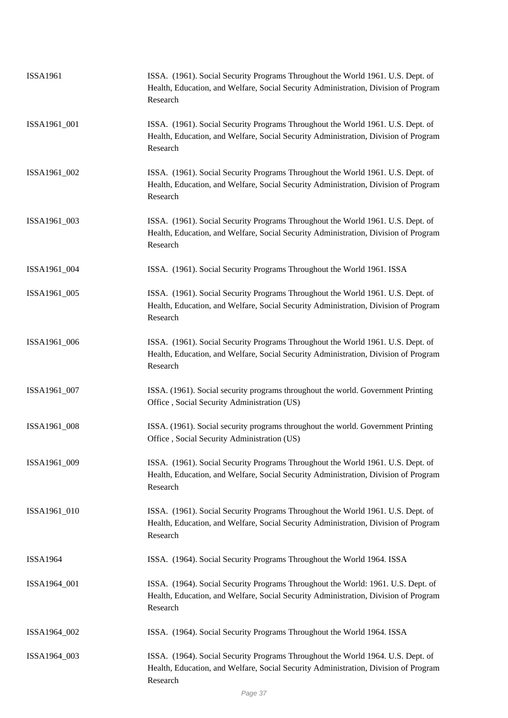| <b>ISSA1961</b> | ISSA. (1961). Social Security Programs Throughout the World 1961. U.S. Dept. of<br>Health, Education, and Welfare, Social Security Administration, Division of Program<br>Research  |
|-----------------|-------------------------------------------------------------------------------------------------------------------------------------------------------------------------------------|
| ISSA1961_001    | ISSA. (1961). Social Security Programs Throughout the World 1961. U.S. Dept. of<br>Health, Education, and Welfare, Social Security Administration, Division of Program<br>Research  |
| ISSA1961_002    | ISSA. (1961). Social Security Programs Throughout the World 1961. U.S. Dept. of<br>Health, Education, and Welfare, Social Security Administration, Division of Program<br>Research  |
| ISSA1961_003    | ISSA. (1961). Social Security Programs Throughout the World 1961. U.S. Dept. of<br>Health, Education, and Welfare, Social Security Administration, Division of Program<br>Research  |
| ISSA1961_004    | ISSA. (1961). Social Security Programs Throughout the World 1961. ISSA                                                                                                              |
| ISSA1961_005    | ISSA. (1961). Social Security Programs Throughout the World 1961. U.S. Dept. of<br>Health, Education, and Welfare, Social Security Administration, Division of Program<br>Research  |
| ISSA1961_006    | ISSA. (1961). Social Security Programs Throughout the World 1961. U.S. Dept. of<br>Health, Education, and Welfare, Social Security Administration, Division of Program<br>Research  |
| ISSA1961_007    | ISSA. (1961). Social security programs throughout the world. Government Printing<br>Office, Social Security Administration (US)                                                     |
| ISSA1961_008    | ISSA. (1961). Social security programs throughout the world. Government Printing<br>Office, Social Security Administration (US)                                                     |
| ISSA1961_009    | ISSA. (1961). Social Security Programs Throughout the World 1961. U.S. Dept. of<br>Health, Education, and Welfare, Social Security Administration, Division of Program<br>Research  |
| ISSA1961_010    | ISSA. (1961). Social Security Programs Throughout the World 1961. U.S. Dept. of<br>Health, Education, and Welfare, Social Security Administration, Division of Program<br>Research  |
| <b>ISSA1964</b> | ISSA. (1964). Social Security Programs Throughout the World 1964. ISSA                                                                                                              |
| ISSA1964_001    | ISSA. (1964). Social Security Programs Throughout the World: 1961. U.S. Dept. of<br>Health, Education, and Welfare, Social Security Administration, Division of Program<br>Research |
| ISSA1964_002    | ISSA. (1964). Social Security Programs Throughout the World 1964. ISSA                                                                                                              |
| ISSA1964_003    | ISSA. (1964). Social Security Programs Throughout the World 1964. U.S. Dept. of<br>Health, Education, and Welfare, Social Security Administration, Division of Program<br>Research  |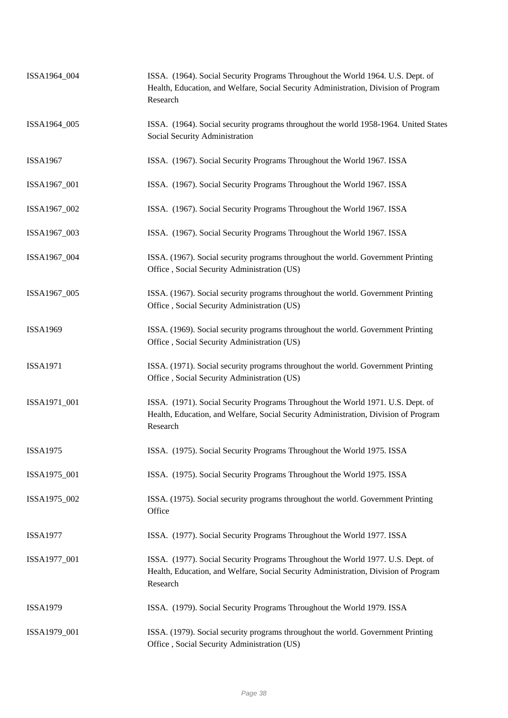| ISSA1964_004    | ISSA. (1964). Social Security Programs Throughout the World 1964. U.S. Dept. of<br>Health, Education, and Welfare, Social Security Administration, Division of Program<br>Research |
|-----------------|------------------------------------------------------------------------------------------------------------------------------------------------------------------------------------|
| ISSA1964_005    | ISSA. (1964). Social security programs throughout the world 1958-1964. United States<br>Social Security Administration                                                             |
| <b>ISSA1967</b> | ISSA. (1967). Social Security Programs Throughout the World 1967. ISSA                                                                                                             |
| ISSA1967_001    | ISSA. (1967). Social Security Programs Throughout the World 1967. ISSA                                                                                                             |
| ISSA1967_002    | ISSA. (1967). Social Security Programs Throughout the World 1967. ISSA                                                                                                             |
| ISSA1967_003    | ISSA. (1967). Social Security Programs Throughout the World 1967. ISSA                                                                                                             |
| ISSA1967_004    | ISSA. (1967). Social security programs throughout the world. Government Printing<br>Office, Social Security Administration (US)                                                    |
| ISSA1967_005    | ISSA. (1967). Social security programs throughout the world. Government Printing<br>Office, Social Security Administration (US)                                                    |
| <b>ISSA1969</b> | ISSA. (1969). Social security programs throughout the world. Government Printing<br>Office, Social Security Administration (US)                                                    |
| <b>ISSA1971</b> | ISSA. (1971). Social security programs throughout the world. Government Printing<br>Office, Social Security Administration (US)                                                    |
| ISSA1971_001    | ISSA. (1971). Social Security Programs Throughout the World 1971. U.S. Dept. of<br>Health, Education, and Welfare, Social Security Administration, Division of Program<br>Research |
| <b>ISSA1975</b> | ISSA. (1975). Social Security Programs Throughout the World 1975. ISSA                                                                                                             |
| ISSA1975_001    | ISSA. (1975). Social Security Programs Throughout the World 1975. ISSA                                                                                                             |
| ISSA1975_002    | ISSA. (1975). Social security programs throughout the world. Government Printing<br>Office                                                                                         |
| <b>ISSA1977</b> | ISSA. (1977). Social Security Programs Throughout the World 1977. ISSA                                                                                                             |
| ISSA1977_001    | ISSA. (1977). Social Security Programs Throughout the World 1977. U.S. Dept. of<br>Health, Education, and Welfare, Social Security Administration, Division of Program<br>Research |
| <b>ISSA1979</b> | ISSA. (1979). Social Security Programs Throughout the World 1979. ISSA                                                                                                             |
| ISSA1979_001    | ISSA. (1979). Social security programs throughout the world. Government Printing<br>Office, Social Security Administration (US)                                                    |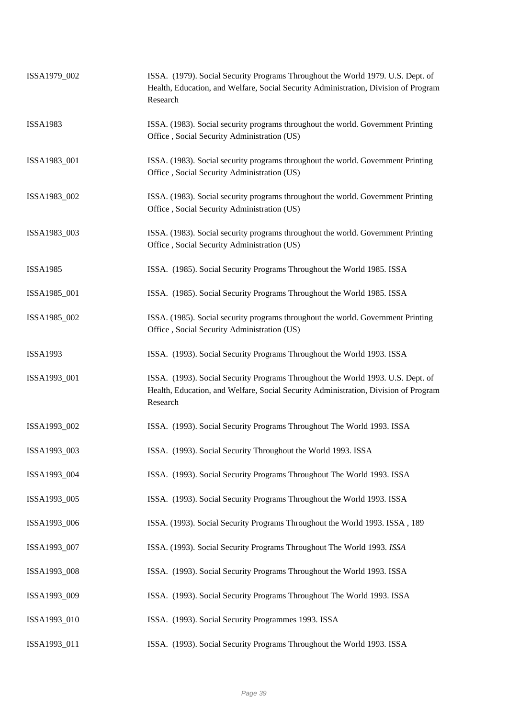| ISSA1979_002    | ISSA. (1979). Social Security Programs Throughout the World 1979. U.S. Dept. of<br>Health, Education, and Welfare, Social Security Administration, Division of Program<br>Research |
|-----------------|------------------------------------------------------------------------------------------------------------------------------------------------------------------------------------|
| <b>ISSA1983</b> | ISSA. (1983). Social security programs throughout the world. Government Printing<br>Office, Social Security Administration (US)                                                    |
| ISSA1983_001    | ISSA. (1983). Social security programs throughout the world. Government Printing<br>Office, Social Security Administration (US)                                                    |
| ISSA1983_002    | ISSA. (1983). Social security programs throughout the world. Government Printing<br>Office, Social Security Administration (US)                                                    |
| ISSA1983_003    | ISSA. (1983). Social security programs throughout the world. Government Printing<br>Office, Social Security Administration (US)                                                    |
| <b>ISSA1985</b> | ISSA. (1985). Social Security Programs Throughout the World 1985. ISSA                                                                                                             |
| ISSA1985_001    | ISSA. (1985). Social Security Programs Throughout the World 1985. ISSA                                                                                                             |
| ISSA1985_002    | ISSA. (1985). Social security programs throughout the world. Government Printing<br>Office, Social Security Administration (US)                                                    |
| <b>ISSA1993</b> | ISSA. (1993). Social Security Programs Throughout the World 1993. ISSA                                                                                                             |
| ISSA1993_001    | ISSA. (1993). Social Security Programs Throughout the World 1993. U.S. Dept. of<br>Health, Education, and Welfare, Social Security Administration, Division of Program<br>Research |
| ISSA1993_002    | ISSA. (1993). Social Security Programs Throughout The World 1993. ISSA                                                                                                             |
| ISSA1993_003    | ISSA. (1993). Social Security Throughout the World 1993. ISSA                                                                                                                      |
| ISSA1993_004    | ISSA. (1993). Social Security Programs Throughout The World 1993. ISSA                                                                                                             |
| ISSA1993_005    | ISSA. (1993). Social Security Programs Throughout the World 1993. ISSA                                                                                                             |
| ISSA1993_006    | ISSA. (1993). Social Security Programs Throughout the World 1993. ISSA, 189                                                                                                        |
| ISSA1993_007    | ISSA. (1993). Social Security Programs Throughout The World 1993. ISSA                                                                                                             |
| ISSA1993_008    | ISSA. (1993). Social Security Programs Throughout the World 1993. ISSA                                                                                                             |
| ISSA1993_009    | ISSA. (1993). Social Security Programs Throughout The World 1993. ISSA                                                                                                             |
| ISSA1993_010    | ISSA. (1993). Social Security Programmes 1993. ISSA                                                                                                                                |
| ISSA1993_011    | ISSA. (1993). Social Security Programs Throughout the World 1993. ISSA                                                                                                             |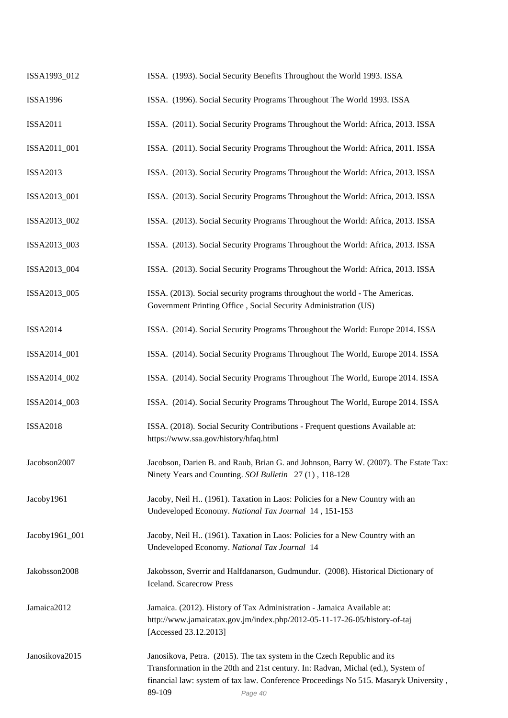| ISSA1993_012    | ISSA. (1993). Social Security Benefits Throughout the World 1993. ISSA                                                                                                                                                                                                   |
|-----------------|--------------------------------------------------------------------------------------------------------------------------------------------------------------------------------------------------------------------------------------------------------------------------|
| <b>ISSA1996</b> | ISSA. (1996). Social Security Programs Throughout The World 1993. ISSA                                                                                                                                                                                                   |
| <b>ISSA2011</b> | ISSA. (2011). Social Security Programs Throughout the World: Africa, 2013. ISSA                                                                                                                                                                                          |
| ISSA2011_001    | ISSA. (2011). Social Security Programs Throughout the World: Africa, 2011. ISSA                                                                                                                                                                                          |
| <b>ISSA2013</b> | ISSA. (2013). Social Security Programs Throughout the World: Africa, 2013. ISSA                                                                                                                                                                                          |
| ISSA2013_001    | ISSA. (2013). Social Security Programs Throughout the World: Africa, 2013. ISSA                                                                                                                                                                                          |
| ISSA2013_002    | ISSA. (2013). Social Security Programs Throughout the World: Africa, 2013. ISSA                                                                                                                                                                                          |
| ISSA2013_003    | ISSA. (2013). Social Security Programs Throughout the World: Africa, 2013. ISSA                                                                                                                                                                                          |
| ISSA2013_004    | ISSA. (2013). Social Security Programs Throughout the World: Africa, 2013. ISSA                                                                                                                                                                                          |
| ISSA2013_005    | ISSA. (2013). Social security programs throughout the world - The Americas.<br>Government Printing Office, Social Security Administration (US)                                                                                                                           |
| <b>ISSA2014</b> | ISSA. (2014). Social Security Programs Throughout the World: Europe 2014. ISSA                                                                                                                                                                                           |
| ISSA2014_001    | ISSA. (2014). Social Security Programs Throughout The World, Europe 2014. ISSA                                                                                                                                                                                           |
| ISSA2014_002    | ISSA. (2014). Social Security Programs Throughout The World, Europe 2014. ISSA                                                                                                                                                                                           |
| ISSA2014_003    | ISSA. (2014). Social Security Programs Throughout The World, Europe 2014. ISSA                                                                                                                                                                                           |
| <b>ISSA2018</b> | ISSA. (2018). Social Security Contributions - Frequent questions Available at:<br>https://www.ssa.gov/history/hfaq.html                                                                                                                                                  |
| Jacobson2007    | Jacobson, Darien B. and Raub, Brian G. and Johnson, Barry W. (2007). The Estate Tax:<br>Ninety Years and Counting. SOI Bulletin 27(1), 118-128                                                                                                                           |
| Jacoby1961      | Jacoby, Neil H. (1961). Taxation in Laos: Policies for a New Country with an<br>Undeveloped Economy. National Tax Journal 14, 151-153                                                                                                                                    |
| Jacoby1961_001  | Jacoby, Neil H., (1961). Taxation in Laos: Policies for a New Country with an<br>Undeveloped Economy. National Tax Journal 14                                                                                                                                            |
| Jakobsson2008   | Jakobsson, Sverrir and Halfdanarson, Gudmundur. (2008). Historical Dictionary of<br><b>Iceland.</b> Scarecrow Press                                                                                                                                                      |
| Jamaica2012     | Jamaica. (2012). History of Tax Administration - Jamaica Available at:<br>http://www.jamaicatax.gov.jm/index.php/2012-05-11-17-26-05/history-of-taj<br>[Accessed 23.12.2013]                                                                                             |
| Janosikova2015  | Janosikova, Petra. (2015). The tax system in the Czech Republic and its<br>Transformation in the 20th and 21st century. In: Radvan, Michal (ed.), System of<br>financial law: system of tax law. Conference Proceedings No 515. Masaryk University,<br>89-109<br>Page 40 |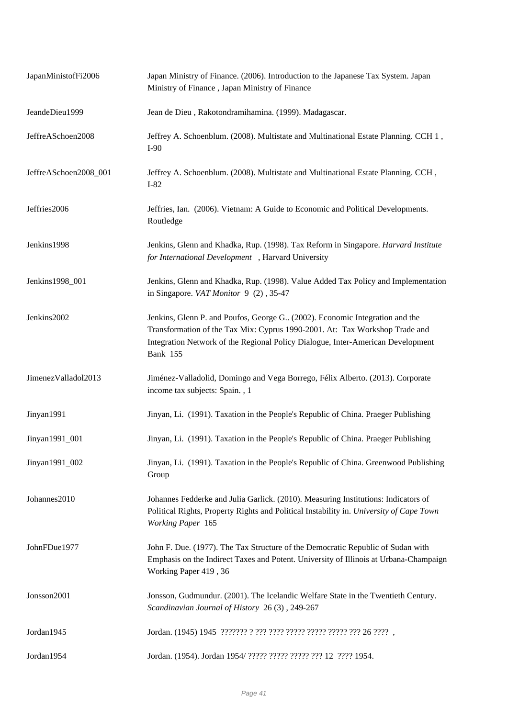| JapanMinistofFi2006   | Japan Ministry of Finance. (2006). Introduction to the Japanese Tax System. Japan<br>Ministry of Finance, Japan Ministry of Finance                                                                                                                               |
|-----------------------|-------------------------------------------------------------------------------------------------------------------------------------------------------------------------------------------------------------------------------------------------------------------|
| JeandeDieu1999        | Jean de Dieu, Rakotondramihamina. (1999). Madagascar.                                                                                                                                                                                                             |
| JeffreASchoen2008     | Jeffrey A. Schoenblum. (2008). Multistate and Multinational Estate Planning. CCH 1,<br>$I-90$                                                                                                                                                                     |
| JeffreASchoen2008_001 | Jeffrey A. Schoenblum. (2008). Multistate and Multinational Estate Planning. CCH,<br>$I-82$                                                                                                                                                                       |
| Jeffries2006          | Jeffries, Ian. (2006). Vietnam: A Guide to Economic and Political Developments.<br>Routledge                                                                                                                                                                      |
| Jenkins1998           | Jenkins, Glenn and Khadka, Rup. (1998). Tax Reform in Singapore. Harvard Institute<br>for International Development , Harvard University                                                                                                                          |
| Jenkins1998_001       | Jenkins, Glenn and Khadka, Rup. (1998). Value Added Tax Policy and Implementation<br>in Singapore. VAT Monitor 9 (2), 35-47                                                                                                                                       |
| Jenkins2002           | Jenkins, Glenn P. and Poufos, George G. (2002). Economic Integration and the<br>Transformation of the Tax Mix: Cyprus 1990-2001. At: Tax Workshop Trade and<br>Integration Network of the Regional Policy Dialogue, Inter-American Development<br><b>Bank 155</b> |
| JimenezValladol2013   | Jiménez-Valladolid, Domingo and Vega Borrego, Félix Alberto. (2013). Corporate<br>income tax subjects: Spain., 1                                                                                                                                                  |
| Jinyan1991            | Jinyan, Li. (1991). Taxation in the People's Republic of China. Praeger Publishing                                                                                                                                                                                |
| Jinyan1991_001        | Jinyan, Li. (1991). Taxation in the People's Republic of China. Praeger Publishing                                                                                                                                                                                |
| Jinyan1991_002        | Jinyan, Li. (1991). Taxation in the People's Republic of China. Greenwood Publishing<br>Group                                                                                                                                                                     |
| Johannes2010          | Johannes Fedderke and Julia Garlick. (2010). Measuring Institutions: Indicators of<br>Political Rights, Property Rights and Political Instability in. University of Cape Town<br>Working Paper 165                                                                |
| JohnFDue1977          | John F. Due. (1977). The Tax Structure of the Democratic Republic of Sudan with<br>Emphasis on the Indirect Taxes and Potent. University of Illinois at Urbana-Champaign<br>Working Paper 419, 36                                                                 |
| Jonsson2001           | Jonsson, Gudmundur. (2001). The Icelandic Welfare State in the Twentieth Century.<br>Scandinavian Journal of History 26(3), 249-267                                                                                                                               |
| Jordan1945            | Jordan. (1945) 1945 ???????? ? ??? ???? ????? ????? ????? ??? 26 ???? ,                                                                                                                                                                                           |
| Jordan1954            | Jordan. (1954). Jordan 1954/ ????? ????? ????? ??? 12 ???? 1954.                                                                                                                                                                                                  |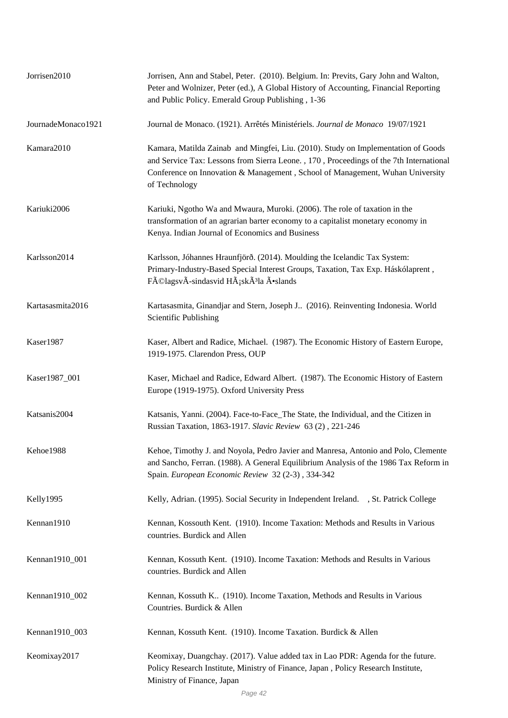| Jorrisen2010       | Jorrisen, Ann and Stabel, Peter. (2010). Belgium. In: Previts, Gary John and Walton,<br>Peter and Wolnizer, Peter (ed.), A Global History of Accounting, Financial Reporting<br>and Public Policy. Emerald Group Publishing, 1-36                                             |
|--------------------|-------------------------------------------------------------------------------------------------------------------------------------------------------------------------------------------------------------------------------------------------------------------------------|
| JournadeMonaco1921 | Journal de Monaco. (1921). Arrêtés Ministériels. Journal de Monaco 19/07/1921                                                                                                                                                                                                 |
| Kamara2010         | Kamara, Matilda Zainab and Mingfei, Liu. (2010). Study on Implementation of Goods<br>and Service Tax: Lessons from Sierra Leone., 170, Proceedings of the 7th International<br>Conference on Innovation & Management, School of Management, Wuhan University<br>of Technology |
| Kariuki2006        | Kariuki, Ngotho Wa and Mwaura, Muroki. (2006). The role of taxation in the<br>transformation of an agrarian barter economy to a capitalist monetary economy in<br>Kenya. Indian Journal of Economics and Business                                                             |
| Karlsson2014       | Karlsson, Jóhannes Hraunfjörð. (2014). Moulding the Icelandic Tax System:<br>Primary-Industry-Based Special Interest Groups, Taxation, Tax Exp. Háskólaprent,<br>FélagsvÃ-sindasvid HÃ;skÃ <sup>3</sup> la Õslands                                                            |
| Kartasasmita2016   | Kartasasmita, Ginandjar and Stern, Joseph J (2016). Reinventing Indonesia. World<br>Scientific Publishing                                                                                                                                                                     |
| Kaser1987          | Kaser, Albert and Radice, Michael. (1987). The Economic History of Eastern Europe,<br>1919-1975. Clarendon Press, OUP                                                                                                                                                         |
| Kaser1987_001      | Kaser, Michael and Radice, Edward Albert. (1987). The Economic History of Eastern<br>Europe (1919-1975). Oxford University Press                                                                                                                                              |
| Katsanis2004       | Katsanis, Yanni. (2004). Face-to-Face_The State, the Individual, and the Citizen in<br>Russian Taxation, 1863-1917. Slavic Review 63 (2), 221-246                                                                                                                             |
| Kehoe1988          | Kehoe, Timothy J. and Noyola, Pedro Javier and Manresa, Antonio and Polo, Clemente<br>and Sancho, Ferran. (1988). A General Equilibrium Analysis of the 1986 Tax Reform in<br>Spain. European Economic Review 32 (2-3), 334-342                                               |
| Kelly1995          | Kelly, Adrian. (1995). Social Security in Independent Ireland. , St. Patrick College                                                                                                                                                                                          |
| Kennan1910         | Kennan, Kossouth Kent. (1910). Income Taxation: Methods and Results in Various<br>countries. Burdick and Allen                                                                                                                                                                |
| Kennan1910_001     | Kennan, Kossuth Kent. (1910). Income Taxation: Methods and Results in Various<br>countries. Burdick and Allen                                                                                                                                                                 |
| Kennan1910_002     | Kennan, Kossuth K (1910). Income Taxation, Methods and Results in Various<br>Countries. Burdick & Allen                                                                                                                                                                       |
| Kennan1910_003     | Kennan, Kossuth Kent. (1910). Income Taxation. Burdick & Allen                                                                                                                                                                                                                |
| Keomixay2017       | Keomixay, Duangchay. (2017). Value added tax in Lao PDR: Agenda for the future.<br>Policy Research Institute, Ministry of Finance, Japan, Policy Research Institute,<br>Ministry of Finance, Japan                                                                            |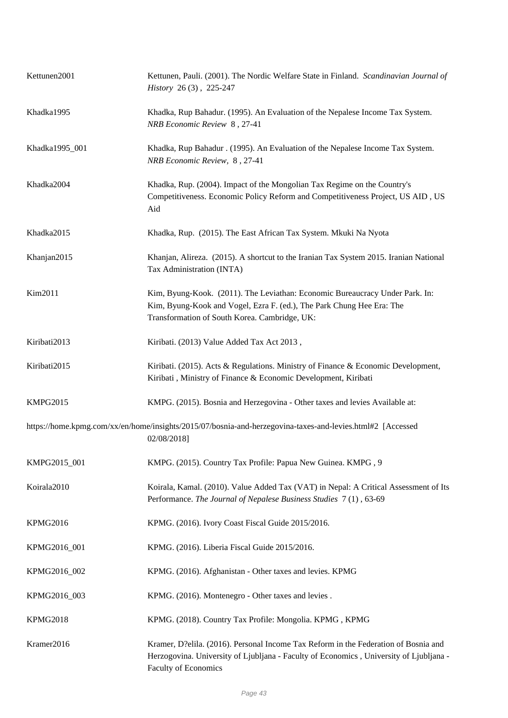| Kettunen2001    | Kettunen, Pauli. (2001). The Nordic Welfare State in Finland. Scandinavian Journal of<br>History 26(3), 225-247                                                                                        |
|-----------------|--------------------------------------------------------------------------------------------------------------------------------------------------------------------------------------------------------|
| Khadka1995      | Khadka, Rup Bahadur. (1995). An Evaluation of the Nepalese Income Tax System.<br>NRB Economic Review 8, 27-41                                                                                          |
| Khadka1995_001  | Khadka, Rup Bahadur . (1995). An Evaluation of the Nepalese Income Tax System.<br>NRB Economic Review, 8, 27-41                                                                                        |
| Khadka2004      | Khadka, Rup. (2004). Impact of the Mongolian Tax Regime on the Country's<br>Competitiveness. Economic Policy Reform and Competitiveness Project, US AID, US<br>Aid                                     |
| Khadka2015      | Khadka, Rup. (2015). The East African Tax System. Mkuki Na Nyota                                                                                                                                       |
| Khanjan2015     | Khanjan, Alireza. (2015). A shortcut to the Iranian Tax System 2015. Iranian National<br>Tax Administration (INTA)                                                                                     |
| Kim2011         | Kim, Byung-Kook. (2011). The Leviathan: Economic Bureaucracy Under Park. In:<br>Kim, Byung-Kook and Vogel, Ezra F. (ed.), The Park Chung Hee Era: The<br>Transformation of South Korea. Cambridge, UK: |
| Kiribati2013    | Kiribati. (2013) Value Added Tax Act 2013,                                                                                                                                                             |
| Kiribati2015    | Kiribati. (2015). Acts & Regulations. Ministry of Finance & Economic Development,<br>Kiribati, Ministry of Finance & Economic Development, Kiribati                                                    |
| <b>KMPG2015</b> | KMPG. (2015). Bosnia and Herzegovina - Other taxes and levies Available at:                                                                                                                            |
|                 | https://home.kpmg.com/xx/en/home/insights/2015/07/bosnia-and-herzegovina-taxes-and-levies.html#2 [Accessed<br>02/08/2018]                                                                              |
| KMPG2015_001    | KMPG. (2015). Country Tax Profile: Papua New Guinea. KMPG, 9                                                                                                                                           |
| Koirala2010     | Koirala, Kamal. (2010). Value Added Tax (VAT) in Nepal: A Critical Assessment of Its<br>Performance. The Journal of Nepalese Business Studies 7(1), 63-69                                              |
| KPMG2016        | KPMG. (2016). Ivory Coast Fiscal Guide 2015/2016.                                                                                                                                                      |
| KPMG2016_001    | KPMG. (2016). Liberia Fiscal Guide 2015/2016.                                                                                                                                                          |
| KPMG2016_002    | KPMG. (2016). Afghanistan - Other taxes and levies. KPMG                                                                                                                                               |
| KPMG2016_003    | KPMG. (2016). Montenegro - Other taxes and levies.                                                                                                                                                     |
| KPMG2018        | KPMG. (2018). Country Tax Profile: Mongolia. KPMG, KPMG                                                                                                                                                |
| Kramer2016      | Kramer, D?elila. (2016). Personal Income Tax Reform in the Federation of Bosnia and<br>Herzogovina. University of Ljubljana - Faculty of Economics, University of Ljubljana -<br>Faculty of Economics  |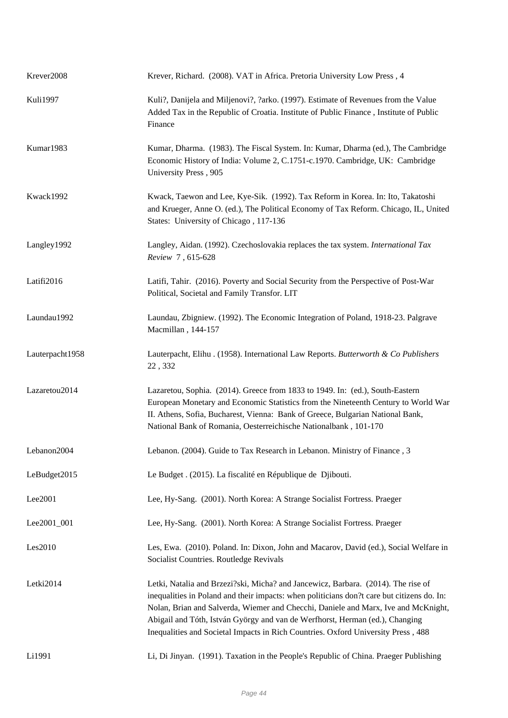| Krever2008      | Krever, Richard. (2008). VAT in Africa. Pretoria University Low Press, 4                                                                                                                                                                                                                                                                                                                                                                   |
|-----------------|--------------------------------------------------------------------------------------------------------------------------------------------------------------------------------------------------------------------------------------------------------------------------------------------------------------------------------------------------------------------------------------------------------------------------------------------|
| <b>Kuli1997</b> | Kuli?, Danijela and Miljenovi?, ?arko. (1997). Estimate of Revenues from the Value<br>Added Tax in the Republic of Croatia. Institute of Public Finance, Institute of Public<br>Finance                                                                                                                                                                                                                                                    |
| Kumar1983       | Kumar, Dharma. (1983). The Fiscal System. In: Kumar, Dharma (ed.), The Cambridge<br>Economic History of India: Volume 2, C.1751-c.1970. Cambridge, UK: Cambridge<br>University Press, 905                                                                                                                                                                                                                                                  |
| Kwack1992       | Kwack, Taewon and Lee, Kye-Sik. (1992). Tax Reform in Korea. In: Ito, Takatoshi<br>and Krueger, Anne O. (ed.), The Political Economy of Tax Reform. Chicago, IL, United<br>States: University of Chicago, 117-136                                                                                                                                                                                                                          |
| Langley1992     | Langley, Aidan. (1992). Czechoslovakia replaces the tax system. International Tax<br>Review 7, 615-628                                                                                                                                                                                                                                                                                                                                     |
| Latifi2016      | Latifi, Tahir. (2016). Poverty and Social Security from the Perspective of Post-War<br>Political, Societal and Family Transfor. LIT                                                                                                                                                                                                                                                                                                        |
| Laundau1992     | Laundau, Zbigniew. (1992). The Economic Integration of Poland, 1918-23. Palgrave<br>Macmillan, 144-157                                                                                                                                                                                                                                                                                                                                     |
| Lauterpacht1958 | Lauterpacht, Elihu . (1958). International Law Reports. Butterworth & Co Publishers<br>22, 332                                                                                                                                                                                                                                                                                                                                             |
| Lazaretou2014   | Lazaretou, Sophia. (2014). Greece from 1833 to 1949. In: (ed.), South-Eastern<br>European Monetary and Economic Statistics from the Nineteenth Century to World War<br>II. Athens, Sofia, Bucharest, Vienna: Bank of Greece, Bulgarian National Bank,<br>National Bank of Romania, Oesterreichische Nationalbank, 101-170                                                                                                                  |
| Lebanon2004     | Lebanon. (2004). Guide to Tax Research in Lebanon. Ministry of Finance, 3                                                                                                                                                                                                                                                                                                                                                                  |
| LeBudget2015    | Le Budget . (2015). La fiscalité en République de Djibouti.                                                                                                                                                                                                                                                                                                                                                                                |
| Lee2001         | Lee, Hy-Sang. (2001). North Korea: A Strange Socialist Fortress. Praeger                                                                                                                                                                                                                                                                                                                                                                   |
| Lee2001_001     | Lee, Hy-Sang. (2001). North Korea: A Strange Socialist Fortress. Praeger                                                                                                                                                                                                                                                                                                                                                                   |
| Les2010         | Les, Ewa. (2010). Poland. In: Dixon, John and Macarov, David (ed.), Social Welfare in<br>Socialist Countries. Routledge Revivals                                                                                                                                                                                                                                                                                                           |
| Letki2014       | Letki, Natalia and Brzezi?ski, Micha? and Jancewicz, Barbara. (2014). The rise of<br>inequalities in Poland and their impacts: when politicians don?t care but citizens do. In:<br>Nolan, Brian and Salverda, Wiemer and Checchi, Daniele and Marx, Ive and McKnight,<br>Abigail and Tóth, István György and van de Werfhorst, Herman (ed.), Changing<br>Inequalities and Societal Impacts in Rich Countries. Oxford University Press, 488 |
| Li1991          | Li, Di Jinyan. (1991). Taxation in the People's Republic of China. Praeger Publishing                                                                                                                                                                                                                                                                                                                                                      |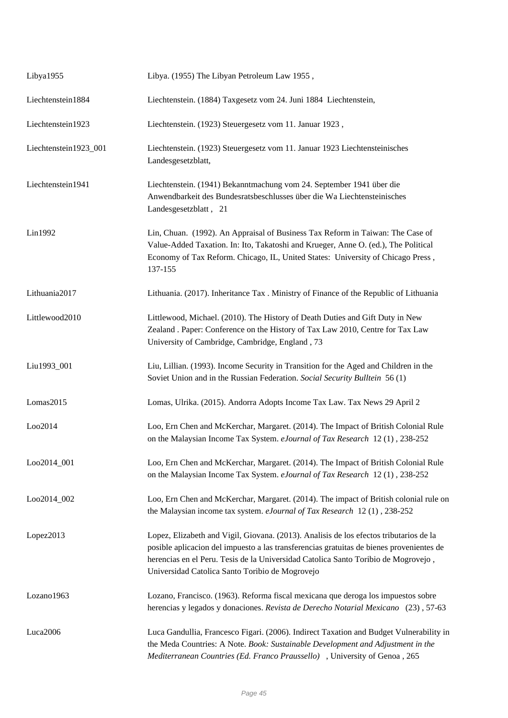| Libya1955             | Libya. (1955) The Libyan Petroleum Law 1955,                                                                                                                                                                                                                                                                                |
|-----------------------|-----------------------------------------------------------------------------------------------------------------------------------------------------------------------------------------------------------------------------------------------------------------------------------------------------------------------------|
| Liechtenstein1884     | Liechtenstein. (1884) Taxgesetz vom 24. Juni 1884 Liechtenstein,                                                                                                                                                                                                                                                            |
| Liechtenstein1923     | Liechtenstein. (1923) Steuergesetz vom 11. Januar 1923,                                                                                                                                                                                                                                                                     |
| Liechtenstein1923_001 | Liechtenstein. (1923) Steuergesetz vom 11. Januar 1923 Liechtensteinisches<br>Landesgesetzblatt,                                                                                                                                                                                                                            |
| Liechtenstein1941     | Liechtenstein. (1941) Bekanntmachung vom 24. September 1941 über die<br>Anwendbarkeit des Bundesratsbeschlusses über die Wa Liechtensteinisches<br>Landesgesetzblatt, 21                                                                                                                                                    |
| Lin1992               | Lin, Chuan. (1992). An Appraisal of Business Tax Reform in Taiwan: The Case of<br>Value-Added Taxation. In: Ito, Takatoshi and Krueger, Anne O. (ed.), The Political<br>Economy of Tax Reform. Chicago, IL, United States: University of Chicago Press,<br>137-155                                                          |
| Lithuania2017         | Lithuania. (2017). Inheritance Tax . Ministry of Finance of the Republic of Lithuania                                                                                                                                                                                                                                       |
| Littlewood2010        | Littlewood, Michael. (2010). The History of Death Duties and Gift Duty in New<br>Zealand . Paper: Conference on the History of Tax Law 2010, Centre for Tax Law<br>University of Cambridge, Cambridge, England, 73                                                                                                          |
| Liu1993_001           | Liu, Lillian. (1993). Income Security in Transition for the Aged and Children in the<br>Soviet Union and in the Russian Federation. Social Security Bulltein 56 (1)                                                                                                                                                         |
| Lomas2015             | Lomas, Ulrika. (2015). Andorra Adopts Income Tax Law. Tax News 29 April 2                                                                                                                                                                                                                                                   |
| Loo2014               | Loo, Ern Chen and McKerchar, Margaret. (2014). The Impact of British Colonial Rule<br>on the Malaysian Income Tax System. eJournal of Tax Research 12(1), 238-252                                                                                                                                                           |
| Loo2014_001           | Loo, Ern Chen and McKerchar, Margaret. (2014). The Impact of British Colonial Rule<br>on the Malaysian Income Tax System. eJournal of Tax Research 12 (1), 238-252                                                                                                                                                          |
| Loo2014_002           | Loo, Ern Chen and McKerchar, Margaret. (2014). The impact of British colonial rule on<br>the Malaysian income tax system. eJournal of Tax Research 12(1), 238-252                                                                                                                                                           |
| Lopez2013             | Lopez, Elizabeth and Vigil, Giovana. (2013). Analisis de los efectos tributarios de la<br>posible aplicacion del impuesto a las transferencias gratuitas de bienes provenientes de<br>herencias en el Peru. Tesis de la Universidad Catolica Santo Toribio de Mogrovejo,<br>Universidad Catolica Santo Toribio de Mogrovejo |
| Lozano1963            | Lozano, Francisco. (1963). Reforma fiscal mexicana que deroga los impuestos sobre<br>herencias y legados y donaciones. Revista de Derecho Notarial Mexicano (23), 57-63                                                                                                                                                     |
| Luca2006              | Luca Gandullia, Francesco Figari. (2006). Indirect Taxation and Budget Vulnerability in<br>the Meda Countries: A Note. Book: Sustainable Development and Adjustment in the<br>Mediterranean Countries (Ed. Franco Praussello), University of Genoa, 265                                                                     |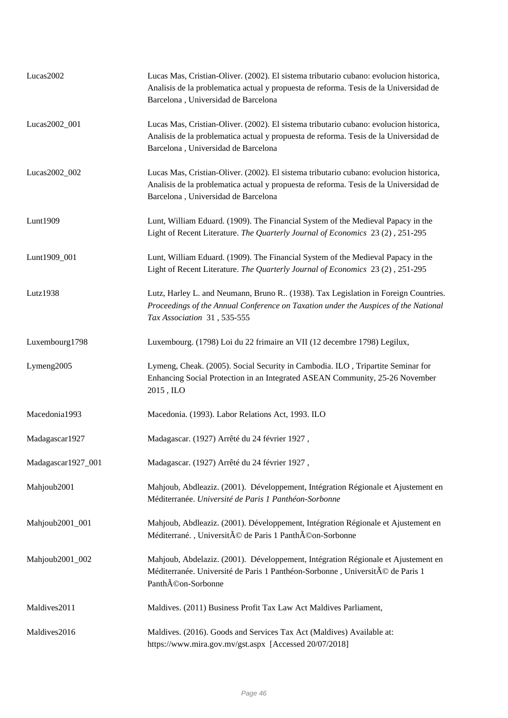| Lucas2002          | Lucas Mas, Cristian-Oliver. (2002). El sistema tributario cubano: evolucion historica,<br>Analisis de la problematica actual y propuesta de reforma. Tesis de la Universidad de<br>Barcelona, Universidad de Barcelona |
|--------------------|------------------------------------------------------------------------------------------------------------------------------------------------------------------------------------------------------------------------|
| Lucas2002_001      | Lucas Mas, Cristian-Oliver. (2002). El sistema tributario cubano: evolucion historica,<br>Analisis de la problematica actual y propuesta de reforma. Tesis de la Universidad de<br>Barcelona, Universidad de Barcelona |
| Lucas2002_002      | Lucas Mas, Cristian-Oliver. (2002). El sistema tributario cubano: evolucion historica,<br>Analisis de la problematica actual y propuesta de reforma. Tesis de la Universidad de<br>Barcelona, Universidad de Barcelona |
| Lunt1909           | Lunt, William Eduard. (1909). The Financial System of the Medieval Papacy in the<br>Light of Recent Literature. The Quarterly Journal of Economics 23 (2), 251-295                                                     |
| Lunt1909_001       | Lunt, William Eduard. (1909). The Financial System of the Medieval Papacy in the<br>Light of Recent Literature. The Quarterly Journal of Economics 23 (2), 251-295                                                     |
| Lutz1938           | Lutz, Harley L. and Neumann, Bruno R (1938). Tax Legislation in Foreign Countries.<br>Proceedings of the Annual Conference on Taxation under the Auspices of the National<br>Tax Association 31, 535-555               |
| Luxembourg1798     | Luxembourg. (1798) Loi du 22 frimaire an VII (12 decembre 1798) Legilux,                                                                                                                                               |
| Lymeng2005         | Lymeng, Cheak. (2005). Social Security in Cambodia. ILO, Tripartite Seminar for<br>Enhancing Social Protection in an Integrated ASEAN Community, 25-26 November<br>2015, ILO                                           |
| Macedonia1993      | Macedonia. (1993). Labor Relations Act, 1993. ILO                                                                                                                                                                      |
| Madagascar1927     | Madagascar. (1927) Arrêté du 24 février 1927,                                                                                                                                                                          |
| Madagascar1927_001 | Madagascar. (1927) Arrêté du 24 février 1927,                                                                                                                                                                          |
| Mahjoub2001        | Mahjoub, Abdleaziz. (2001). Développement, Intégration Régionale et Ajustement en<br>Méditerranée. Université de Paris 1 Panthéon-Sorbonne                                                                             |
| Mahjoub2001_001    | Mahjoub, Abdleaziz. (2001). Développement, Intégration Régionale et Ajustement en<br>Méditerrané., Université de Paris 1 Panthéon-Sorbonne                                                                             |
| Mahjoub2001_002    | Mahjoub, Abdelaziz. (2001). Développement, Intégration Régionale et Ajustement en<br>Méditerranée. Université de Paris 1 Panthéon-Sorbonne, Université de Paris 1<br>PanthA©on-Sorbonne                                |
| Maldives2011       | Maldives. (2011) Business Profit Tax Law Act Maldives Parliament,                                                                                                                                                      |
| Maldives2016       | Maldives. (2016). Goods and Services Tax Act (Maldives) Available at:<br>https://www.mira.gov.mv/gst.aspx [Accessed 20/07/2018]                                                                                        |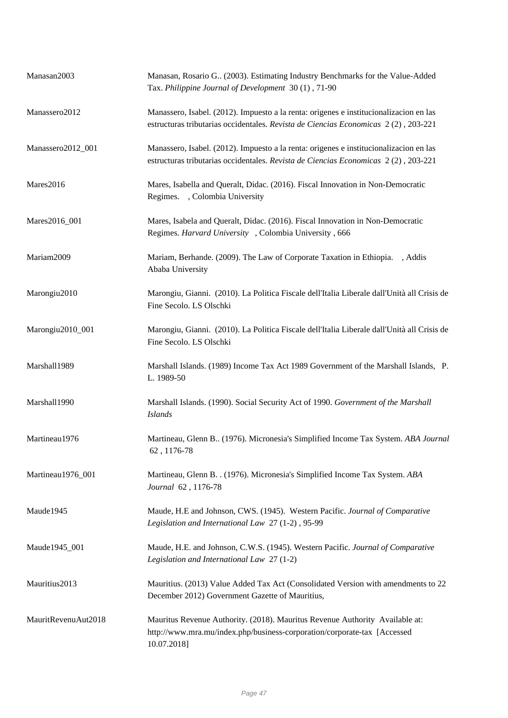| Manasan2003         | Manasan, Rosario G (2003). Estimating Industry Benchmarks for the Value-Added<br>Tax. Philippine Journal of Development 30(1), 71-90                                         |
|---------------------|------------------------------------------------------------------------------------------------------------------------------------------------------------------------------|
| Manassero2012       | Manassero, Isabel. (2012). Impuesto a la renta: origenes e institucionalizacion en las<br>estructuras tributarias occidentales. Revista de Ciencias Economicas 2(2), 203-221 |
| Manassero2012_001   | Manassero, Isabel. (2012). Impuesto a la renta: origenes e institucionalizacion en las<br>estructuras tributarias occidentales. Revista de Ciencias Economicas 2(2), 203-221 |
| Mares2016           | Mares, Isabella and Queralt, Didac. (2016). Fiscal Innovation in Non-Democratic<br>Regimes. , Colombia University                                                            |
| Mares2016_001       | Mares, Isabela and Queralt, Didac. (2016). Fiscal Innovation in Non-Democratic<br>Regimes. Harvard University , Colombia University , 666                                    |
| Mariam2009          | Mariam, Berhande. (2009). The Law of Corporate Taxation in Ethiopia.<br>. Addis<br>Ababa University                                                                          |
| Marongiu2010        | Marongiu, Gianni. (2010). La Politica Fiscale dell'Italia Liberale dall'Unità all Crisis de<br>Fine Secolo. LS Olschki                                                       |
| Marongiu2010_001    | Marongiu, Gianni. (2010). La Politica Fiscale dell'Italia Liberale dall'Unità all Crisis de<br>Fine Secolo. LS Olschki                                                       |
| Marshall1989        | Marshall Islands. (1989) Income Tax Act 1989 Government of the Marshall Islands, P.<br>L. 1989-50                                                                            |
| Marshall1990        | Marshall Islands. (1990). Social Security Act of 1990. Government of the Marshall<br><b>Islands</b>                                                                          |
| Martineau1976       | Martineau, Glenn B (1976). Micronesia's Simplified Income Tax System. ABA Journal<br>62, 1176-78                                                                             |
| Martineau1976_001   | Martineau, Glenn B. . (1976). Micronesia's Simplified Income Tax System. ABA<br>Journal 62, 1176-78                                                                          |
| Maude1945           | Maude, H.E and Johnson, CWS. (1945). Western Pacific. Journal of Comparative<br>Legislation and International Law 27 (1-2), 95-99                                            |
| Maude1945_001       | Maude, H.E. and Johnson, C.W.S. (1945). Western Pacific. Journal of Comparative<br>Legislation and International Law 27 (1-2)                                                |
| Mauritius2013       | Mauritius. (2013) Value Added Tax Act (Consolidated Version with amendments to 22<br>December 2012) Government Gazette of Mauritius,                                         |
| MauritRevenuAut2018 | Mauritus Revenue Authority. (2018). Mauritus Revenue Authority Available at:<br>http://www.mra.mu/index.php/business-corporation/corporate-tax [Accessed<br>10.07.2018]      |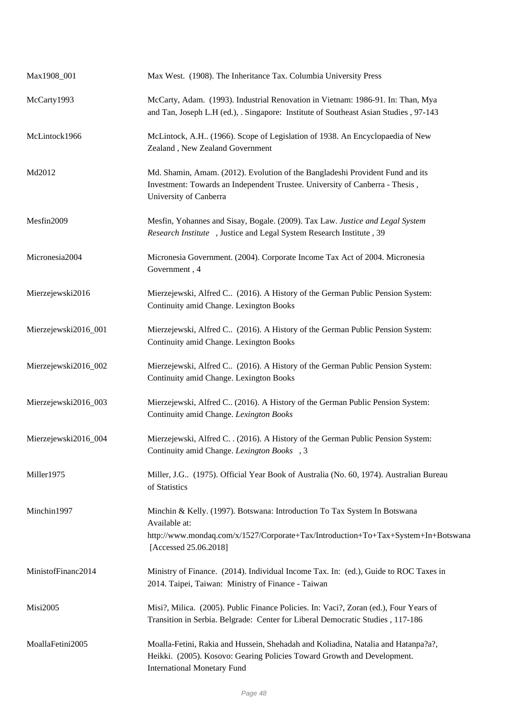| Max1908_001          | Max West. (1908). The Inheritance Tax. Columbia University Press                                                                                                                                         |
|----------------------|----------------------------------------------------------------------------------------------------------------------------------------------------------------------------------------------------------|
| McCarty1993          | McCarty, Adam. (1993). Industrial Renovation in Vietnam: 1986-91. In: Than, Mya<br>and Tan, Joseph L.H (ed.), . Singapore: Institute of Southeast Asian Studies , 97-143                                 |
| McLintock1966        | McLintock, A.H (1966). Scope of Legislation of 1938. An Encyclopaedia of New<br>Zealand, New Zealand Government                                                                                          |
| Md2012               | Md. Shamin, Amam. (2012). Evolution of the Bangladeshi Provident Fund and its<br>Investment: Towards an Independent Trustee. University of Canberra - Thesis,<br>University of Canberra                  |
| Mesfin2009           | Mesfin, Yohannes and Sisay, Bogale. (2009). Tax Law. Justice and Legal System<br>Research Institute , Justice and Legal System Research Institute, 39                                                    |
| Micronesia2004       | Micronesia Government. (2004). Corporate Income Tax Act of 2004. Micronesia<br>Government, 4                                                                                                             |
| Mierzejewski2016     | Mierzejewski, Alfred C (2016). A History of the German Public Pension System:<br>Continuity amid Change. Lexington Books                                                                                 |
| Mierzejewski2016_001 | Mierzejewski, Alfred C (2016). A History of the German Public Pension System:<br>Continuity amid Change. Lexington Books                                                                                 |
| Mierzejewski2016_002 | Mierzejewski, Alfred C (2016). A History of the German Public Pension System:<br>Continuity amid Change. Lexington Books                                                                                 |
| Mierzejewski2016_003 | Mierzejewski, Alfred C (2016). A History of the German Public Pension System:<br>Continuity amid Change. Lexington Books                                                                                 |
| Mierzejewski2016_004 | Mierzejewski, Alfred C. . (2016). A History of the German Public Pension System:<br>Continuity amid Change. Lexington Books, 3                                                                           |
| Miller1975           | Miller, J.G (1975). Official Year Book of Australia (No. 60, 1974). Australian Bureau<br>of Statistics                                                                                                   |
| Minchin1997          | Minchin & Kelly. (1997). Botswana: Introduction To Tax System In Botswana<br>Available at:<br>http://www.mondaq.com/x/1527/Corporate+Tax/Introduction+To+Tax+System+In+Botswana<br>[Accessed 25.06.2018] |
| MinistofFinanc2014   | Ministry of Finance. (2014). Individual Income Tax. In: (ed.), Guide to ROC Taxes in<br>2014. Taipei, Taiwan: Ministry of Finance - Taiwan                                                               |
| <b>Misi2005</b>      | Misi?, Milica. (2005). Public Finance Policies. In: Vaci?, Zoran (ed.), Four Years of<br>Transition in Serbia. Belgrade: Center for Liberal Democratic Studies, 117-186                                  |
| MoallaFetini2005     | Moalla-Fetini, Rakia and Hussein, Shehadah and Koliadina, Natalia and Hatanpa?a?,<br>Heikki. (2005). Kosovo: Gearing Policies Toward Growth and Development.<br><b>International Monetary Fund</b>       |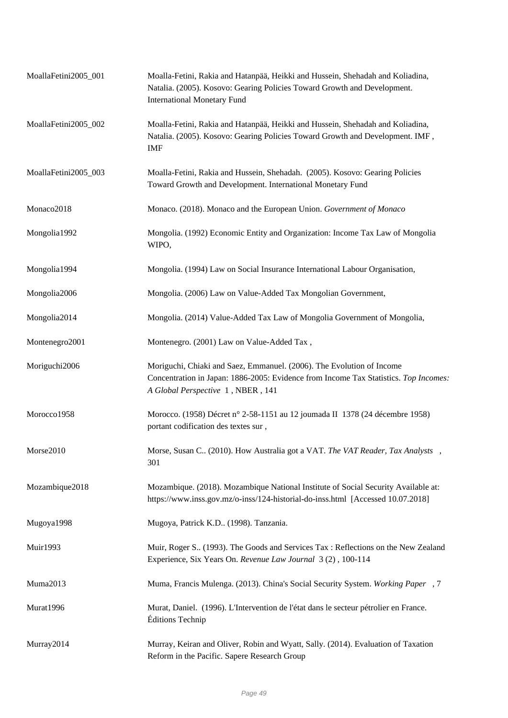| MoallaFetini2005_001 | Moalla-Fetini, Rakia and Hatanpää, Heikki and Hussein, Shehadah and Koliadina,<br>Natalia. (2005). Kosovo: Gearing Policies Toward Growth and Development.<br><b>International Monetary Fund</b>   |
|----------------------|----------------------------------------------------------------------------------------------------------------------------------------------------------------------------------------------------|
| MoallaFetini2005_002 | Moalla-Fetini, Rakia and Hatanpää, Heikki and Hussein, Shehadah and Koliadina,<br>Natalia. (2005). Kosovo: Gearing Policies Toward Growth and Development. IMF,<br><b>IMF</b>                      |
| MoallaFetini2005_003 | Moalla-Fetini, Rakia and Hussein, Shehadah. (2005). Kosovo: Gearing Policies<br>Toward Growth and Development. International Monetary Fund                                                         |
| Monaco2018           | Monaco. (2018). Monaco and the European Union. Government of Monaco                                                                                                                                |
| Mongolia1992         | Mongolia. (1992) Economic Entity and Organization: Income Tax Law of Mongolia<br>WIPO,                                                                                                             |
| Mongolia1994         | Mongolia. (1994) Law on Social Insurance International Labour Organisation,                                                                                                                        |
| Mongolia2006         | Mongolia. (2006) Law on Value-Added Tax Mongolian Government,                                                                                                                                      |
| Mongolia2014         | Mongolia. (2014) Value-Added Tax Law of Mongolia Government of Mongolia,                                                                                                                           |
| Montenegro2001       | Montenegro. (2001) Law on Value-Added Tax,                                                                                                                                                         |
| Moriguchi2006        | Moriguchi, Chiaki and Saez, Emmanuel. (2006). The Evolution of Income<br>Concentration in Japan: 1886-2005: Evidence from Income Tax Statistics. Top Incomes:<br>A Global Perspective 1, NBER, 141 |
| Morocco1958          | Morocco. (1958) Décret nº 2-58-1151 au 12 journada II 1378 (24 décembre 1958)<br>portant codification des textes sur,                                                                              |
| Morse2010            | Morse, Susan C (2010). How Australia got a VAT. The VAT Reader, Tax Analysts,<br>301                                                                                                               |
| Mozambique2018       | Mozambique. (2018). Mozambique National Institute of Social Security Available at:<br>https://www.inss.gov.mz/o-inss/124-historial-do-inss.html [Accessed 10.07.2018]                              |
| Mugoya1998           | Mugoya, Patrick K.D (1998). Tanzania.                                                                                                                                                              |
| <b>Muir1993</b>      | Muir, Roger S., (1993). The Goods and Services Tax: Reflections on the New Zealand<br>Experience, Six Years On. Revenue Law Journal 3 (2), 100-114                                                 |
| Muma2013             | Muma, Francis Mulenga. (2013). China's Social Security System. Working Paper, 7                                                                                                                    |
| Murat1996            | Murat, Daniel. (1996). L'Intervention de l'état dans le secteur pétrolier en France.<br>Éditions Technip                                                                                           |
| Murray2014           | Murray, Keiran and Oliver, Robin and Wyatt, Sally. (2014). Evaluation of Taxation<br>Reform in the Pacific. Sapere Research Group                                                                  |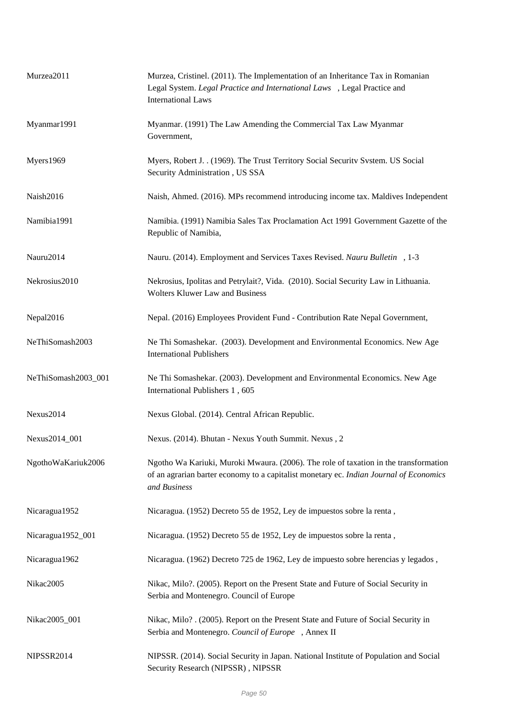| Murzea2011          | Murzea, Cristinel. (2011). The Implementation of an Inheritance Tax in Romanian<br>Legal System. Legal Practice and International Laws , Legal Practice and<br><b>International Laws</b>       |
|---------------------|------------------------------------------------------------------------------------------------------------------------------------------------------------------------------------------------|
| Myanmar1991         | Myanmar. (1991) The Law Amending the Commercial Tax Law Myanmar<br>Government,                                                                                                                 |
| Myers1969           | Myers, Robert J. . (1969). The Trust Territory Social Security System. US Social<br>Security Administration, US SSA                                                                            |
| Naish2016           | Naish, Ahmed. (2016). MPs recommend introducing income tax. Maldives Independent                                                                                                               |
| Namibia1991         | Namibia. (1991) Namibia Sales Tax Proclamation Act 1991 Government Gazette of the<br>Republic of Namibia,                                                                                      |
| Nauru2014           | Nauru. (2014). Employment and Services Taxes Revised. Nauru Bulletin, 1-3                                                                                                                      |
| Nekrosius2010       | Nekrosius, Ipolitas and Petrylait?, Vida. (2010). Social Security Law in Lithuania.<br><b>Wolters Kluwer Law and Business</b>                                                                  |
| Nepal2016           | Nepal. (2016) Employees Provident Fund - Contribution Rate Nepal Government,                                                                                                                   |
| NeThiSomash2003     | Ne Thi Somashekar. (2003). Development and Environmental Economics. New Age<br><b>International Publishers</b>                                                                                 |
| NeThiSomash2003_001 | Ne Thi Somashekar. (2003). Development and Environmental Economics. New Age<br>International Publishers 1, 605                                                                                 |
| Nexus2014           | Nexus Global. (2014). Central African Republic.                                                                                                                                                |
| Nexus2014_001       | Nexus. (2014). Bhutan - Nexus Youth Summit. Nexus, 2                                                                                                                                           |
| NgothoWaKariuk2006  | Ngotho Wa Kariuki, Muroki Mwaura. (2006). The role of taxation in the transformation<br>of an agrarian barter economy to a capitalist monetary ec. Indian Journal of Economics<br>and Business |
| Nicaragua1952       | Nicaragua. (1952) Decreto 55 de 1952, Ley de impuestos sobre la renta,                                                                                                                         |
| Nicaragua1952_001   | Nicaragua. (1952) Decreto 55 de 1952, Ley de impuestos sobre la renta,                                                                                                                         |
| Nicaragua1962       | Nicaragua. (1962) Decreto 725 de 1962, Ley de impuesto sobre herencias y legados,                                                                                                              |
| Nikac2005           | Nikac, Milo?. (2005). Report on the Present State and Future of Social Security in<br>Serbia and Montenegro. Council of Europe                                                                 |
| Nikac2005_001       | Nikac, Milo? . (2005). Report on the Present State and Future of Social Security in<br>Serbia and Montenegro. Council of Europe, Annex II                                                      |
| NIPSSR2014          | NIPSSR. (2014). Social Security in Japan. National Institute of Population and Social<br>Security Research (NIPSSR), NIPSSR                                                                    |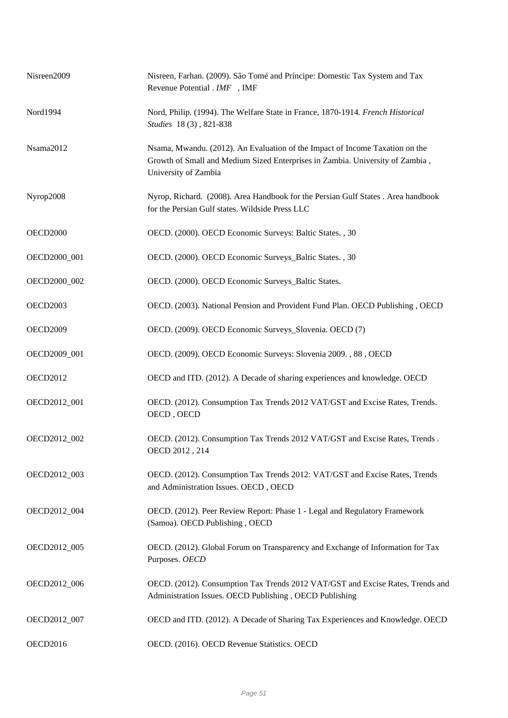| Nisreen2009     | Nisreen, Farhan. (2009). São Tomé and Príncipe: Domestic Tax System and Tax<br>Revenue Potential . IMF, IMF                                                                           |
|-----------------|---------------------------------------------------------------------------------------------------------------------------------------------------------------------------------------|
| Nord1994        | Nord, Philip. (1994). The Welfare State in France, 1870-1914. French Historical<br>Studies 18(3), 821-838                                                                             |
| Nsama2012       | Nsama, Mwandu. (2012). An Evaluation of the Impact of Income Taxation on the<br>Growth of Small and Medium Sized Enterprises in Zambia. University of Zambia,<br>University of Zambia |
| Nyrop2008       | Nyrop, Richard. (2008). Area Handbook for the Persian Gulf States . Area handbook<br>for the Persian Gulf states. Wildside Press LLC                                                  |
| <b>OECD2000</b> | OECD. (2000). OECD Economic Surveys: Baltic States. , 30                                                                                                                              |
| OECD2000_001    | OECD. (2000). OECD Economic Surveys_Baltic States., 30                                                                                                                                |
| OECD2000 002    | OECD. (2000). OECD Economic Surveys_Baltic States.                                                                                                                                    |
| <b>OECD2003</b> | OECD. (2003). National Pension and Provident Fund Plan. OECD Publishing, OECD                                                                                                         |
| <b>OECD2009</b> | OECD. (2009). OECD Economic Surveys_Slovenia. OECD (7)                                                                                                                                |
| OECD2009_001    | OECD. (2009). OECD Economic Surveys: Slovenia 2009., 88, OECD                                                                                                                         |
| <b>OECD2012</b> | OECD and ITD. (2012). A Decade of sharing experiences and knowledge. OECD                                                                                                             |
| OECD2012_001    | OECD. (2012). Consumption Tax Trends 2012 VAT/GST and Excise Rates, Trends.<br>OECD, OECD                                                                                             |
| OECD2012_002    | OECD. (2012). Consumption Tax Trends 2012 VAT/GST and Excise Rates, Trends.<br>OECD 2012, 214                                                                                         |
| OECD2012_003    | OECD. (2012). Consumption Tax Trends 2012: VAT/GST and Excise Rates, Trends<br>and Administration Issues. OECD, OECD                                                                  |
| OECD2012_004    | OECD. (2012). Peer Review Report: Phase 1 - Legal and Regulatory Framework<br>(Samoa). OECD Publishing, OECD                                                                          |
| OECD2012_005    | OECD. (2012). Global Forum on Transparency and Exchange of Information for Tax<br>Purposes. OECD                                                                                      |
| OECD2012_006    | OECD. (2012). Consumption Tax Trends 2012 VAT/GST and Excise Rates, Trends and<br>Administration Issues. OECD Publishing, OECD Publishing                                             |
| OECD2012_007    | OECD and ITD. (2012). A Decade of Sharing Tax Experiences and Knowledge. OECD                                                                                                         |
| <b>OECD2016</b> | OECD. (2016). OECD Revenue Statistics. OECD                                                                                                                                           |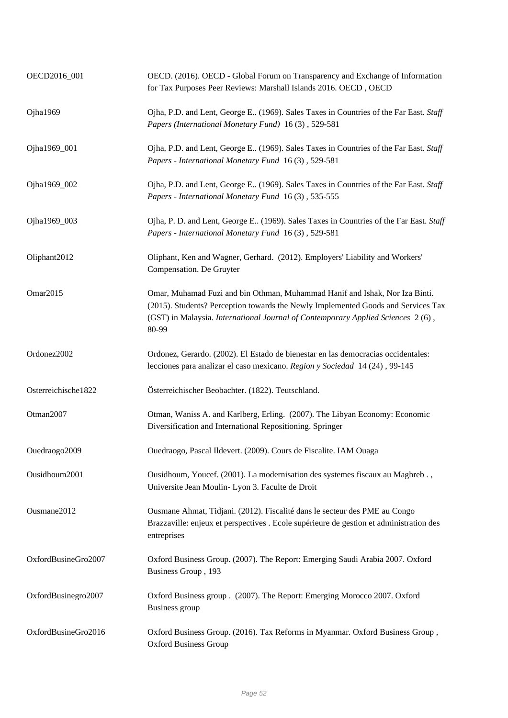| OECD2016_001        | OECD. (2016). OECD - Global Forum on Transparency and Exchange of Information<br>for Tax Purposes Peer Reviews: Marshall Islands 2016. OECD, OECD                                                                                                            |
|---------------------|--------------------------------------------------------------------------------------------------------------------------------------------------------------------------------------------------------------------------------------------------------------|
| Ojha1969            | Ojha, P.D. and Lent, George E (1969). Sales Taxes in Countries of the Far East. Staff<br>Papers (International Monetary Fund) 16(3), 529-581                                                                                                                 |
| Ojha1969_001        | Ojha, P.D. and Lent, George E (1969). Sales Taxes in Countries of the Far East. Staff<br>Papers - International Monetary Fund 16(3), 529-581                                                                                                                 |
| Ojha1969_002        | Ojha, P.D. and Lent, George E., (1969). Sales Taxes in Countries of the Far East. Staff<br>Papers - International Monetary Fund 16(3), 535-555                                                                                                               |
| Ojha1969_003        | Ojha, P. D. and Lent, George E (1969). Sales Taxes in Countries of the Far East. Staff<br>Papers - International Monetary Fund 16(3), 529-581                                                                                                                |
| Oliphant2012        | Oliphant, Ken and Wagner, Gerhard. (2012). Employers' Liability and Workers'<br>Compensation. De Gruyter                                                                                                                                                     |
| Omar2015            | Omar, Muhamad Fuzi and bin Othman, Muhammad Hanif and Ishak, Nor Iza Binti.<br>(2015). Students? Perception towards the Newly Implemented Goods and Services Tax<br>(GST) in Malaysia. International Journal of Contemporary Applied Sciences 2(6),<br>80-99 |
| Ordonez2002         | Ordonez, Gerardo. (2002). El Estado de bienestar en las democracias occidentales:<br>lecciones para analizar el caso mexicano. Region y Sociedad 14 (24), 99-145                                                                                             |
| Osterreichische1822 | Österreichischer Beobachter. (1822). Teutschland.                                                                                                                                                                                                            |
| Otman2007           | Otman, Waniss A. and Karlberg, Erling. (2007). The Libyan Economy: Economic<br>Diversification and International Repositioning. Springer                                                                                                                     |
| Ouedraogo2009       | Ouedraogo, Pascal Ildevert. (2009). Cours de Fiscalite. IAM Ouaga                                                                                                                                                                                            |
| Ousidhoum2001       | Ousidhoum, Youcef. (2001). La modernisation des systemes fiscaux au Maghreb.,<br>Universite Jean Moulin-Lyon 3. Faculte de Droit                                                                                                                             |
| Ousmane2012         | Ousmane Ahmat, Tidjani. (2012). Fiscalité dans le secteur des PME au Congo<br>Brazzaville: enjeux et perspectives . Ecole supérieure de gestion et administration des<br>entreprises                                                                         |
| OxfordBusineGro2007 | Oxford Business Group. (2007). The Report: Emerging Saudi Arabia 2007. Oxford<br>Business Group, 193                                                                                                                                                         |
| OxfordBusinegro2007 | Oxford Business group . (2007). The Report: Emerging Morocco 2007. Oxford<br>Business group                                                                                                                                                                  |
| OxfordBusineGro2016 | Oxford Business Group. (2016). Tax Reforms in Myanmar. Oxford Business Group,<br><b>Oxford Business Group</b>                                                                                                                                                |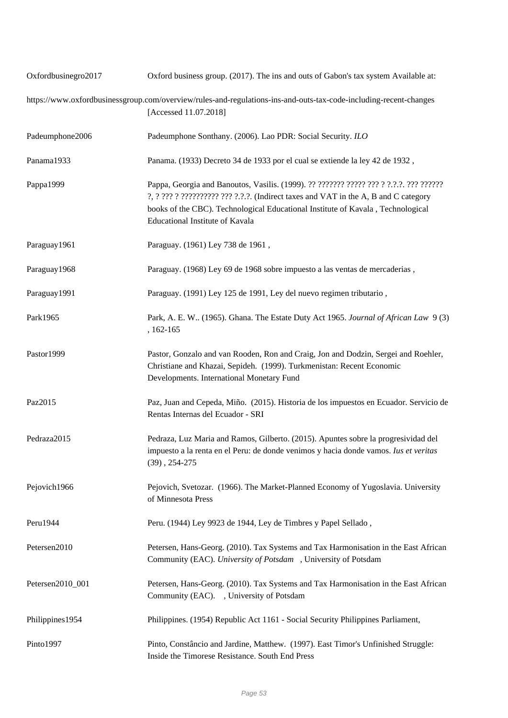| Oxfordbusinegro2017 | Oxford business group. (2017). The ins and outs of Gabon's tax system Available at:                                                                                                                       |
|---------------------|-----------------------------------------------------------------------------------------------------------------------------------------------------------------------------------------------------------|
|                     | https://www.oxfordbusinessgroup.com/overview/rules-and-regulations-ins-and-outs-tax-code-including-recent-changes<br>[Accessed 11.07.2018]                                                                |
| Padeumphone2006     | Padeumphone Sonthany. (2006). Lao PDR: Social Security. ILO                                                                                                                                               |
| Panama1933          | Panama. (1933) Decreto 34 de 1933 por el cual se extiende la ley 42 de 1932,                                                                                                                              |
| Pappa1999           | ?, ? ??? ? ?????????? ??? ?.?.?. (Indirect taxes and VAT in the A, B and C category<br>books of the CBC). Technological Educational Institute of Kavala, Technological<br>Educational Institute of Kavala |
| Paraguay1961        | Paraguay. (1961) Ley 738 de 1961,                                                                                                                                                                         |
| Paraguay1968        | Paraguay. (1968) Ley 69 de 1968 sobre impuesto a las ventas de mercaderias,                                                                                                                               |
| Paraguay1991        | Paraguay. (1991) Ley 125 de 1991, Ley del nuevo regimen tributario,                                                                                                                                       |
| Park1965            | Park, A. E. W (1965). Ghana. The Estate Duty Act 1965. Journal of African Law 9 (3)<br>, 162-165                                                                                                          |
| Pastor1999          | Pastor, Gonzalo and van Rooden, Ron and Craig, Jon and Dodzin, Sergei and Roehler,<br>Christiane and Khazai, Sepideh. (1999). Turkmenistan: Recent Economic<br>Developments. International Monetary Fund  |
| Paz2015             | Paz, Juan and Cepeda, Miño. (2015). Historia de los impuestos en Ecuador. Servicio de<br>Rentas Internas del Ecuador - SRI                                                                                |
| Pedraza2015         | Pedraza, Luz Maria and Ramos, Gilberto. (2015). Apuntes sobre la progresividad del<br>impuesto a la renta en el Peru: de donde venimos y hacia donde vamos. <i>Ius et veritas</i><br>$(39)$ , 254-275     |
| Pejovich1966        | Pejovich, Svetozar. (1966). The Market-Planned Economy of Yugoslavia. University<br>of Minnesota Press                                                                                                    |
| Peru1944            | Peru. (1944) Ley 9923 de 1944, Ley de Timbres y Papel Sellado,                                                                                                                                            |
| Petersen2010        | Petersen, Hans-Georg. (2010). Tax Systems and Tax Harmonisation in the East African<br>Community (EAC). University of Potsdam , University of Potsdam                                                     |
| Petersen2010_001    | Petersen, Hans-Georg. (2010). Tax Systems and Tax Harmonisation in the East African<br>Community (EAC). , University of Potsdam                                                                           |
| Philippines1954     | Philippines. (1954) Republic Act 1161 - Social Security Philippines Parliament,                                                                                                                           |
| Pinto1997           | Pinto, Constâncio and Jardine, Matthew. (1997). East Timor's Unfinished Struggle:<br>Inside the Timorese Resistance. South End Press                                                                      |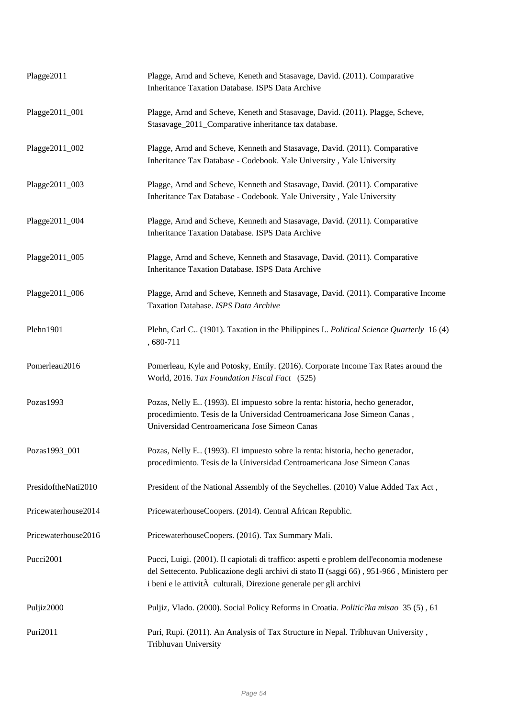| Plagge2011          | Plagge, Arnd and Scheve, Keneth and Stasavage, David. (2011). Comparative<br>Inheritance Taxation Database. ISPS Data Archive                                                                                                                               |
|---------------------|-------------------------------------------------------------------------------------------------------------------------------------------------------------------------------------------------------------------------------------------------------------|
| Plagge2011_001      | Plagge, Arnd and Scheve, Keneth and Stasavage, David. (2011). Plagge, Scheve,<br>Stasavage_2011_Comparative inheritance tax database.                                                                                                                       |
| Plagge2011_002      | Plagge, Arnd and Scheve, Kenneth and Stasavage, David. (2011). Comparative<br>Inheritance Tax Database - Codebook. Yale University, Yale University                                                                                                         |
| Plagge2011_003      | Plagge, Arnd and Scheve, Kenneth and Stasavage, David. (2011). Comparative<br>Inheritance Tax Database - Codebook. Yale University, Yale University                                                                                                         |
| Plagge2011_004      | Plagge, Arnd and Scheve, Kenneth and Stasavage, David. (2011). Comparative<br>Inheritance Taxation Database. ISPS Data Archive                                                                                                                              |
| Plagge2011_005      | Plagge, Arnd and Scheve, Kenneth and Stasavage, David. (2011). Comparative<br>Inheritance Taxation Database. ISPS Data Archive                                                                                                                              |
| Plagge2011_006      | Plagge, Arnd and Scheve, Kenneth and Stasavage, David. (2011). Comparative Income<br>Taxation Database. ISPS Data Archive                                                                                                                                   |
| Plehn1901           | Plehn, Carl C. (1901). Taxation in the Philippines I. <i>Political Science Quarterly</i> 16 (4)<br>, 680-711                                                                                                                                                |
| Pomerleau2016       | Pomerleau, Kyle and Potosky, Emily. (2016). Corporate Income Tax Rates around the<br>World, 2016. Tax Foundation Fiscal Fact (525)                                                                                                                          |
| Pozas1993           | Pozas, Nelly E (1993). El impuesto sobre la renta: historia, hecho generador,<br>procedimiento. Tesis de la Universidad Centroamericana Jose Simeon Canas,<br>Universidad Centroamericana Jose Simeon Canas                                                 |
| Pozas1993_001       | Pozas, Nelly E (1993). El impuesto sobre la renta: historia, hecho generador,<br>procedimiento. Tesis de la Universidad Centroamericana Jose Simeon Canas                                                                                                   |
| PresidoftheNati2010 | President of the National Assembly of the Seychelles. (2010) Value Added Tax Act,                                                                                                                                                                           |
| Pricewaterhouse2014 | PricewaterhouseCoopers. (2014). Central African Republic.                                                                                                                                                                                                   |
| Pricewaterhouse2016 | PricewaterhouseCoopers. (2016). Tax Summary Mali.                                                                                                                                                                                                           |
| Pucci2001           | Pucci, Luigi. (2001). Il capiotali di traffico: aspetti e problem dell'economia modenese<br>del Settecento. Publicazione degli archivi di stato II (saggi 66), 951-966, Ministero per<br>i beni e le attivitĂ culturali, Direzione generale per gli archivi |
| Puljiz2000          | Puljiz, Vlado. (2000). Social Policy Reforms in Croatia. Politic?ka misao 35 (5), 61                                                                                                                                                                        |
| Puri2011            | Puri, Rupi. (2011). An Analysis of Tax Structure in Nepal. Tribhuvan University,<br>Tribhuvan University                                                                                                                                                    |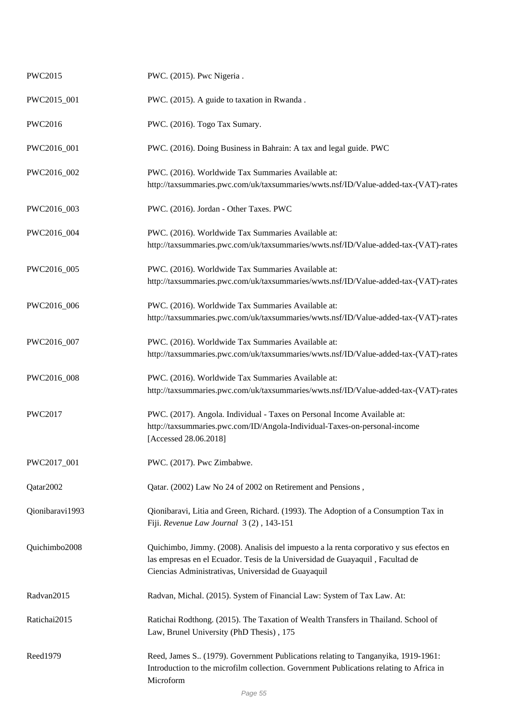| PWC2015         | PWC. (2015). Pwc Nigeria.                                                                                                                                                                                                      |
|-----------------|--------------------------------------------------------------------------------------------------------------------------------------------------------------------------------------------------------------------------------|
| PWC2015_001     | PWC. (2015). A guide to taxation in Rwanda.                                                                                                                                                                                    |
| <b>PWC2016</b>  | PWC. (2016). Togo Tax Sumary.                                                                                                                                                                                                  |
| PWC2016_001     | PWC. (2016). Doing Business in Bahrain: A tax and legal guide. PWC                                                                                                                                                             |
| PWC2016_002     | PWC. (2016). Worldwide Tax Summaries Available at:<br>http://taxsummaries.pwc.com/uk/taxsummaries/wwts.nsf/ID/Value-added-tax-(VAT)-rates                                                                                      |
| PWC2016_003     | PWC. (2016). Jordan - Other Taxes. PWC                                                                                                                                                                                         |
| PWC2016_004     | PWC. (2016). Worldwide Tax Summaries Available at:<br>http://taxsummaries.pwc.com/uk/taxsummaries/wwts.nsf/ID/Value-added-tax-(VAT)-rates                                                                                      |
| PWC2016_005     | PWC. (2016). Worldwide Tax Summaries Available at:<br>http://taxsummaries.pwc.com/uk/taxsummaries/wwts.nsf/ID/Value-added-tax-(VAT)-rates                                                                                      |
| PWC2016_006     | PWC. (2016). Worldwide Tax Summaries Available at:<br>http://taxsummaries.pwc.com/uk/taxsummaries/wwts.nsf/ID/Value-added-tax-(VAT)-rates                                                                                      |
| PWC2016_007     | PWC. (2016). Worldwide Tax Summaries Available at:<br>http://taxsummaries.pwc.com/uk/taxsummaries/wwts.nsf/ID/Value-added-tax-(VAT)-rates                                                                                      |
| PWC2016_008     | PWC. (2016). Worldwide Tax Summaries Available at:<br>http://taxsummaries.pwc.com/uk/taxsummaries/wwts.nsf/ID/Value-added-tax-(VAT)-rates                                                                                      |
| <b>PWC2017</b>  | PWC. (2017). Angola. Individual - Taxes on Personal Income Available at:<br>http://taxsummaries.pwc.com/ID/Angola-Individual-Taxes-on-personal-income<br>[Accessed 28.06.2018]                                                 |
| PWC2017_001     | PWC. (2017). Pwc Zimbabwe.                                                                                                                                                                                                     |
| Qatar2002       | Qatar. (2002) Law No 24 of 2002 on Retirement and Pensions,                                                                                                                                                                    |
| Qionibaravi1993 | Qionibaravi, Litia and Green, Richard. (1993). The Adoption of a Consumption Tax in<br>Fiji. Revenue Law Journal 3(2), 143-151                                                                                                 |
| Quichimbo2008   | Quichimbo, Jimmy. (2008). Analisis del impuesto a la renta corporativo y sus efectos en<br>las empresas en el Ecuador. Tesis de la Universidad de Guayaquil, Facultad de<br>Ciencias Administrativas, Universidad de Guayaquil |
| Radvan2015      | Radvan, Michal. (2015). System of Financial Law: System of Tax Law. At:                                                                                                                                                        |
| Ratichai2015    | Ratichai Rodthong. (2015). The Taxation of Wealth Transfers in Thailand. School of<br>Law, Brunel University (PhD Thesis), 175                                                                                                 |
| Reed1979        | Reed, James S (1979). Government Publications relating to Tanganyika, 1919-1961:<br>Introduction to the microfilm collection. Government Publications relating to Africa in<br>Microform                                       |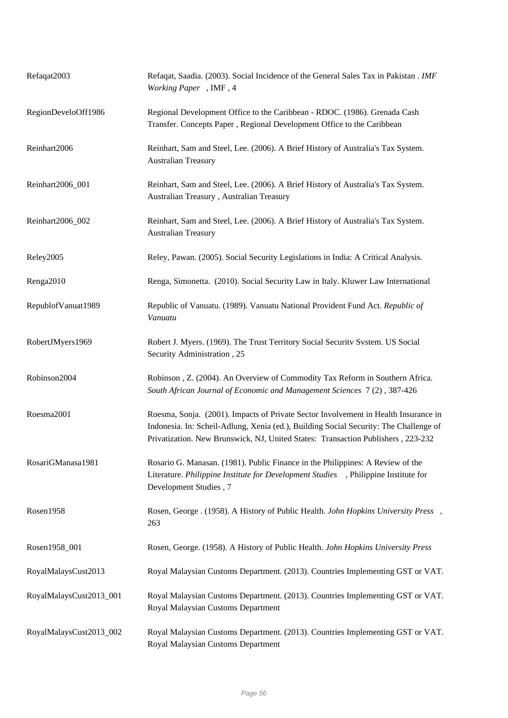| Refaqat2003             | Refaqat, Saadia. (2003). Social Incidence of the General Sales Tax in Pakistan . IMF<br>Working Paper, IMF, 4                                                                                                                                                    |
|-------------------------|------------------------------------------------------------------------------------------------------------------------------------------------------------------------------------------------------------------------------------------------------------------|
| RegionDeveloOff1986     | Regional Development Office to the Caribbean - RDOC. (1986). Grenada Cash<br>Transfer. Concepts Paper, Regional Development Office to the Caribbean                                                                                                              |
| Reinhart2006            | Reinhart, Sam and Steel, Lee. (2006). A Brief History of Australia's Tax System.<br><b>Australian Treasury</b>                                                                                                                                                   |
| Reinhart2006_001        | Reinhart, Sam and Steel, Lee. (2006). A Brief History of Australia's Tax System.<br>Australian Treasury, Australian Treasury                                                                                                                                     |
| Reinhart2006_002        | Reinhart, Sam and Steel, Lee. (2006). A Brief History of Australia's Tax System.<br><b>Australian Treasury</b>                                                                                                                                                   |
| Reley2005               | Reley, Pawan. (2005). Social Security Legislations in India: A Critical Analysis.                                                                                                                                                                                |
| Renga2010               | Renga, Simonetta. (2010). Social Security Law in Italy. Kluwer Law International                                                                                                                                                                                 |
| RepublofVanuat1989      | Republic of Vanuatu. (1989). Vanuatu National Provident Fund Act. Republic of<br>Vanuatu                                                                                                                                                                         |
| RobertJMyers1969        | Robert J. Myers. (1969). The Trust Territory Social Security System. US Social<br>Security Administration, 25                                                                                                                                                    |
| Robinson2004            | Robinson, Z. (2004). An Overview of Commodity Tax Reform in Southern Africa.<br>South African Journal of Economic and Management Sciences 7(2), 387-426                                                                                                          |
| Roesma2001              | Roesma, Sonja. (2001). Impacts of Private Sector Involvement in Health Insurance in<br>Indonesia. In: Scheil-Adlung, Xenia (ed.), Building Social Security: The Challenge of<br>Privatization. New Brunswick, NJ, United States: Transaction Publishers, 223-232 |
| RosariGManasa1981       | Rosario G. Manasan. (1981). Public Finance in the Philippines: A Review of the<br>Literature. Philippine Institute for Development Studies , Philippine Institute for<br>Development Studies, 7                                                                  |
| Rosen1958               | Rosen, George . (1958). A History of Public Health. John Hopkins University Press,<br>263                                                                                                                                                                        |
| Rosen1958_001           | Rosen, George. (1958). A History of Public Health. John Hopkins University Press                                                                                                                                                                                 |
| RoyalMalaysCust2013     | Royal Malaysian Customs Department. (2013). Countries Implementing GST or VAT.                                                                                                                                                                                   |
| RoyalMalaysCust2013_001 | Royal Malaysian Customs Department. (2013). Countries Implementing GST or VAT.<br>Royal Malaysian Customs Department                                                                                                                                             |
| RoyalMalaysCust2013_002 | Royal Malaysian Customs Department. (2013). Countries Implementing GST or VAT.<br>Royal Malaysian Customs Department                                                                                                                                             |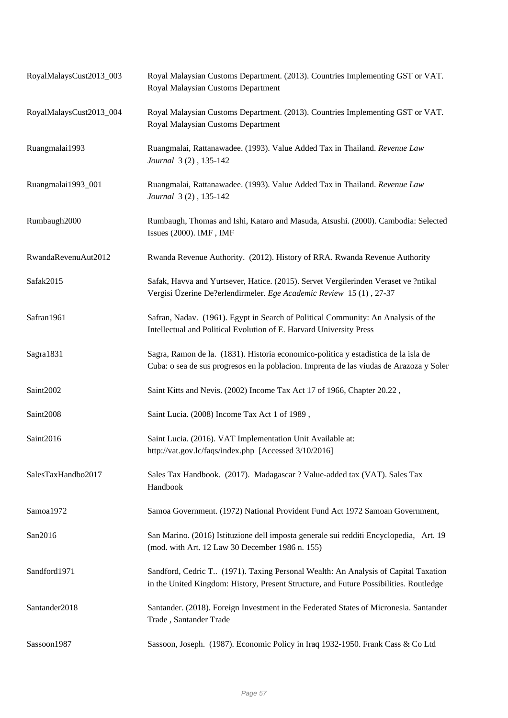| RoyalMalaysCust2013_003 | Royal Malaysian Customs Department. (2013). Countries Implementing GST or VAT.<br>Royal Malaysian Customs Department                                                           |
|-------------------------|--------------------------------------------------------------------------------------------------------------------------------------------------------------------------------|
| RoyalMalaysCust2013_004 | Royal Malaysian Customs Department. (2013). Countries Implementing GST or VAT.<br>Royal Malaysian Customs Department                                                           |
| Ruangmalai1993          | Ruangmalai, Rattanawadee. (1993). Value Added Tax in Thailand. Revenue Law<br>Journal 3(2), 135-142                                                                            |
| Ruangmalai1993_001      | Ruangmalai, Rattanawadee. (1993). Value Added Tax in Thailand. Revenue Law<br>Journal 3(2), 135-142                                                                            |
| Rumbaugh2000            | Rumbaugh, Thomas and Ishi, Kataro and Masuda, Atsushi. (2000). Cambodia: Selected<br>Issues (2000). IMF, IMF                                                                   |
| RwandaRevenuAut2012     | Rwanda Revenue Authority. (2012). History of RRA. Rwanda Revenue Authority                                                                                                     |
| Safak2015               | Safak, Havva and Yurtsever, Hatice. (2015). Servet Vergilerinden Veraset ve ?ntikal<br>Vergisi Üzerine De?erlendirmeler. Ege Academic Review 15 (1), 27-37                     |
| Safran1961              | Safran, Nadav. (1961). Egypt in Search of Political Community: An Analysis of the<br>Intellectual and Political Evolution of E. Harvard University Press                       |
| Sagra1831               | Sagra, Ramon de la. (1831). Historia economico-politica y estadística de la isla de<br>Cuba: o sea de sus progresos en la poblacion. Imprenta de las viudas de Arazoza y Soler |
| Saint2002               | Saint Kitts and Nevis. (2002) Income Tax Act 17 of 1966, Chapter 20.22,                                                                                                        |
| Saint2008               | Saint Lucia. (2008) Income Tax Act 1 of 1989,                                                                                                                                  |
| Saint2016               | Saint Lucia. (2016). VAT Implementation Unit Available at:<br>http://vat.gov.lc/faqs/index.php [Accessed 3/10/2016]                                                            |
| SalesTaxHandbo2017      | Sales Tax Handbook. (2017). Madagascar ? Value-added tax (VAT). Sales Tax<br>Handbook                                                                                          |
| Samoa1972               | Samoa Government. (1972) National Provident Fund Act 1972 Samoan Government,                                                                                                   |
| San2016                 | San Marino. (2016) Istituzione dell imposta generale sui redditi Encyclopedia, Art. 19<br>(mod. with Art. 12 Law 30 December 1986 n. 155)                                      |
| Sandford1971            | Sandford, Cedric T (1971). Taxing Personal Wealth: An Analysis of Capital Taxation<br>in the United Kingdom: History, Present Structure, and Future Possibilities. Routledge   |
| Santander2018           | Santander. (2018). Foreign Investment in the Federated States of Micronesia. Santander<br>Trade, Santander Trade                                                               |
| Sassoon1987             | Sassoon, Joseph. (1987). Economic Policy in Iraq 1932-1950. Frank Cass & Co Ltd                                                                                                |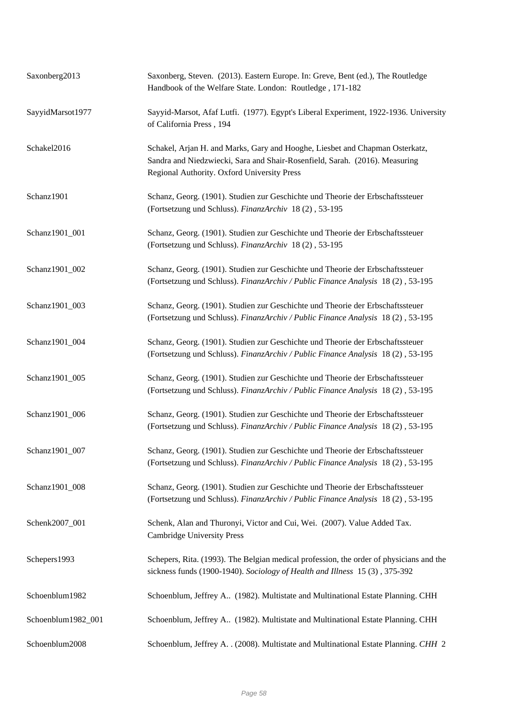| Saxonberg2013      | Saxonberg, Steven. (2013). Eastern Europe. In: Greve, Bent (ed.), The Routledge<br>Handbook of the Welfare State. London: Routledge, 171-182                                                               |
|--------------------|------------------------------------------------------------------------------------------------------------------------------------------------------------------------------------------------------------|
| SayyidMarsot1977   | Sayyid-Marsot, Afaf Lutfi. (1977). Egypt's Liberal Experiment, 1922-1936. University<br>of California Press, 194                                                                                           |
| Schakel2016        | Schakel, Arjan H. and Marks, Gary and Hooghe, Liesbet and Chapman Osterkatz,<br>Sandra and Niedzwiecki, Sara and Shair-Rosenfield, Sarah. (2016). Measuring<br>Regional Authority. Oxford University Press |
| Schanz1901         | Schanz, Georg. (1901). Studien zur Geschichte und Theorie der Erbschaftssteuer<br>(Fortsetzung und Schluss). FinanzArchiv 18 (2), 53-195                                                                   |
| Schanz1901_001     | Schanz, Georg. (1901). Studien zur Geschichte und Theorie der Erbschaftssteuer<br>(Fortsetzung und Schluss). FinanzArchiv 18 (2), 53-195                                                                   |
| Schanz1901_002     | Schanz, Georg. (1901). Studien zur Geschichte und Theorie der Erbschaftssteuer<br>(Fortsetzung und Schluss). FinanzArchiv / Public Finance Analysis 18 (2), 53-195                                         |
| Schanz1901_003     | Schanz, Georg. (1901). Studien zur Geschichte und Theorie der Erbschaftssteuer<br>(Fortsetzung und Schluss). FinanzArchiv / Public Finance Analysis 18 (2), 53-195                                         |
| Schanz1901_004     | Schanz, Georg. (1901). Studien zur Geschichte und Theorie der Erbschaftssteuer<br>(Fortsetzung und Schluss). FinanzArchiv / Public Finance Analysis 18 (2), 53-195                                         |
| Schanz1901_005     | Schanz, Georg. (1901). Studien zur Geschichte und Theorie der Erbschaftssteuer<br>(Fortsetzung und Schluss). FinanzArchiv / Public Finance Analysis 18 (2), 53-195                                         |
| Schanz1901_006     | Schanz, Georg. (1901). Studien zur Geschichte und Theorie der Erbschaftssteuer<br>(Fortsetzung und Schluss). FinanzArchiv / Public Finance Analysis 18 (2), 53-195                                         |
| Schanz1901_007     | Schanz, Georg. (1901). Studien zur Geschichte und Theorie der Erbschaftssteuer<br>(Fortsetzung und Schluss). FinanzArchiv / Public Finance Analysis 18(2), 53-195                                          |
| Schanz1901_008     | Schanz, Georg. (1901). Studien zur Geschichte und Theorie der Erbschaftssteuer<br>(Fortsetzung und Schluss). FinanzArchiv / Public Finance Analysis 18 (2), 53-195                                         |
| Schenk2007_001     | Schenk, Alan and Thuronyi, Victor and Cui, Wei. (2007). Value Added Tax.<br><b>Cambridge University Press</b>                                                                                              |
| Schepers1993       | Schepers, Rita. (1993). The Belgian medical profession, the order of physicians and the<br>sickness funds (1900-1940). Sociology of Health and Illness 15 (3), 375-392                                     |
| Schoenblum1982     | Schoenblum, Jeffrey A (1982). Multistate and Multinational Estate Planning. CHH                                                                                                                            |
| Schoenblum1982_001 | Schoenblum, Jeffrey A (1982). Multistate and Multinational Estate Planning. CHH                                                                                                                            |
| Schoenblum2008     | Schoenblum, Jeffrey A. . (2008). Multistate and Multinational Estate Planning. CHH 2                                                                                                                       |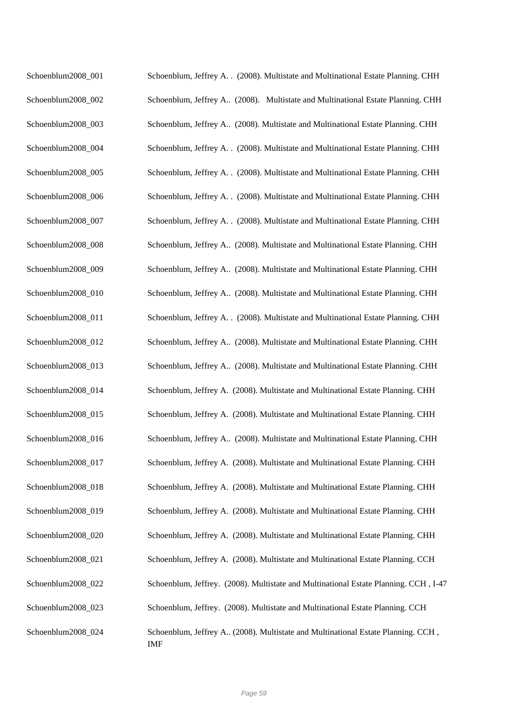| Schoenblum2008_001 | Schoenblum, Jeffrey A. . (2008). Multistate and Multinational Estate Planning. CHH             |
|--------------------|------------------------------------------------------------------------------------------------|
| Schoenblum2008_002 | Schoenblum, Jeffrey A (2008). Multistate and Multinational Estate Planning. CHH                |
| Schoenblum2008_003 | Schoenblum, Jeffrey A (2008). Multistate and Multinational Estate Planning. CHH                |
| Schoenblum2008_004 | Schoenblum, Jeffrey A. . (2008). Multistate and Multinational Estate Planning. CHH             |
| Schoenblum2008_005 | Schoenblum, Jeffrey A. . (2008). Multistate and Multinational Estate Planning. CHH             |
| Schoenblum2008_006 | Schoenblum, Jeffrey A. . (2008). Multistate and Multinational Estate Planning. CHH             |
| Schoenblum2008_007 | Schoenblum, Jeffrey A. . (2008). Multistate and Multinational Estate Planning. CHH             |
| Schoenblum2008_008 | Schoenblum, Jeffrey A (2008). Multistate and Multinational Estate Planning. CHH                |
| Schoenblum2008_009 | Schoenblum, Jeffrey A (2008). Multistate and Multinational Estate Planning. CHH                |
| Schoenblum2008_010 | Schoenblum, Jeffrey A (2008). Multistate and Multinational Estate Planning. CHH                |
| Schoenblum2008_011 | Schoenblum, Jeffrey A. . (2008). Multistate and Multinational Estate Planning. CHH             |
| Schoenblum2008_012 | Schoenblum, Jeffrey A (2008). Multistate and Multinational Estate Planning. CHH                |
| Schoenblum2008_013 | Schoenblum, Jeffrey A (2008). Multistate and Multinational Estate Planning. CHH                |
| Schoenblum2008_014 | Schoenblum, Jeffrey A. (2008). Multistate and Multinational Estate Planning. CHH               |
| Schoenblum2008_015 | Schoenblum, Jeffrey A. (2008). Multistate and Multinational Estate Planning. CHH               |
| Schoenblum2008_016 | Schoenblum, Jeffrey A (2008). Multistate and Multinational Estate Planning. CHH                |
| Schoenblum2008_017 | Schoenblum, Jeffrey A. (2008). Multistate and Multinational Estate Planning. CHH               |
| Schoenblum2008_018 | Schoenblum, Jeffrey A. (2008). Multistate and Multinational Estate Planning. CHH               |
| Schoenblum2008_019 | Schoenblum, Jeffrey A. (2008). Multistate and Multinational Estate Planning. CHH               |
| Schoenblum2008_020 | Schoenblum, Jeffrey A. (2008). Multistate and Multinational Estate Planning. CHH               |
| Schoenblum2008_021 | Schoenblum, Jeffrey A. (2008). Multistate and Multinational Estate Planning. CCH               |
| Schoenblum2008_022 | Schoenblum, Jeffrey. (2008). Multistate and Multinational Estate Planning. CCH, I-47           |
| Schoenblum2008_023 | Schoenblum, Jeffrey. (2008). Multistate and Multinational Estate Planning. CCH                 |
| Schoenblum2008_024 | Schoenblum, Jeffrey A (2008). Multistate and Multinational Estate Planning. CCH,<br><b>IMF</b> |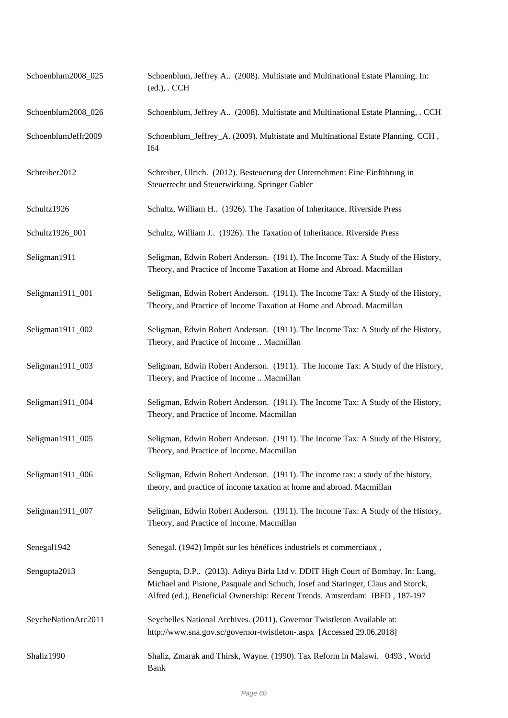| Schoenblum2008_025  | Schoenblum, Jeffrey A (2008). Multistate and Multinational Estate Planning. In:<br>$(ed.),$ . CCH                                                                                                                                                 |
|---------------------|---------------------------------------------------------------------------------------------------------------------------------------------------------------------------------------------------------------------------------------------------|
| Schoenblum2008_026  | Schoenblum, Jeffrey A (2008). Multistate and Multinational Estate Planning, . CCH                                                                                                                                                                 |
| SchoenblumJeffr2009 | Schoenblum_Jeffrey_A. (2009). Multistate and Multinational Estate Planning. CCH,<br><b>I64</b>                                                                                                                                                    |
| Schreiber2012       | Schreiber, Ulrich. (2012). Besteuerung der Unternehmen: Eine Einführung in<br>Steuerrecht und Steuerwirkung. Springer Gabler                                                                                                                      |
| Schultz1926         | Schultz, William H (1926). The Taxation of Inheritance. Riverside Press                                                                                                                                                                           |
| Schultz1926_001     | Schultz, William J (1926). The Taxation of Inheritance. Riverside Press                                                                                                                                                                           |
| Seligman1911        | Seligman, Edwin Robert Anderson. (1911). The Income Tax: A Study of the History,<br>Theory, and Practice of Income Taxation at Home and Abroad. Macmillan                                                                                         |
| Seligman1911_001    | Seligman, Edwin Robert Anderson. (1911). The Income Tax: A Study of the History,<br>Theory, and Practice of Income Taxation at Home and Abroad. Macmillan                                                                                         |
| Seligman1911_002    | Seligman, Edwin Robert Anderson. (1911). The Income Tax: A Study of the History,<br>Theory, and Practice of Income  Macmillan                                                                                                                     |
| Seligman1911_003    | Seligman, Edwin Robert Anderson. (1911). The Income Tax: A Study of the History,<br>Theory, and Practice of Income  Macmillan                                                                                                                     |
| Seligman1911_004    | Seligman, Edwin Robert Anderson. (1911). The Income Tax: A Study of the History,<br>Theory, and Practice of Income. Macmillan                                                                                                                     |
| Seligman1911_005    | Seligman, Edwin Robert Anderson. (1911). The Income Tax: A Study of the History,<br>Theory, and Practice of Income. Macmillan                                                                                                                     |
| Seligman1911_006    | Seligman, Edwin Robert Anderson. (1911). The income tax: a study of the history,<br>theory, and practice of income taxation at home and abroad. Macmillan                                                                                         |
| Seligman1911_007    | Seligman, Edwin Robert Anderson. (1911). The Income Tax: A Study of the History,<br>Theory, and Practice of Income. Macmillan                                                                                                                     |
| Senegal1942         | Senegal. (1942) Impôt sur les bénéfices industriels et commerciaux,                                                                                                                                                                               |
| Sengupta2013        | Sengupta, D.P (2013). Aditya Birla Ltd v. DDIT High Court of Bombay. In: Lang,<br>Michael and Pistone, Pasquale and Schuch, Josef and Staringer, Claus and Storck,<br>Alfred (ed.), Beneficial Ownership: Recent Trends. Amsterdam: IBFD, 187-197 |
| SeycheNationArc2011 | Seychelles National Archives. (2011). Governor Twistleton Available at:<br>http://www.sna.gov.sc/governor-twistleton-.aspx [Accessed 29.06.2018]                                                                                                  |
| Shaliz1990          | Shaliz, Zmarak and Thirsk, Wayne. (1990). Tax Reform in Malawi. 0493, World<br><b>Bank</b>                                                                                                                                                        |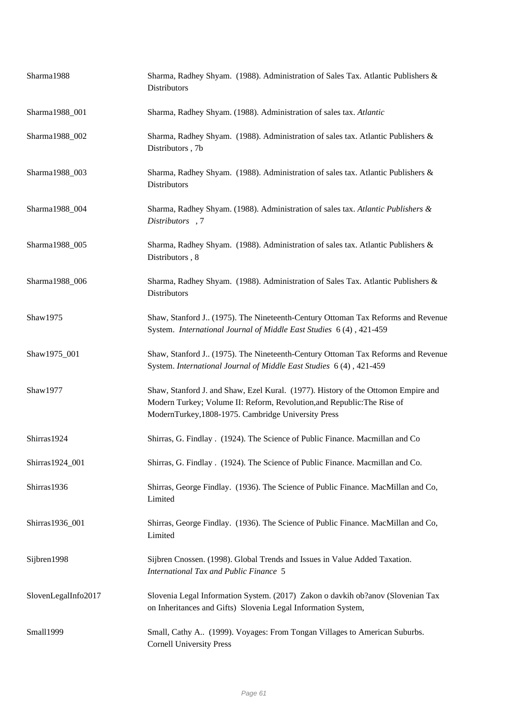| Sharma1988          | Sharma, Radhey Shyam. (1988). Administration of Sales Tax. Atlantic Publishers &<br>Distributors                                                                                                                    |
|---------------------|---------------------------------------------------------------------------------------------------------------------------------------------------------------------------------------------------------------------|
| Sharma1988_001      | Sharma, Radhey Shyam. (1988). Administration of sales tax. Atlantic                                                                                                                                                 |
| Sharma1988_002      | Sharma, Radhey Shyam. (1988). Administration of sales tax. Atlantic Publishers &<br>Distributors, 7b                                                                                                                |
| Sharma1988_003      | Sharma, Radhey Shyam. (1988). Administration of sales tax. Atlantic Publishers &<br>Distributors                                                                                                                    |
| Sharma1988_004      | Sharma, Radhey Shyam. (1988). Administration of sales tax. Atlantic Publishers &<br>Distributors, 7                                                                                                                 |
| Sharma1988_005      | Sharma, Radhey Shyam. (1988). Administration of sales tax. Atlantic Publishers &<br>Distributors, 8                                                                                                                 |
| Sharma1988_006      | Sharma, Radhey Shyam. (1988). Administration of Sales Tax. Atlantic Publishers &<br>Distributors                                                                                                                    |
| Shaw1975            | Shaw, Stanford J., (1975). The Nineteenth-Century Ottoman Tax Reforms and Revenue<br>System. International Journal of Middle East Studies 6 (4), 421-459                                                            |
| Shaw1975_001        | Shaw, Stanford J., (1975). The Nineteenth-Century Ottoman Tax Reforms and Revenue<br>System. International Journal of Middle East Studies 6 (4), 421-459                                                            |
| Shaw1977            | Shaw, Stanford J. and Shaw, Ezel Kural. (1977). History of the Ottomon Empire and<br>Modern Turkey; Volume II: Reform, Revolution, and Republic: The Rise of<br>ModernTurkey, 1808-1975. Cambridge University Press |
| Shirras1924         | Shirras, G. Findlay . (1924). The Science of Public Finance. Macmillan and Co                                                                                                                                       |
| Shirras1924_001     | Shirras, G. Findlay . (1924). The Science of Public Finance. Macmillan and Co.                                                                                                                                      |
| Shirras1936         | Shirras, George Findlay. (1936). The Science of Public Finance. MacMillan and Co,<br>Limited                                                                                                                        |
| Shirras1936_001     | Shirras, George Findlay. (1936). The Science of Public Finance. MacMillan and Co,<br>Limited                                                                                                                        |
| Sijbren1998         | Sijbren Cnossen. (1998). Global Trends and Issues in Value Added Taxation.<br><b>International Tax and Public Finance 5</b>                                                                                         |
| SlovenLegalInfo2017 | Slovenia Legal Information System. (2017) Zakon o davkih ob?anov (Slovenian Tax<br>on Inheritances and Gifts) Slovenia Legal Information System,                                                                    |
| Small1999           | Small, Cathy A., (1999). Voyages: From Tongan Villages to American Suburbs.<br><b>Cornell University Press</b>                                                                                                      |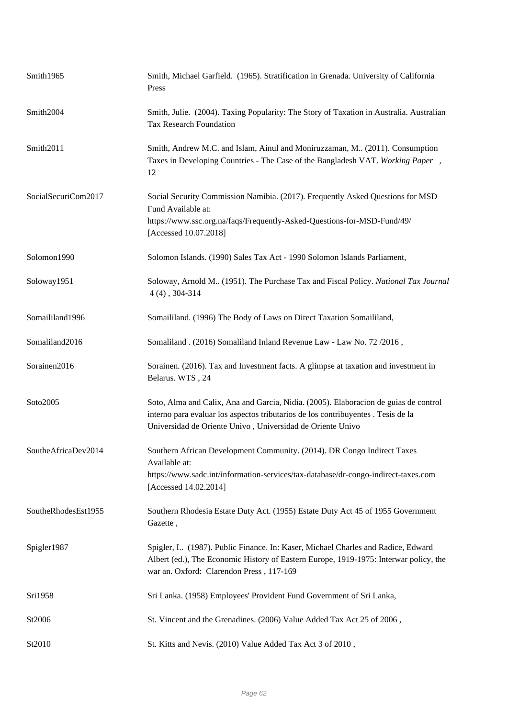| Smith1965           | Smith, Michael Garfield. (1965). Stratification in Grenada. University of California<br>Press                                                                                                                                           |
|---------------------|-----------------------------------------------------------------------------------------------------------------------------------------------------------------------------------------------------------------------------------------|
| Smith2004           | Smith, Julie. (2004). Taxing Popularity: The Story of Taxation in Australia. Australian<br>Tax Research Foundation                                                                                                                      |
| Smith2011           | Smith, Andrew M.C. and Islam, Ainul and Moniruzzaman, M. (2011). Consumption<br>Taxes in Developing Countries - The Case of the Bangladesh VAT. Working Paper,<br>12                                                                    |
| SocialSecuriCom2017 | Social Security Commission Namibia. (2017). Frequently Asked Questions for MSD<br>Fund Available at:<br>https://www.ssc.org.na/faqs/Frequently-Asked-Questions-for-MSD-Fund/49/                                                         |
|                     | [Accessed 10.07.2018]                                                                                                                                                                                                                   |
| Solomon1990         | Solomon Islands. (1990) Sales Tax Act - 1990 Solomon Islands Parliament,                                                                                                                                                                |
| Soloway1951         | Soloway, Arnold M (1951). The Purchase Tax and Fiscal Policy. National Tax Journal<br>$4(4)$ , 304-314                                                                                                                                  |
| Somaililand1996     | Somaililand. (1996) The Body of Laws on Direct Taxation Somaililand,                                                                                                                                                                    |
| Somaliland2016      | Somaliland. (2016) Somaliland Inland Revenue Law - Law No. 72 / 2016,                                                                                                                                                                   |
| Sorainen2016        | Sorainen. (2016). Tax and Investment facts. A glimpse at taxation and investment in<br>Belarus. WTS, 24                                                                                                                                 |
| Soto2005            | Soto, Alma and Calix, Ana and Garcia, Nidia. (2005). Elaboracion de guias de control<br>interno para evaluar los aspectos tributarios de los contribuyentes . Tesis de la<br>Universidad de Oriente Univo, Universidad de Oriente Univo |
| SoutheAfricaDev2014 | Southern African Development Community. (2014). DR Congo Indirect Taxes<br>Available at:                                                                                                                                                |
|                     | https://www.sadc.int/information-services/tax-database/dr-congo-indirect-taxes.com<br>[Accessed 14.02.2014]                                                                                                                             |
| SoutheRhodesEst1955 | Southern Rhodesia Estate Duty Act. (1955) Estate Duty Act 45 of 1955 Government<br>Gazette,                                                                                                                                             |
| Spigler1987         | Spigler, I (1987). Public Finance. In: Kaser, Michael Charles and Radice, Edward<br>Albert (ed.), The Economic History of Eastern Europe, 1919-1975: Interwar policy, the<br>war an. Oxford: Clarendon Press, 117-169                   |
| Sri1958             | Sri Lanka. (1958) Employees' Provident Fund Government of Sri Lanka,                                                                                                                                                                    |
| St2006              | St. Vincent and the Grenadines. (2006) Value Added Tax Act 25 of 2006,                                                                                                                                                                  |
| St2010              | St. Kitts and Nevis. (2010) Value Added Tax Act 3 of 2010,                                                                                                                                                                              |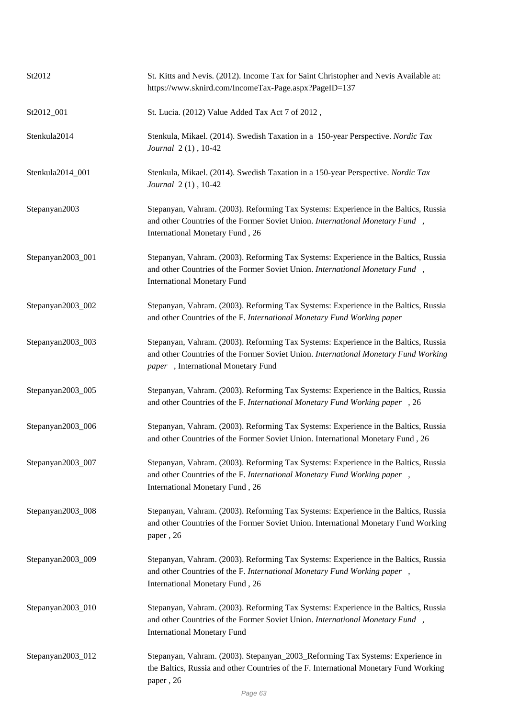| St2012            | St. Kitts and Nevis. (2012). Income Tax for Saint Christopher and Nevis Available at:<br>https://www.sknird.com/IncomeTax-Page.aspx?PageID=137                                                                   |
|-------------------|------------------------------------------------------------------------------------------------------------------------------------------------------------------------------------------------------------------|
| St2012_001        | St. Lucia. (2012) Value Added Tax Act 7 of 2012,                                                                                                                                                                 |
| Stenkula2014      | Stenkula, Mikael. (2014). Swedish Taxation in a 150-year Perspective. Nordic Tax<br>Journal 2(1), 10-42                                                                                                          |
| Stenkula2014_001  | Stenkula, Mikael. (2014). Swedish Taxation in a 150-year Perspective. Nordic Tax<br>Journal 2(1), 10-42                                                                                                          |
| Stepanyan2003     | Stepanyan, Vahram. (2003). Reforming Tax Systems: Experience in the Baltics, Russia<br>and other Countries of the Former Soviet Union. International Monetary Fund,<br>International Monetary Fund, 26           |
| Stepanyan2003_001 | Stepanyan, Vahram. (2003). Reforming Tax Systems: Experience in the Baltics, Russia<br>and other Countries of the Former Soviet Union. International Monetary Fund,<br><b>International Monetary Fund</b>        |
| Stepanyan2003_002 | Stepanyan, Vahram. (2003). Reforming Tax Systems: Experience in the Baltics, Russia<br>and other Countries of the F. International Monetary Fund Working paper                                                   |
| Stepanyan2003_003 | Stepanyan, Vahram. (2003). Reforming Tax Systems: Experience in the Baltics, Russia<br>and other Countries of the Former Soviet Union. International Monetary Fund Working<br>paper, International Monetary Fund |
| Stepanyan2003_005 | Stepanyan, Vahram. (2003). Reforming Tax Systems: Experience in the Baltics, Russia<br>and other Countries of the F. International Monetary Fund Working paper, 26                                               |
| Stepanyan2003_006 | Stepanyan, Vahram. (2003). Reforming Tax Systems: Experience in the Baltics, Russia<br>and other Countries of the Former Soviet Union. International Monetary Fund, 26                                           |
| Stepanyan2003_007 | Stepanyan, Vahram. (2003). Reforming Tax Systems: Experience in the Baltics, Russia<br>and other Countries of the F. International Monetary Fund Working paper,<br>International Monetary Fund, 26               |
| Stepanyan2003_008 | Stepanyan, Vahram. (2003). Reforming Tax Systems: Experience in the Baltics, Russia<br>and other Countries of the Former Soviet Union. International Monetary Fund Working<br>paper, 26                          |
| Stepanyan2003_009 | Stepanyan, Vahram. (2003). Reforming Tax Systems: Experience in the Baltics, Russia<br>and other Countries of the F. International Monetary Fund Working paper,<br>International Monetary Fund, 26               |
| Stepanyan2003_010 | Stepanyan, Vahram. (2003). Reforming Tax Systems: Experience in the Baltics, Russia<br>and other Countries of the Former Soviet Union. International Monetary Fund,<br><b>International Monetary Fund</b>        |
| Stepanyan2003_012 | Stepanyan, Vahram. (2003). Stepanyan_2003_Reforming Tax Systems: Experience in<br>the Baltics, Russia and other Countries of the F. International Monetary Fund Working<br>paper, 26                             |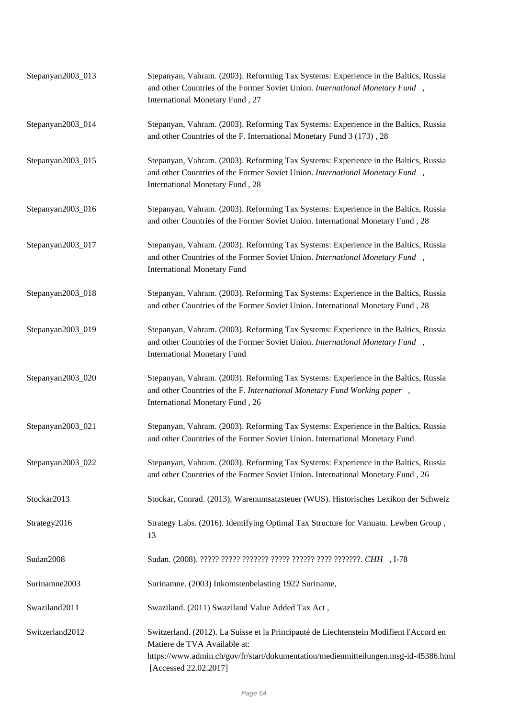| Stepanyan2003_013 | Stepanyan, Vahram. (2003). Reforming Tax Systems: Experience in the Baltics, Russia<br>and other Countries of the Former Soviet Union. International Monetary Fund,<br>International Monetary Fund, 27                                   |
|-------------------|------------------------------------------------------------------------------------------------------------------------------------------------------------------------------------------------------------------------------------------|
| Stepanyan2003_014 | Stepanyan, Vahram. (2003). Reforming Tax Systems: Experience in the Baltics, Russia<br>and other Countries of the F. International Monetary Fund 3 (173), 28                                                                             |
| Stepanyan2003_015 | Stepanyan, Vahram. (2003). Reforming Tax Systems: Experience in the Baltics, Russia<br>and other Countries of the Former Soviet Union. International Monetary Fund,<br>International Monetary Fund, 28                                   |
| Stepanyan2003_016 | Stepanyan, Vahram. (2003). Reforming Tax Systems: Experience in the Baltics, Russia<br>and other Countries of the Former Soviet Union. International Monetary Fund, 28                                                                   |
| Stepanyan2003_017 | Stepanyan, Vahram. (2003). Reforming Tax Systems: Experience in the Baltics, Russia<br>and other Countries of the Former Soviet Union. International Monetary Fund,<br><b>International Monetary Fund</b>                                |
| Stepanyan2003_018 | Stepanyan, Vahram. (2003). Reforming Tax Systems: Experience in the Baltics, Russia<br>and other Countries of the Former Soviet Union. International Monetary Fund, 28                                                                   |
| Stepanyan2003_019 | Stepanyan, Vahram. (2003). Reforming Tax Systems: Experience in the Baltics, Russia<br>and other Countries of the Former Soviet Union. International Monetary Fund,<br><b>International Monetary Fund</b>                                |
| Stepanyan2003_020 | Stepanyan, Vahram. (2003). Reforming Tax Systems: Experience in the Baltics, Russia<br>and other Countries of the F. International Monetary Fund Working paper,<br>International Monetary Fund, 26                                       |
| Stepanyan2003_021 | Stepanyan, Vahram. (2003). Reforming Tax Systems: Experience in the Baltics, Russia<br>and other Countries of the Former Soviet Union. International Monetary Fund                                                                       |
| Stepanyan2003_022 | Stepanyan, Vahram. (2003). Reforming Tax Systems: Experience in the Baltics, Russia<br>and other Countries of the Former Soviet Union. International Monetary Fund, 26                                                                   |
| Stockar2013       | Stockar, Conrad. (2013). Warenumsatzsteuer (WUS). Historisches Lexikon der Schweiz                                                                                                                                                       |
| Strategy2016      | Strategy Labs. (2016). Identifying Optimal Tax Structure for Vanuatu. Lewben Group,<br>13                                                                                                                                                |
| Sudan2008         |                                                                                                                                                                                                                                          |
| Surinamne2003     | Surinamne. (2003) Inkomstenbelasting 1922 Suriname,                                                                                                                                                                                      |
| Swaziland2011     | Swaziland. (2011) Swaziland Value Added Tax Act,                                                                                                                                                                                         |
| Switzerland2012   | Switzerland. (2012). La Suisse et la Principauté de Liechtenstein Modifient l'Accord en<br>Matiere de TVA Available at:<br>https://www.admin.ch/gov/fr/start/dokumentation/medienmitteilungen.msg-id-45386.html<br>[Accessed 22.02.2017] |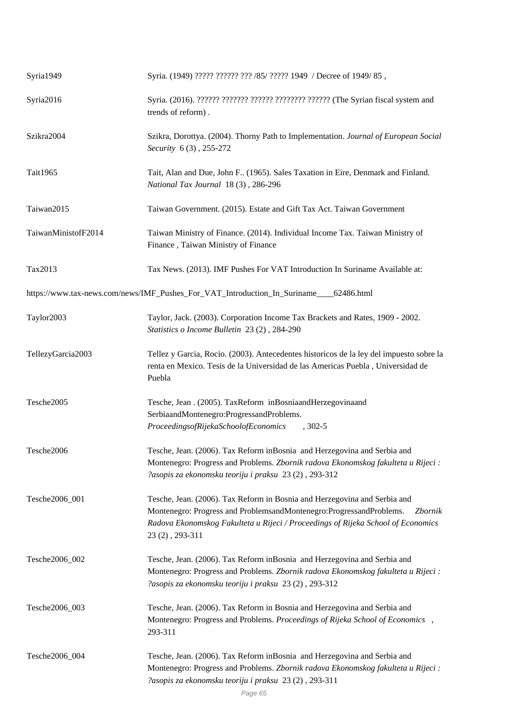| Syria1949           | Syria. (1949) ????? ?????? ??? /85/ ????? 1949 / Decree of 1949/ 85,                                                                                                                                                                                                |
|---------------------|---------------------------------------------------------------------------------------------------------------------------------------------------------------------------------------------------------------------------------------------------------------------|
| Syria2016           | Syria. (2016). ?????? ??????? ?????? ??????? ??????? (The Syrian fiscal system and<br>trends of reform).                                                                                                                                                            |
| Szikra2004          | Szikra, Dorottya. (2004). Thorny Path to Implementation. Journal of European Social<br>Security 6(3), 255-272                                                                                                                                                       |
| Tait1965            | Tait, Alan and Due, John F (1965). Sales Taxation in Eire, Denmark and Finland.<br>National Tax Journal 18(3), 286-296                                                                                                                                              |
| Taiwan2015          | Taiwan Government. (2015). Estate and Gift Tax Act. Taiwan Government                                                                                                                                                                                               |
| TaiwanMinistofF2014 | Taiwan Ministry of Finance. (2014). Individual Income Tax. Taiwan Ministry of<br>Finance, Taiwan Ministry of Finance                                                                                                                                                |
| Tax2013             | Tax News. (2013). IMF Pushes For VAT Introduction In Suriname Available at:                                                                                                                                                                                         |
|                     | https://www.tax-news.com/news/IMF_Pushes_For_VAT_Introduction_In_Suriname____62486.html                                                                                                                                                                             |
| Taylor2003          | Taylor, Jack. (2003). Corporation Income Tax Brackets and Rates, 1909 - 2002.<br>Statistics o Income Bulletin 23 (2), 284-290                                                                                                                                       |
| TellezyGarcia2003   | Tellez y Garcia, Rocio. (2003). Antecedentes historicos de la ley del impuesto sobre la<br>renta en Mexico. Tesis de la Universidad de las Americas Puebla, Universidad de<br>Puebla                                                                                |
| Tesche2005          | Tesche, Jean . (2005). Tax Reform in Bosnia and Herzegovina and<br>Serbia and Montenegro: Progress and Problems.<br>Proceedings of Rijeka School of Economics , 302-5                                                                                               |
| Tesche2006          | Tesche, Jean. (2006). Tax Reform in Bosnia and Herzegovina and Serbia and<br>Montenegro: Progress and Problems. Zbornik radova Ekonomskog fakulteta u Rijeci :<br>?asopis za ekonomsku teoriju i praksu 23 (2), 293-312                                             |
| Tesche2006_001      | Tesche, Jean. (2006). Tax Reform in Bosnia and Herzegovina and Serbia and<br>Montenegro: Progress and Problemsand Montenegro: Progress and Problems. Zbornik<br>Radova Ekonomskog Fakulteta u Rijeci / Proceedings of Rijeka School of Economics<br>23 (2), 293-311 |
| Tesche2006_002      | Tesche, Jean. (2006). Tax Reform in Bosnia and Herzegovina and Serbia and<br>Montenegro: Progress and Problems. Zbornik radova Ekonomskog fakulteta u Rijeci :<br>?asopis za ekonomsku teoriju i praksu 23 (2), 293-312                                             |
| Tesche2006_003      | Tesche, Jean. (2006). Tax Reform in Bosnia and Herzegovina and Serbia and<br>Montenegro: Progress and Problems. Proceedings of Rijeka School of Economics,<br>293-311                                                                                               |
| Tesche2006_004      | Tesche, Jean. (2006). Tax Reform in Bosnia and Herzegovina and Serbia and<br>Montenegro: Progress and Problems. Zbornik radova Ekonomskog fakulteta u Rijeci :<br>?asopis za ekonomsku teoriju i praksu 23 (2), 293-311                                             |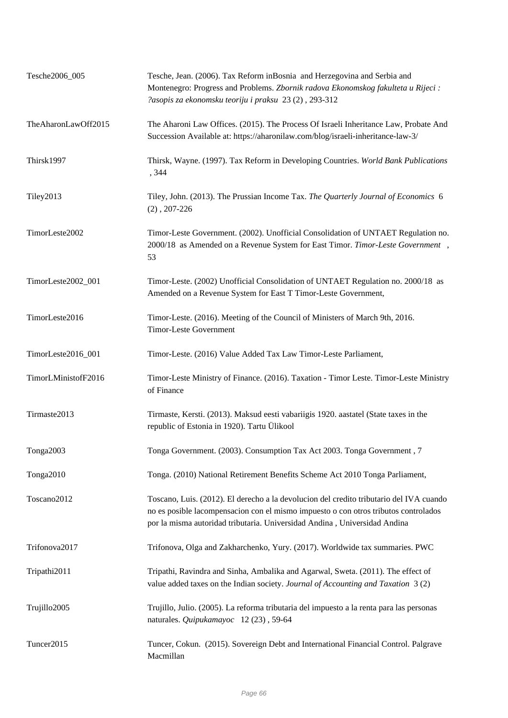| Tesche2006_005      | Tesche, Jean. (2006). Tax Reform in Bosnia and Herzegovina and Serbia and<br>Montenegro: Progress and Problems. Zbornik radova Ekonomskog fakulteta u Rijeci :<br>?asopis za ekonomsku teoriju i praksu 23 (2), 293-312                                     |
|---------------------|-------------------------------------------------------------------------------------------------------------------------------------------------------------------------------------------------------------------------------------------------------------|
| TheAharonLawOff2015 | The Aharoni Law Offices. (2015). The Process Of Israeli Inheritance Law, Probate And<br>Succession Available at: https://aharonilaw.com/blog/israeli-inheritance-law-3/                                                                                     |
| Thirsk1997          | Thirsk, Wayne. (1997). Tax Reform in Developing Countries. World Bank Publications<br>, 344                                                                                                                                                                 |
| Tiley2013           | Tiley, John. (2013). The Prussian Income Tax. The Quarterly Journal of Economics 6<br>$(2), 207-226$                                                                                                                                                        |
| TimorLeste2002      | Timor-Leste Government. (2002). Unofficial Consolidation of UNTAET Regulation no.<br>2000/18 as Amended on a Revenue System for East Timor. Timor-Leste Government,<br>53                                                                                   |
| TimorLeste2002_001  | Timor-Leste. (2002) Unofficial Consolidation of UNTAET Regulation no. 2000/18 as<br>Amended on a Revenue System for East T Timor-Leste Government,                                                                                                          |
| TimorLeste2016      | Timor-Leste. (2016). Meeting of the Council of Ministers of March 9th, 2016.<br><b>Timor-Leste Government</b>                                                                                                                                               |
| TimorLeste2016_001  | Timor-Leste. (2016) Value Added Tax Law Timor-Leste Parliament,                                                                                                                                                                                             |
| TimorLMinistofF2016 | Timor-Leste Ministry of Finance. (2016). Taxation - Timor Leste. Timor-Leste Ministry<br>of Finance                                                                                                                                                         |
| Tirmaste2013        | Tirmaste, Kersti. (2013). Maksud eesti vabariigis 1920. aastatel (State taxes in the<br>republic of Estonia in 1920). Tartu Ülikool                                                                                                                         |
| Tonga2003           | Tonga Government. (2003). Consumption Tax Act 2003. Tonga Government, 7                                                                                                                                                                                     |
| Tonga2010           | Tonga. (2010) National Retirement Benefits Scheme Act 2010 Tonga Parliament,                                                                                                                                                                                |
| Toscano2012         | Toscano, Luis. (2012). El derecho a la devolucion del credito tributario del IVA cuando<br>no es posible lacompensacion con el mismo impuesto o con otros tributos controlados<br>por la misma autoridad tributaria. Universidad Andina, Universidad Andina |
| Trifonova2017       | Trifonova, Olga and Zakharchenko, Yury. (2017). Worldwide tax summaries. PWC                                                                                                                                                                                |
| Tripathi2011        | Tripathi, Ravindra and Sinha, Ambalika and Agarwal, Sweta. (2011). The effect of<br>value added taxes on the Indian society. Journal of Accounting and Taxation 3(2)                                                                                        |
| Trujillo2005        | Trujillo, Julio. (2005). La reforma tributaria del impuesto a la renta para las personas<br>naturales. Quipukamayoc 12 (23), 59-64                                                                                                                          |
| Tuncer2015          | Tuncer, Cokun. (2015). Sovereign Debt and International Financial Control. Palgrave<br>Macmillan                                                                                                                                                            |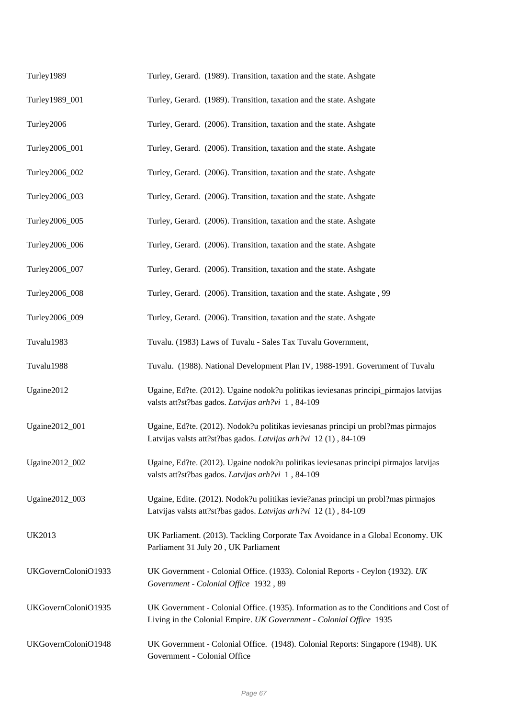| Turley1989          | Turley, Gerard. (1989). Transition, taxation and the state. Ashgate                                                                                          |
|---------------------|--------------------------------------------------------------------------------------------------------------------------------------------------------------|
| Turley1989_001      | Turley, Gerard. (1989). Transition, taxation and the state. Ashgate                                                                                          |
| Turley2006          | Turley, Gerard. (2006). Transition, taxation and the state. Ashgate                                                                                          |
| Turley2006_001      | Turley, Gerard. (2006). Transition, taxation and the state. Ashgate                                                                                          |
| Turley2006_002      | Turley, Gerard. (2006). Transition, taxation and the state. Ashgate                                                                                          |
| Turley2006_003      | Turley, Gerard. (2006). Transition, taxation and the state. Ashgate                                                                                          |
| Turley2006_005      | Turley, Gerard. (2006). Transition, taxation and the state. Ashgate                                                                                          |
| Turley2006_006      | Turley, Gerard. (2006). Transition, taxation and the state. Ashgate                                                                                          |
| Turley2006_007      | Turley, Gerard. (2006). Transition, taxation and the state. Ashgate                                                                                          |
| Turley2006_008      | Turley, Gerard. (2006). Transition, taxation and the state. Ashgate, 99                                                                                      |
| Turley2006_009      | Turley, Gerard. (2006). Transition, taxation and the state. Ashgate                                                                                          |
| Tuvalu1983          | Tuvalu. (1983) Laws of Tuvalu - Sales Tax Tuvalu Government,                                                                                                 |
| Tuvalu1988          | Tuvalu. (1988). National Development Plan IV, 1988-1991. Government of Tuvalu                                                                                |
| Ugaine2012          | Ugaine, Ed?te. (2012). Ugaine nodok?u politikas ieviesanas principi_pirmajos latvijas<br>valsts att?st?bas gados. Latvijas arh?vi 1,84-109                   |
| Ugaine2012_001      | Ugaine, Ed?te. (2012). Nodok?u politikas ieviesanas principi un probl?mas pirmajos<br>Latvijas valsts att?st?bas gados. Latvijas arh?vi 12(1), 84-109        |
| Ugaine2012_002      | Ugaine, Ed?te. (2012). Ugaine nodok?u politikas ieviesanas principi pirmajos latvijas<br>valsts att?st?bas gados. Latvijas arh?vi 1,84-109                   |
| Ugaine2012_003      | Ugaine, Edite. (2012). Nodok?u politikas ievie?anas principi un probl?mas pirmajos<br>Latvijas valsts att?st?bas gados. Latvijas arh?vi 12(1), 84-109        |
| <b>UK2013</b>       | UK Parliament. (2013). Tackling Corporate Tax Avoidance in a Global Economy. UK<br>Parliament 31 July 20, UK Parliament                                      |
| UKGovernColoniO1933 | UK Government - Colonial Office. (1933). Colonial Reports - Ceylon (1932). UK<br>Government - Colonial Office 1932, 89                                       |
| UKGovernColoniO1935 | UK Government - Colonial Office. (1935). Information as to the Conditions and Cost of<br>Living in the Colonial Empire. UK Government - Colonial Office 1935 |
| UKGovernColoniO1948 | UK Government - Colonial Office. (1948). Colonial Reports: Singapore (1948). UK<br>Government - Colonial Office                                              |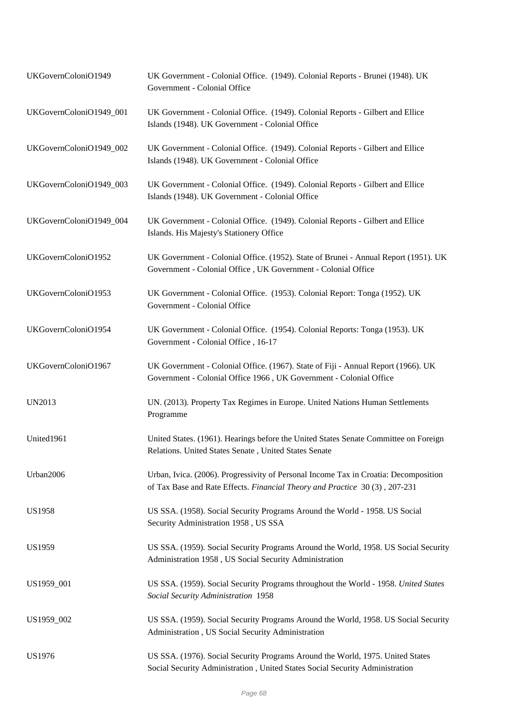| UKGovernColoniO1949     | UK Government - Colonial Office. (1949). Colonial Reports - Brunei (1948). UK<br>Government - Colonial Office                                                       |
|-------------------------|---------------------------------------------------------------------------------------------------------------------------------------------------------------------|
| UKGovernColoniO1949_001 | UK Government - Colonial Office. (1949). Colonial Reports - Gilbert and Ellice<br>Islands (1948). UK Government - Colonial Office                                   |
| UKGovernColoniO1949_002 | UK Government - Colonial Office. (1949). Colonial Reports - Gilbert and Ellice<br>Islands (1948). UK Government - Colonial Office                                   |
| UKGovernColoniO1949_003 | UK Government - Colonial Office. (1949). Colonial Reports - Gilbert and Ellice<br>Islands (1948). UK Government - Colonial Office                                   |
| UKGovernColoniO1949_004 | UK Government - Colonial Office. (1949). Colonial Reports - Gilbert and Ellice<br>Islands. His Majesty's Stationery Office                                          |
| UKGovernColoniO1952     | UK Government - Colonial Office. (1952). State of Brunei - Annual Report (1951). UK<br>Government - Colonial Office, UK Government - Colonial Office                |
| UKGovernColoniO1953     | UK Government - Colonial Office. (1953). Colonial Report: Tonga (1952). UK<br>Government - Colonial Office                                                          |
| UKGovernColoniO1954     | UK Government - Colonial Office. (1954). Colonial Reports: Tonga (1953). UK<br>Government - Colonial Office, 16-17                                                  |
| UKGovernColoniO1967     | UK Government - Colonial Office. (1967). State of Fiji - Annual Report (1966). UK<br>Government - Colonial Office 1966, UK Government - Colonial Office             |
| <b>UN2013</b>           | UN. (2013). Property Tax Regimes in Europe. United Nations Human Settlements<br>Programme                                                                           |
| United1961              | United States. (1961). Hearings before the United States Senate Committee on Foreign<br>Relations. United States Senate, United States Senate                       |
| Urban2006               | Urban, Ivica. (2006). Progressivity of Personal Income Tax in Croatia: Decomposition<br>of Tax Base and Rate Effects. Financial Theory and Practice 30 (3), 207-231 |
| <b>US1958</b>           | US SSA. (1958). Social Security Programs Around the World - 1958. US Social<br>Security Administration 1958, US SSA                                                 |
| US1959                  | US SSA. (1959). Social Security Programs Around the World, 1958. US Social Security<br>Administration 1958, US Social Security Administration                       |
| US1959_001              | US SSA. (1959). Social Security Programs throughout the World - 1958. United States<br>Social Security Administration 1958                                          |
| US1959_002              | US SSA. (1959). Social Security Programs Around the World, 1958. US Social Security<br>Administration, US Social Security Administration                            |
| US1976                  | US SSA. (1976). Social Security Programs Around the World, 1975. United States<br>Social Security Administration, United States Social Security Administration      |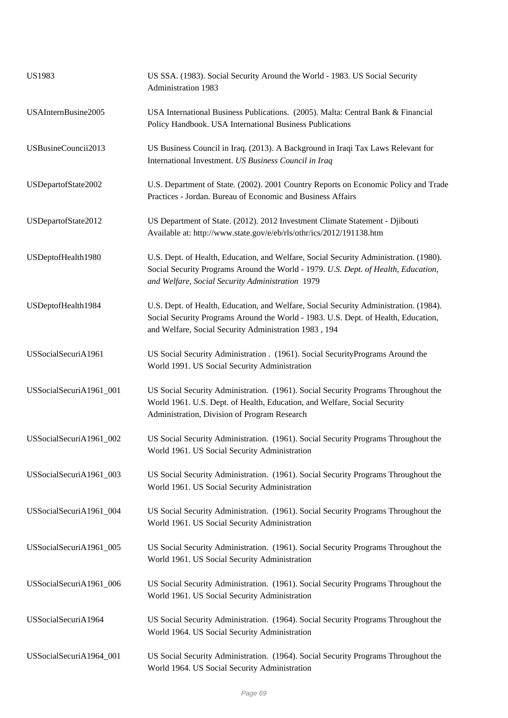| <b>US1983</b>           | US SSA. (1983). Social Security Around the World - 1983. US Social Security<br>Administration 1983                                                                                                                                   |
|-------------------------|--------------------------------------------------------------------------------------------------------------------------------------------------------------------------------------------------------------------------------------|
| USAInternBusine2005     | USA International Business Publications. (2005). Malta: Central Bank & Financial<br>Policy Handbook. USA International Business Publications                                                                                         |
| USBusineCouncii2013     | US Business Council in Iraq. (2013). A Background in Iraqi Tax Laws Relevant for<br>International Investment. US Business Council in Iraq                                                                                            |
| USDepartofState2002     | U.S. Department of State. (2002). 2001 Country Reports on Economic Policy and Trade<br>Practices - Jordan. Bureau of Economic and Business Affairs                                                                                   |
| USDepartofState2012     | US Department of State. (2012). 2012 Investment Climate Statement - Djibouti<br>Available at: http://www.state.gov/e/eb/rls/othr/ics/2012/191138.htm                                                                                 |
| USDeptofHealth1980      | U.S. Dept. of Health, Education, and Welfare, Social Security Administration. (1980).<br>Social Security Programs Around the World - 1979. U.S. Dept. of Health, Education,<br>and Welfare, Social Security Administration 1979      |
| USDeptofHealth1984      | U.S. Dept. of Health, Education, and Welfare, Social Security Administration. (1984).<br>Social Security Programs Around the World - 1983. U.S. Dept. of Health, Education,<br>and Welfare, Social Security Administration 1983, 194 |
| USSocialSecuriA1961     | US Social Security Administration . (1961). Social Security Programs Around the<br>World 1991. US Social Security Administration                                                                                                     |
| USSocialSecuriA1961_001 | US Social Security Administration. (1961). Social Security Programs Throughout the<br>World 1961. U.S. Dept. of Health, Education, and Welfare, Social Security<br>Administration, Division of Program Research                      |
| USSocialSecuriA1961_002 | US Social Security Administration. (1961). Social Security Programs Throughout the<br>World 1961. US Social Security Administration                                                                                                  |
| USSocialSecuriA1961_003 | US Social Security Administration. (1961). Social Security Programs Throughout the<br>World 1961. US Social Security Administration                                                                                                  |
| USSocialSecuriA1961_004 | US Social Security Administration. (1961). Social Security Programs Throughout the<br>World 1961. US Social Security Administration                                                                                                  |
| USSocialSecuriA1961_005 | US Social Security Administration. (1961). Social Security Programs Throughout the<br>World 1961. US Social Security Administration                                                                                                  |
| USSocialSecuriA1961_006 | US Social Security Administration. (1961). Social Security Programs Throughout the<br>World 1961. US Social Security Administration                                                                                                  |
| USSocialSecuriA1964     | US Social Security Administration. (1964). Social Security Programs Throughout the<br>World 1964. US Social Security Administration                                                                                                  |
| USSocialSecuriA1964_001 | US Social Security Administration. (1964). Social Security Programs Throughout the<br>World 1964. US Social Security Administration                                                                                                  |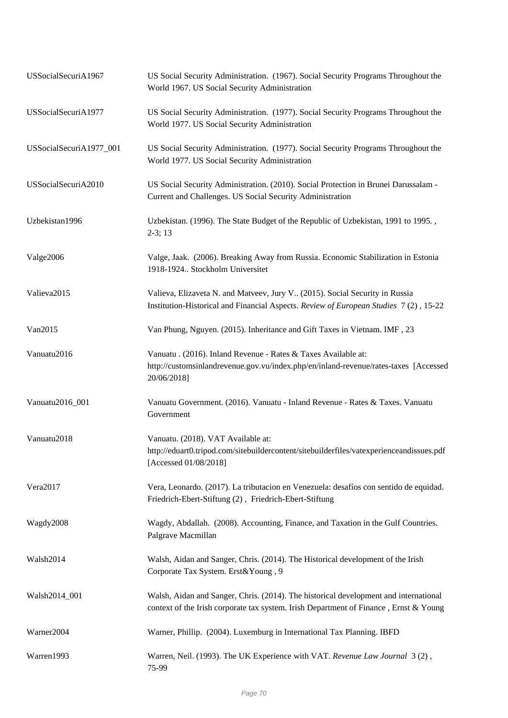| USSocialSecuriA1967     | US Social Security Administration. (1967). Social Security Programs Throughout the<br>World 1967. US Social Security Administration                                           |
|-------------------------|-------------------------------------------------------------------------------------------------------------------------------------------------------------------------------|
| USSocialSecuriA1977     | US Social Security Administration. (1977). Social Security Programs Throughout the<br>World 1977. US Social Security Administration                                           |
| USSocialSecuriA1977_001 | US Social Security Administration. (1977). Social Security Programs Throughout the<br>World 1977. US Social Security Administration                                           |
| USSocialSecuriA2010     | US Social Security Administration. (2010). Social Protection in Brunei Darussalam -<br>Current and Challenges. US Social Security Administration                              |
| Uzbekistan1996          | Uzbekistan. (1996). The State Budget of the Republic of Uzbekistan, 1991 to 1995.,<br>$2-3; 13$                                                                               |
| Valge2006               | Valge, Jaak. (2006). Breaking Away from Russia. Economic Stabilization in Estonia<br>1918-1924 Stockholm Universitet                                                          |
| Valieva2015             | Valieva, Elizaveta N. and Matveev, Jury V (2015). Social Security in Russia<br>Institution-Historical and Financial Aspects. Review of European Studies 7(2), 15-22           |
| Van2015                 | Van Phung, Nguyen. (2015). Inheritance and Gift Taxes in Vietnam. IMF, 23                                                                                                     |
| Vanuatu2016             | Vanuatu . (2016). Inland Revenue - Rates & Taxes Available at:<br>http://customsinlandrevenue.gov.vu/index.php/en/inland-revenue/rates-taxes [Accessed<br>20/06/2018]         |
| Vanuatu2016_001         | Vanuatu Government. (2016). Vanuatu - Inland Revenue - Rates & Taxes. Vanuatu<br>Government                                                                                   |
| Vanuatu2018             | Vanuatu. (2018). VAT Available at:<br>http://eduart0.tripod.com/sitebuildercontent/sitebuilderfiles/vatexperienceandissues.pdf<br>[Accessed 01/08/2018]                       |
| Vera2017                | Vera, Leonardo. (2017). La tributacion en Venezuela: desafíos con sentido de equidad.<br>Friedrich-Ebert-Stiftung (2), Friedrich-Ebert-Stiftung                               |
| Wagdy2008               | Wagdy, Abdallah. (2008). Accounting, Finance, and Taxation in the Gulf Countries.<br>Palgrave Macmillan                                                                       |
| Walsh2014               | Walsh, Aidan and Sanger, Chris. (2014). The Historical development of the Irish<br>Corporate Tax System. Erst&Young, 9                                                        |
| Walsh2014_001           | Walsh, Aidan and Sanger, Chris. (2014). The historical development and international<br>context of the Irish corporate tax system. Irish Department of Finance, Ernst & Young |
| Warner2004              | Warner, Phillip. (2004). Luxemburg in International Tax Planning. IBFD                                                                                                        |
| Warren1993              | Warren, Neil. (1993). The UK Experience with VAT. Revenue Law Journal 3(2),<br>75-99                                                                                          |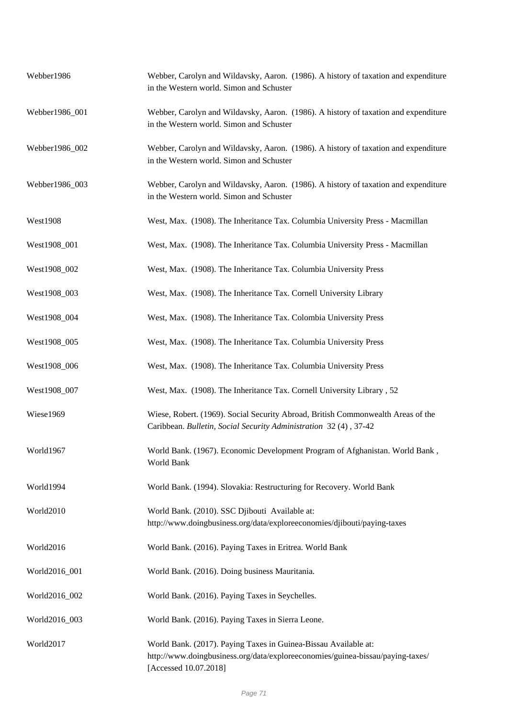| Webber1986      | Webber, Carolyn and Wildavsky, Aaron. (1986). A history of taxation and expenditure<br>in the Western world. Simon and Schuster                                            |
|-----------------|----------------------------------------------------------------------------------------------------------------------------------------------------------------------------|
| Webber1986_001  | Webber, Carolyn and Wildavsky, Aaron. (1986). A history of taxation and expenditure<br>in the Western world. Simon and Schuster                                            |
| Webber1986_002  | Webber, Carolyn and Wildavsky, Aaron. (1986). A history of taxation and expenditure<br>in the Western world. Simon and Schuster                                            |
| Webber1986_003  | Webber, Carolyn and Wildavsky, Aaron. (1986). A history of taxation and expenditure<br>in the Western world. Simon and Schuster                                            |
| <b>West1908</b> | West, Max. (1908). The Inheritance Tax. Columbia University Press - Macmillan                                                                                              |
| West1908_001    | West, Max. (1908). The Inheritance Tax. Columbia University Press - Macmillan                                                                                              |
| West1908_002    | West, Max. (1908). The Inheritance Tax. Columbia University Press                                                                                                          |
| West1908_003    | West, Max. (1908). The Inheritance Tax. Cornell University Library                                                                                                         |
| West1908_004    | West, Max. (1908). The Inheritance Tax. Colombia University Press                                                                                                          |
| West1908_005    | West, Max. (1908). The Inheritance Tax. Columbia University Press                                                                                                          |
| West1908_006    | West, Max. (1908). The Inheritance Tax. Columbia University Press                                                                                                          |
| West1908_007    | West, Max. (1908). The Inheritance Tax. Cornell University Library, 52                                                                                                     |
| Wiese1969       | Wiese, Robert. (1969). Social Security Abroad, British Commonwealth Areas of the<br>Caribbean. Bulletin, Social Security Administration 32(4), 37-42                       |
| World1967       | World Bank. (1967). Economic Development Program of Afghanistan. World Bank,<br>World Bank                                                                                 |
| World1994       | World Bank. (1994). Slovakia: Restructuring for Recovery. World Bank                                                                                                       |
| World2010       | World Bank. (2010). SSC Djibouti Available at:<br>http://www.doingbusiness.org/data/exploreeconomies/djibouti/paying-taxes                                                 |
| World2016       | World Bank. (2016). Paying Taxes in Eritrea. World Bank                                                                                                                    |
| World2016_001   | World Bank. (2016). Doing business Mauritania.                                                                                                                             |
| World2016_002   | World Bank. (2016). Paying Taxes in Seychelles.                                                                                                                            |
| World2016_003   | World Bank. (2016). Paying Taxes in Sierra Leone.                                                                                                                          |
| World2017       | World Bank. (2017). Paying Taxes in Guinea-Bissau Available at:<br>http://www.doingbusiness.org/data/exploreeconomies/guinea-bissau/paying-taxes/<br>[Accessed 10.07.2018] |